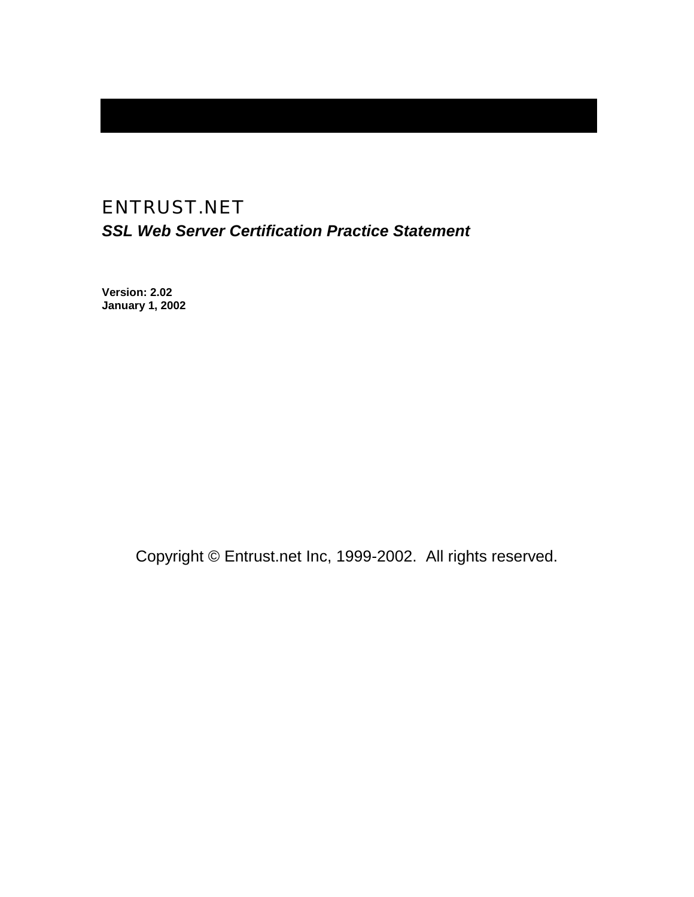# ENTRUST.NET *SSL Web Server Certification Practice Statement*

**Version: 2.02 January 1, 2002** 

Copyright © Entrust.net Inc, 1999-2002. All rights reserved.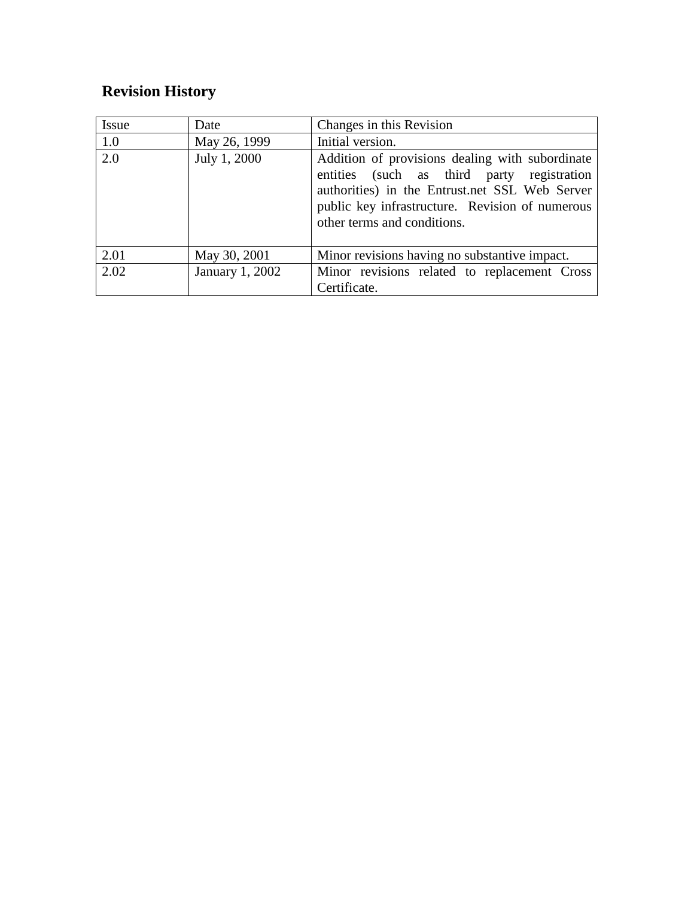# **Revision History**

| <b>Issue</b> | Date            | Changes in this Revision                                                                                                                                                                                                          |
|--------------|-----------------|-----------------------------------------------------------------------------------------------------------------------------------------------------------------------------------------------------------------------------------|
| 1.0          | May 26, 1999    | Initial version.                                                                                                                                                                                                                  |
| 2.0          | July 1, 2000    | Addition of provisions dealing with subordinate<br>entities (such as third party registration<br>authorities) in the Entrust.net SSL Web Server<br>public key infrastructure. Revision of numerous<br>other terms and conditions. |
| 2.01         | May 30, 2001    | Minor revisions having no substantive impact.                                                                                                                                                                                     |
| 2.02         | January 1, 2002 | Minor revisions related to replacement Cross<br>Certificate.                                                                                                                                                                      |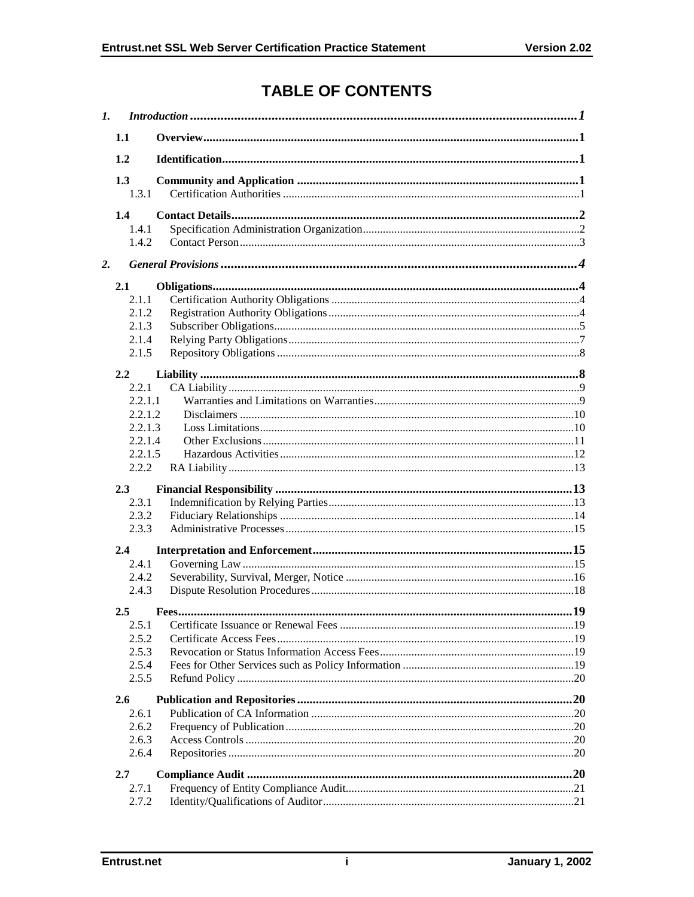# **TABLE OF CONTENTS**

| $\mathbf{I}$ . |         |  |  |
|----------------|---------|--|--|
|                | 1.1     |  |  |
|                | 1.2     |  |  |
|                | 1.3     |  |  |
|                | 1.3.1   |  |  |
|                | 1.4     |  |  |
|                | 1.4.1   |  |  |
|                | 1.4.2   |  |  |
| 2.             |         |  |  |
|                | 2.1     |  |  |
|                | 2.1.1   |  |  |
|                | 2.1.2   |  |  |
|                | 2.1.3   |  |  |
|                | 2.1.4   |  |  |
|                | 2.1.5   |  |  |
|                | 2.2     |  |  |
|                | 2.2.1   |  |  |
|                | 2.2.1.1 |  |  |
|                | 2.2.1.2 |  |  |
|                | 2.2.1.3 |  |  |
|                | 2.2.1.4 |  |  |
|                | 2.2.1.5 |  |  |
|                | 2.2.2   |  |  |
|                | 2.3     |  |  |
|                | 2.3.1   |  |  |
|                | 2.3.2   |  |  |
|                | 2.3.3   |  |  |
|                | 2.4     |  |  |
|                | 2.4.1   |  |  |
|                | 2.4.2   |  |  |
|                | 2.4.3   |  |  |
|                | 2.5     |  |  |
|                | 2.5.1   |  |  |
|                | 2.5.2   |  |  |
|                | 2.5.3   |  |  |
|                | 2.5.4   |  |  |
|                | 2.5.5   |  |  |
|                | 2.6     |  |  |
|                | 2.6.1   |  |  |
|                | 2.6.2   |  |  |
|                | 2.6.3   |  |  |
|                | 2.6.4   |  |  |
|                | 2.7     |  |  |
|                | 2.7.1   |  |  |
|                | 2.7.2   |  |  |
|                |         |  |  |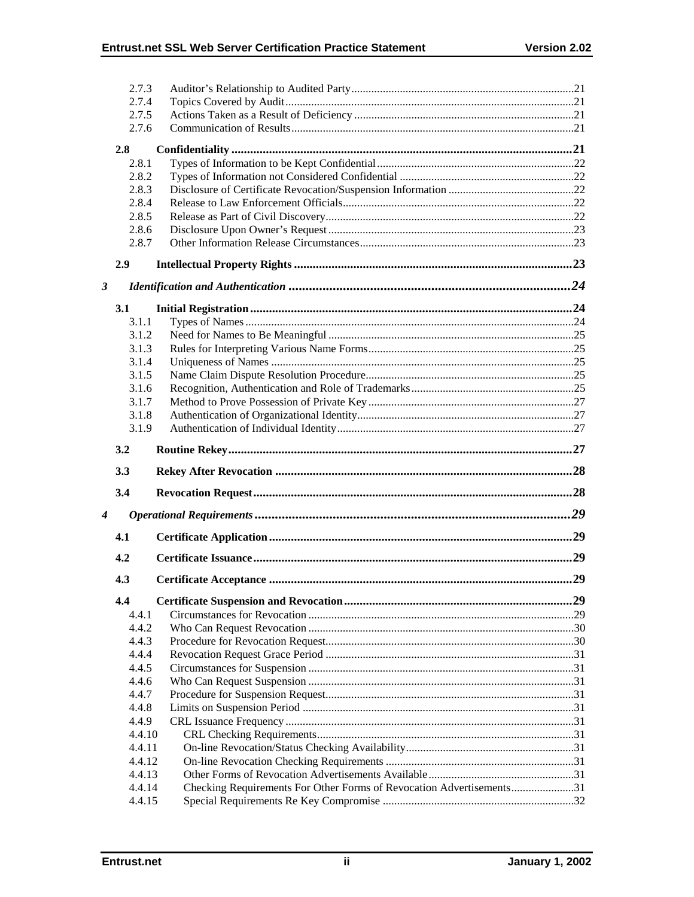|                      | 2.7.3            |                                                                      |  |
|----------------------|------------------|----------------------------------------------------------------------|--|
|                      | 2.7.4            |                                                                      |  |
|                      | 2.7.5            |                                                                      |  |
|                      | 2.7.6            |                                                                      |  |
|                      | 2.8              |                                                                      |  |
|                      | 2.8.1            |                                                                      |  |
|                      | 2.8.2            |                                                                      |  |
|                      | 2.8.3            |                                                                      |  |
|                      | 2.8.4            |                                                                      |  |
|                      | 2.8.5            |                                                                      |  |
|                      | 2.8.6            |                                                                      |  |
|                      | 2.8.7            |                                                                      |  |
|                      | 2.9              |                                                                      |  |
| $\boldsymbol{\beta}$ |                  |                                                                      |  |
|                      | 3.1              |                                                                      |  |
|                      | 3.1.1            |                                                                      |  |
|                      | 3.1.2            |                                                                      |  |
|                      | 3.1.3            |                                                                      |  |
|                      | 3.1.4            |                                                                      |  |
|                      | 3.1.5            |                                                                      |  |
|                      | 3.1.6            |                                                                      |  |
|                      | 3.1.7            |                                                                      |  |
|                      | 3.1.8            |                                                                      |  |
|                      | 3.1.9            |                                                                      |  |
|                      |                  |                                                                      |  |
|                      | 3.2              |                                                                      |  |
|                      | 3.3              |                                                                      |  |
|                      | 3.4              |                                                                      |  |
| 4                    |                  |                                                                      |  |
|                      | 4.1              |                                                                      |  |
|                      | 4.2              |                                                                      |  |
|                      | 4.3              |                                                                      |  |
|                      | 4.4              |                                                                      |  |
|                      | 4.4.1            |                                                                      |  |
|                      | 4.4.2            |                                                                      |  |
|                      | 4.4.3            |                                                                      |  |
|                      | 4.4.4            |                                                                      |  |
|                      | 4.4.5            |                                                                      |  |
|                      | 4.4.6            |                                                                      |  |
|                      | 4.4.7            |                                                                      |  |
|                      | 4.4.8            |                                                                      |  |
|                      | 4.4.9            |                                                                      |  |
|                      | 4.4.10           |                                                                      |  |
|                      | 4.4.11<br>4.4.12 |                                                                      |  |
|                      | 4.4.13           |                                                                      |  |
|                      | 4.4.14           | Checking Requirements For Other Forms of Revocation Advertisements31 |  |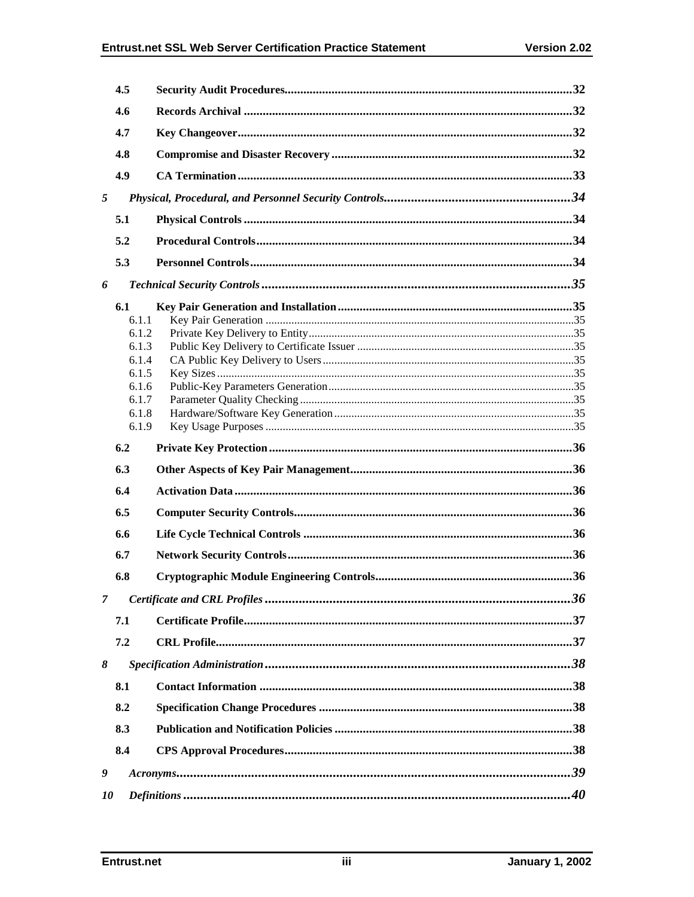|   | 4.5          |  |
|---|--------------|--|
|   | 4.6          |  |
|   | 4.7          |  |
|   | 4.8          |  |
|   | 4.9          |  |
| 5 |              |  |
|   | 5.1          |  |
|   | 5.2          |  |
|   | 5.3          |  |
|   |              |  |
| 6 |              |  |
|   | 6.1<br>6.1.1 |  |
|   | 6.1.2        |  |
|   | 6.1.3        |  |
|   | 6.1.4        |  |
|   | 6.1.5        |  |
|   | 6.1.6        |  |
|   | 6.1.7        |  |
|   | 6.1.8        |  |
|   | 6.1.9        |  |
|   |              |  |
|   | 6.2          |  |
|   | 6.3          |  |
|   | 6.4          |  |
|   | 6.5          |  |
|   | 6.6          |  |
|   | 6.7          |  |
|   | 6.8          |  |
| 7 |              |  |
|   | 7.1          |  |
|   | 7.2          |  |
| 8 |              |  |
|   | 8.1          |  |
|   | 8.2          |  |
|   | 8.3          |  |
|   | 8.4          |  |
| 9 |              |  |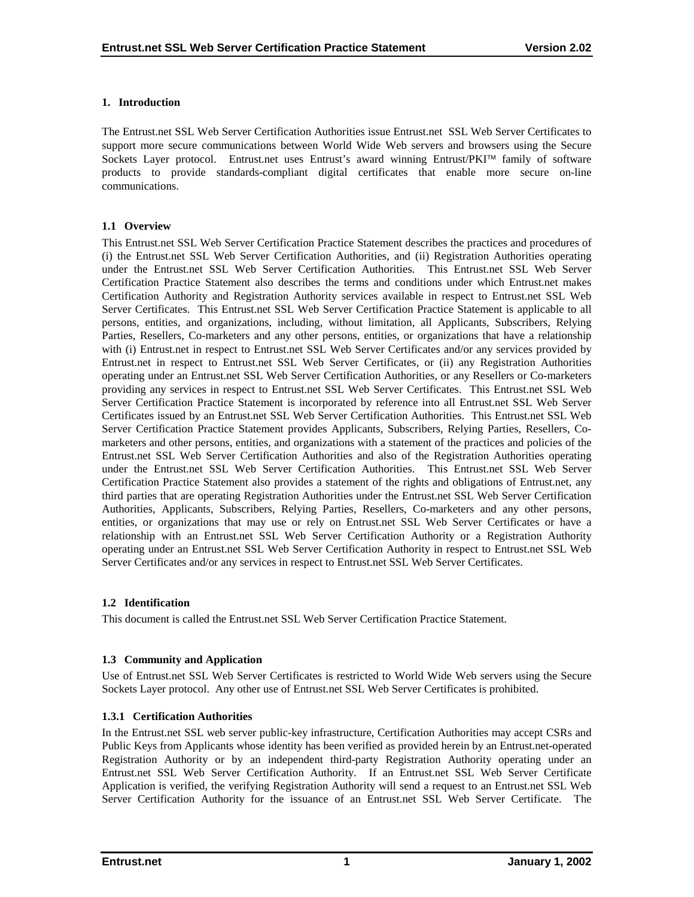#### <span id="page-5-0"></span>**1. Introduction**

The Entrust.net SSL Web Server Certification Authorities issue Entrust.net SSL Web Server Certificates to support more secure communications between World Wide Web servers and browsers using the Secure Sockets Layer protocol. Entrust.net uses Entrust's award winning Entrust/PKI™ family of software products to provide standards-compliant digital certificates that enable more secure on-line communications.

## **1.1 Overview**

This Entrust.net SSL Web Server Certification Practice Statement describes the practices and procedures of (i) the Entrust.net SSL Web Server Certification Authorities, and (ii) Registration Authorities operating under the Entrust.net SSL Web Server Certification Authorities. This Entrust.net SSL Web Server Certification Practice Statement also describes the terms and conditions under which Entrust.net makes Certification Authority and Registration Authority services available in respect to Entrust.net SSL Web Server Certificates. This Entrust.net SSL Web Server Certification Practice Statement is applicable to all persons, entities, and organizations, including, without limitation, all Applicants, Subscribers, Relying Parties, Resellers, Co-marketers and any other persons, entities, or organizations that have a relationship with (i) Entrust.net in respect to Entrust.net SSL Web Server Certificates and/or any services provided by Entrust.net in respect to Entrust.net SSL Web Server Certificates, or (ii) any Registration Authorities operating under an Entrust.net SSL Web Server Certification Authorities, or any Resellers or Co-marketers providing any services in respect to Entrust.net SSL Web Server Certificates. This Entrust.net SSL Web Server Certification Practice Statement is incorporated by reference into all Entrust.net SSL Web Server Certificates issued by an Entrust.net SSL Web Server Certification Authorities. This Entrust.net SSL Web Server Certification Practice Statement provides Applicants, Subscribers, Relying Parties, Resellers, Comarketers and other persons, entities, and organizations with a statement of the practices and policies of the Entrust.net SSL Web Server Certification Authorities and also of the Registration Authorities operating under the Entrust.net SSL Web Server Certification Authorities. This Entrust.net SSL Web Server Certification Practice Statement also provides a statement of the rights and obligations of Entrust.net, any third parties that are operating Registration Authorities under the Entrust.net SSL Web Server Certification Authorities, Applicants, Subscribers, Relying Parties, Resellers, Co-marketers and any other persons, entities, or organizations that may use or rely on Entrust.net SSL Web Server Certificates or have a relationship with an Entrust.net SSL Web Server Certification Authority or a Registration Authority operating under an Entrust.net SSL Web Server Certification Authority in respect to Entrust.net SSL Web Server Certificates and/or any services in respect to Entrust.net SSL Web Server Certificates.

# **1.2 Identification**

This document is called the Entrust.net SSL Web Server Certification Practice Statement.

# **1.3 Community and Application**

Use of Entrust.net SSL Web Server Certificates is restricted to World Wide Web servers using the Secure Sockets Layer protocol. Any other use of Entrust.net SSL Web Server Certificates is prohibited.

# **1.3.1 Certification Authorities**

In the Entrust.net SSL web server public-key infrastructure, Certification Authorities may accept CSRs and Public Keys from Applicants whose identity has been verified as provided herein by an Entrust.net-operated Registration Authority or by an independent third-party Registration Authority operating under an Entrust.net SSL Web Server Certification Authority. If an Entrust.net SSL Web Server Certificate Application is verified, the verifying Registration Authority will send a request to an Entrust.net SSL Web Server Certification Authority for the issuance of an Entrust.net SSL Web Server Certificate. The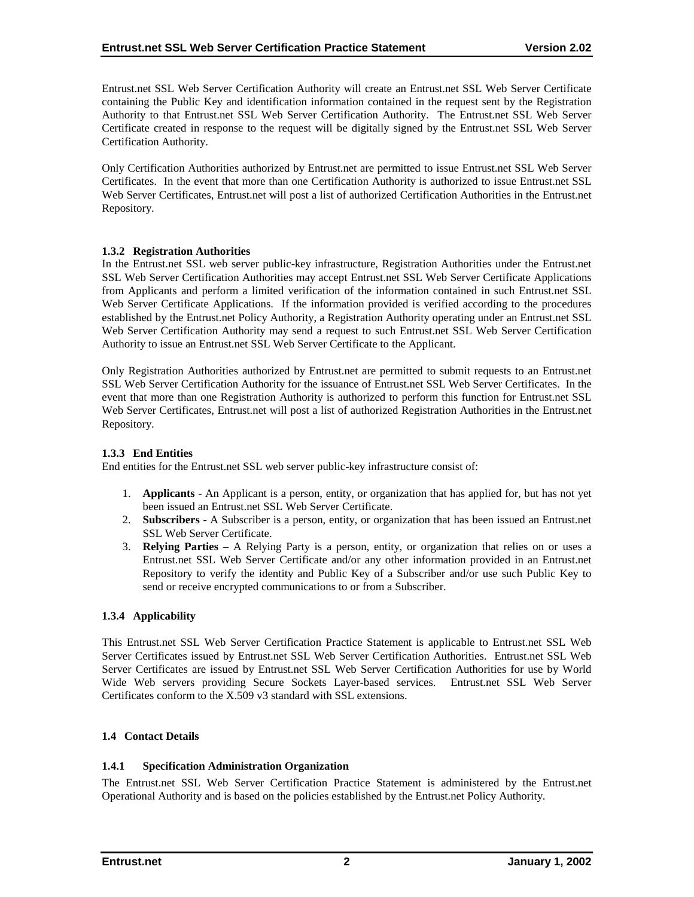<span id="page-6-0"></span>Entrust.net SSL Web Server Certification Authority will create an Entrust.net SSL Web Server Certificate containing the Public Key and identification information contained in the request sent by the Registration Authority to that Entrust.net SSL Web Server Certification Authority. The Entrust.net SSL Web Server Certificate created in response to the request will be digitally signed by the Entrust.net SSL Web Server Certification Authority.

Only Certification Authorities authorized by Entrust.net are permitted to issue Entrust.net SSL Web Server Certificates. In the event that more than one Certification Authority is authorized to issue Entrust.net SSL Web Server Certificates, Entrust.net will post a list of authorized Certification Authorities in the Entrust.net Repository.

## **1.3.2 Registration Authorities**

In the Entrust.net SSL web server public-key infrastructure, Registration Authorities under the Entrust.net SSL Web Server Certification Authorities may accept Entrust.net SSL Web Server Certificate Applications from Applicants and perform a limited verification of the information contained in such Entrust.net SSL Web Server Certificate Applications. If the information provided is verified according to the procedures established by the Entrust.net Policy Authority, a Registration Authority operating under an Entrust.net SSL Web Server Certification Authority may send a request to such Entrust.net SSL Web Server Certification Authority to issue an Entrust.net SSL Web Server Certificate to the Applicant.

Only Registration Authorities authorized by Entrust.net are permitted to submit requests to an Entrust.net SSL Web Server Certification Authority for the issuance of Entrust.net SSL Web Server Certificates. In the event that more than one Registration Authority is authorized to perform this function for Entrust.net SSL Web Server Certificates, Entrust.net will post a list of authorized Registration Authorities in the Entrust.net Repository.

#### **1.3.3 End Entities**

End entities for the Entrust.net SSL web server public-key infrastructure consist of:

- 1. **Applicants** An Applicant is a person, entity, or organization that has applied for, but has not yet been issued an Entrust.net SSL Web Server Certificate.
- 2. **Subscribers**  A Subscriber is a person, entity, or organization that has been issued an Entrust.net SSL Web Server Certificate.
- 3. **Relying Parties**  A Relying Party is a person, entity, or organization that relies on or uses a Entrust.net SSL Web Server Certificate and/or any other information provided in an Entrust.net Repository to verify the identity and Public Key of a Subscriber and/or use such Public Key to send or receive encrypted communications to or from a Subscriber.

# **1.3.4 Applicability**

This Entrust.net SSL Web Server Certification Practice Statement is applicable to Entrust.net SSL Web Server Certificates issued by Entrust.net SSL Web Server Certification Authorities. Entrust.net SSL Web Server Certificates are issued by Entrust.net SSL Web Server Certification Authorities for use by World Wide Web servers providing Secure Sockets Layer-based services. Entrust.net SSL Web Server Certificates conform to the X.509 v3 standard with SSL extensions.

#### **1.4 Contact Details**

# **1.4.1 Specification Administration Organization**

The Entrust.net SSL Web Server Certification Practice Statement is administered by the Entrust.net Operational Authority and is based on the policies established by the Entrust.net Policy Authority.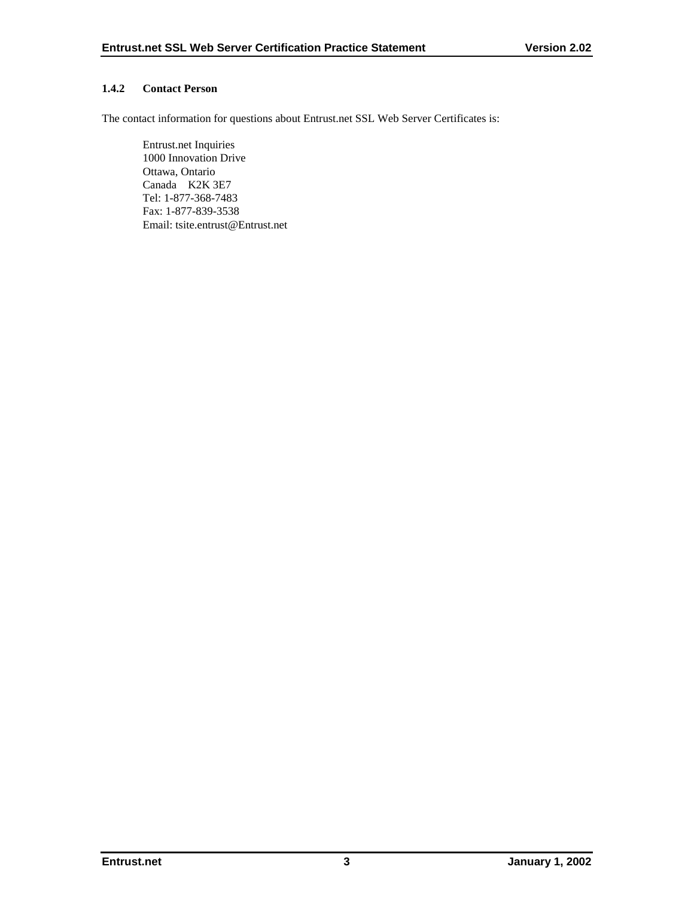# <span id="page-7-0"></span>**1.4.2 Contact Person**

The contact information for questions about Entrust.net SSL Web Server Certificates is:

 Entrust.net Inquiries 1000 Innovation Drive Ottawa, Ontario Canada K2K 3E7 Tel: 1-877-368-7483 Fax: 1-877-839-3538 Email: tsite.entrust@Entrust.net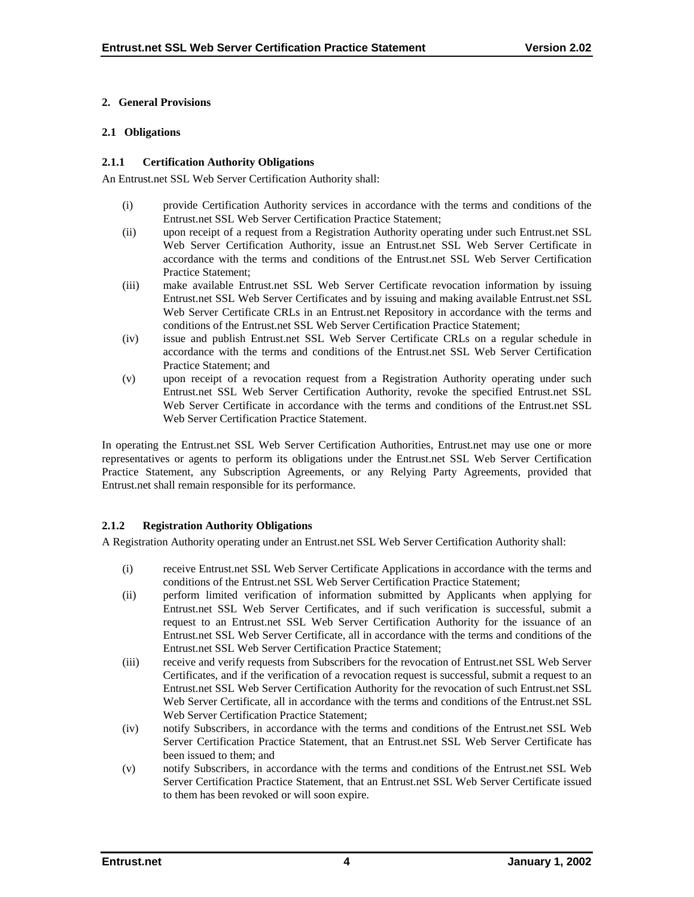### <span id="page-8-0"></span>**2. General Provisions**

#### **2.1 Obligations**

## **2.1.1 Certification Authority Obligations**

An Entrust.net SSL Web Server Certification Authority shall:

- (i) provide Certification Authority services in accordance with the terms and conditions of the Entrust.net SSL Web Server Certification Practice Statement;
- (ii) upon receipt of a request from a Registration Authority operating under such Entrust.net SSL Web Server Certification Authority, issue an Entrust.net SSL Web Server Certificate in accordance with the terms and conditions of the Entrust.net SSL Web Server Certification Practice Statement;
- (iii) make available Entrust.net SSL Web Server Certificate revocation information by issuing Entrust.net SSL Web Server Certificates and by issuing and making available Entrust.net SSL Web Server Certificate CRLs in an Entrust.net Repository in accordance with the terms and conditions of the Entrust.net SSL Web Server Certification Practice Statement;
- (iv) issue and publish Entrust.net SSL Web Server Certificate CRLs on a regular schedule in accordance with the terms and conditions of the Entrust.net SSL Web Server Certification Practice Statement; and
- (v) upon receipt of a revocation request from a Registration Authority operating under such Entrust.net SSL Web Server Certification Authority, revoke the specified Entrust.net SSL Web Server Certificate in accordance with the terms and conditions of the Entrust.net SSL Web Server Certification Practice Statement.

In operating the Entrust.net SSL Web Server Certification Authorities, Entrust.net may use one or more representatives or agents to perform its obligations under the Entrust.net SSL Web Server Certification Practice Statement, any Subscription Agreements, or any Relying Party Agreements, provided that Entrust.net shall remain responsible for its performance.

# **2.1.2 Registration Authority Obligations**

A Registration Authority operating under an Entrust.net SSL Web Server Certification Authority shall:

- (i) receive Entrust.net SSL Web Server Certificate Applications in accordance with the terms and conditions of the Entrust.net SSL Web Server Certification Practice Statement;
- (ii) perform limited verification of information submitted by Applicants when applying for Entrust.net SSL Web Server Certificates, and if such verification is successful, submit a request to an Entrust.net SSL Web Server Certification Authority for the issuance of an Entrust.net SSL Web Server Certificate, all in accordance with the terms and conditions of the Entrust.net SSL Web Server Certification Practice Statement;
- (iii) receive and verify requests from Subscribers for the revocation of Entrust.net SSL Web Server Certificates, and if the verification of a revocation request is successful, submit a request to an Entrust.net SSL Web Server Certification Authority for the revocation of such Entrust.net SSL Web Server Certificate, all in accordance with the terms and conditions of the Entrust.net SSL Web Server Certification Practice Statement;
- (iv) notify Subscribers, in accordance with the terms and conditions of the Entrust.net SSL Web Server Certification Practice Statement, that an Entrust.net SSL Web Server Certificate has been issued to them; and
- (v) notify Subscribers, in accordance with the terms and conditions of the Entrust.net SSL Web Server Certification Practice Statement, that an Entrust.net SSL Web Server Certificate issued to them has been revoked or will soon expire.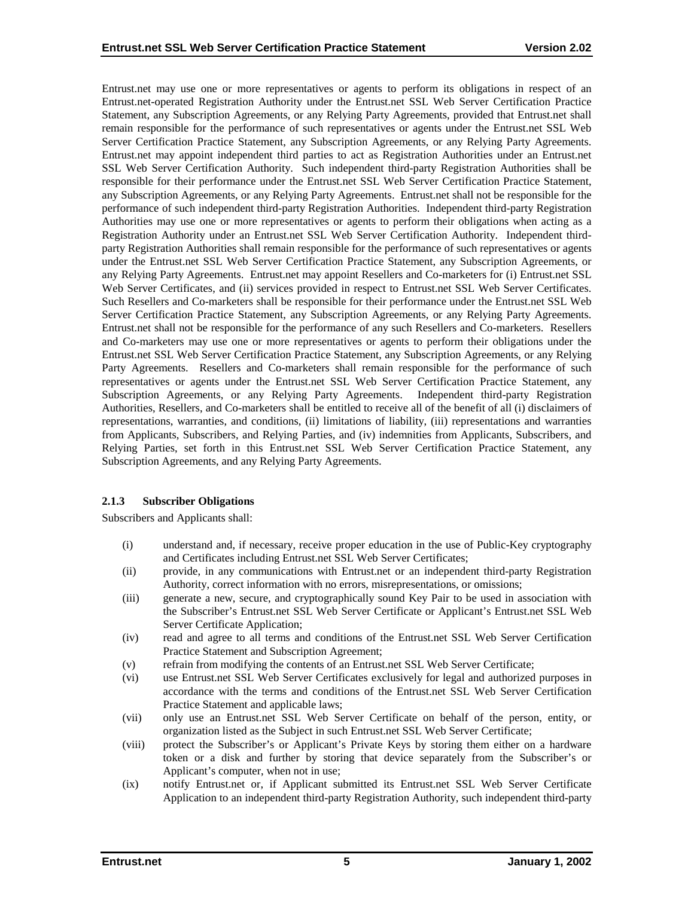<span id="page-9-0"></span>Entrust.net may use one or more representatives or agents to perform its obligations in respect of an Entrust.net-operated Registration Authority under the Entrust.net SSL Web Server Certification Practice Statement, any Subscription Agreements, or any Relying Party Agreements, provided that Entrust.net shall remain responsible for the performance of such representatives or agents under the Entrust.net SSL Web Server Certification Practice Statement, any Subscription Agreements, or any Relying Party Agreements. Entrust.net may appoint independent third parties to act as Registration Authorities under an Entrust.net SSL Web Server Certification Authority. Such independent third-party Registration Authorities shall be responsible for their performance under the Entrust.net SSL Web Server Certification Practice Statement, any Subscription Agreements, or any Relying Party Agreements. Entrust.net shall not be responsible for the performance of such independent third-party Registration Authorities. Independent third-party Registration Authorities may use one or more representatives or agents to perform their obligations when acting as a Registration Authority under an Entrust.net SSL Web Server Certification Authority. Independent thirdparty Registration Authorities shall remain responsible for the performance of such representatives or agents under the Entrust.net SSL Web Server Certification Practice Statement, any Subscription Agreements, or any Relying Party Agreements. Entrust.net may appoint Resellers and Co-marketers for (i) Entrust.net SSL Web Server Certificates, and (ii) services provided in respect to Entrust.net SSL Web Server Certificates. Such Resellers and Co-marketers shall be responsible for their performance under the Entrust.net SSL Web Server Certification Practice Statement, any Subscription Agreements, or any Relying Party Agreements. Entrust.net shall not be responsible for the performance of any such Resellers and Co-marketers. Resellers and Co-marketers may use one or more representatives or agents to perform their obligations under the Entrust.net SSL Web Server Certification Practice Statement, any Subscription Agreements, or any Relying Party Agreements. Resellers and Co-marketers shall remain responsible for the performance of such representatives or agents under the Entrust.net SSL Web Server Certification Practice Statement, any Subscription Agreements, or any Relying Party Agreements. Independent third-party Registration Authorities, Resellers, and Co-marketers shall be entitled to receive all of the benefit of all (i) disclaimers of representations, warranties, and conditions, (ii) limitations of liability, (iii) representations and warranties from Applicants, Subscribers, and Relying Parties, and (iv) indemnities from Applicants, Subscribers, and Relying Parties, set forth in this Entrust.net SSL Web Server Certification Practice Statement, any Subscription Agreements, and any Relying Party Agreements.

#### **2.1.3 Subscriber Obligations**

Subscribers and Applicants shall:

- (i) understand and, if necessary, receive proper education in the use of Public-Key cryptography and Certificates including Entrust.net SSL Web Server Certificates;
- (ii) provide, in any communications with Entrust.net or an independent third-party Registration Authority, correct information with no errors, misrepresentations, or omissions;
- (iii) generate a new, secure, and cryptographically sound Key Pair to be used in association with the Subscriber's Entrust.net SSL Web Server Certificate or Applicant's Entrust.net SSL Web Server Certificate Application;
- (iv) read and agree to all terms and conditions of the Entrust.net SSL Web Server Certification Practice Statement and Subscription Agreement;
- (v) refrain from modifying the contents of an Entrust.net SSL Web Server Certificate;
- (vi) use Entrust.net SSL Web Server Certificates exclusively for legal and authorized purposes in accordance with the terms and conditions of the Entrust.net SSL Web Server Certification Practice Statement and applicable laws;
- (vii) only use an Entrust.net SSL Web Server Certificate on behalf of the person, entity, or organization listed as the Subject in such Entrust.net SSL Web Server Certificate;
- (viii) protect the Subscriber's or Applicant's Private Keys by storing them either on a hardware token or a disk and further by storing that device separately from the Subscriber's or Applicant's computer, when not in use;
- (ix) notify Entrust.net or, if Applicant submitted its Entrust.net SSL Web Server Certificate Application to an independent third-party Registration Authority, such independent third-party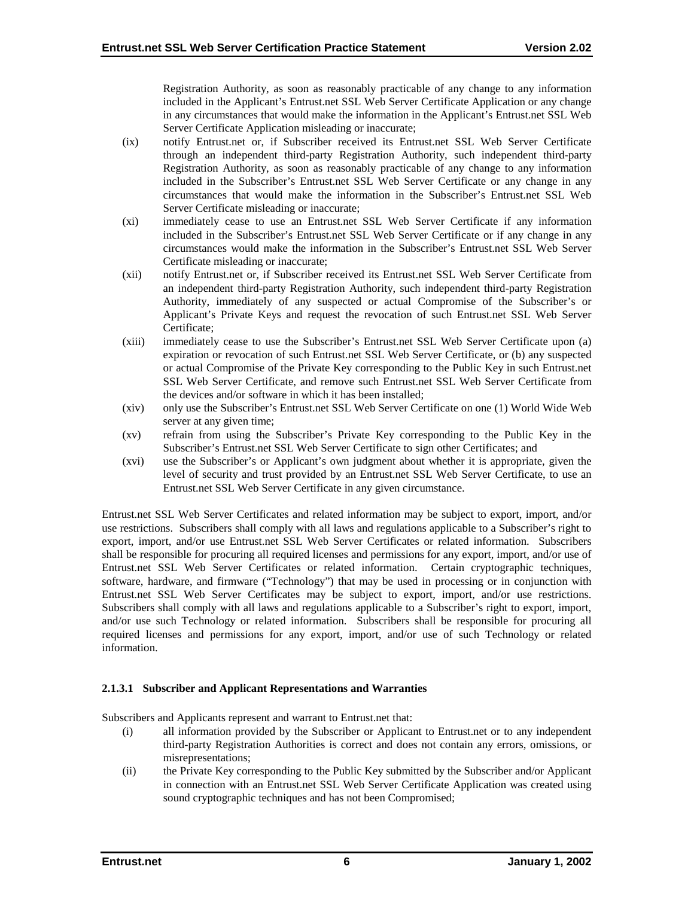Registration Authority, as soon as reasonably practicable of any change to any information included in the Applicant's Entrust.net SSL Web Server Certificate Application or any change in any circumstances that would make the information in the Applicant's Entrust.net SSL Web Server Certificate Application misleading or inaccurate;

- (ix) notify Entrust.net or, if Subscriber received its Entrust.net SSL Web Server Certificate through an independent third-party Registration Authority, such independent third-party Registration Authority, as soon as reasonably practicable of any change to any information included in the Subscriber's Entrust.net SSL Web Server Certificate or any change in any circumstances that would make the information in the Subscriber's Entrust.net SSL Web Server Certificate misleading or inaccurate;
- (xi) immediately cease to use an Entrust.net SSL Web Server Certificate if any information included in the Subscriber's Entrust.net SSL Web Server Certificate or if any change in any circumstances would make the information in the Subscriber's Entrust.net SSL Web Server Certificate misleading or inaccurate;
- (xii) notify Entrust.net or, if Subscriber received its Entrust.net SSL Web Server Certificate from an independent third-party Registration Authority, such independent third-party Registration Authority, immediately of any suspected or actual Compromise of the Subscriber's or Applicant's Private Keys and request the revocation of such Entrust.net SSL Web Server Certificate;
- (xiii) immediately cease to use the Subscriber's Entrust.net SSL Web Server Certificate upon (a) expiration or revocation of such Entrust.net SSL Web Server Certificate, or (b) any suspected or actual Compromise of the Private Key corresponding to the Public Key in such Entrust.net SSL Web Server Certificate, and remove such Entrust.net SSL Web Server Certificate from the devices and/or software in which it has been installed;
- (xiv) only use the Subscriber's Entrust.net SSL Web Server Certificate on one (1) World Wide Web server at any given time;
- (xv) refrain from using the Subscriber's Private Key corresponding to the Public Key in the Subscriber's Entrust.net SSL Web Server Certificate to sign other Certificates; and
- (xvi) use the Subscriber's or Applicant's own judgment about whether it is appropriate, given the level of security and trust provided by an Entrust.net SSL Web Server Certificate, to use an Entrust.net SSL Web Server Certificate in any given circumstance.

Entrust.net SSL Web Server Certificates and related information may be subject to export, import, and/or use restrictions. Subscribers shall comply with all laws and regulations applicable to a Subscriber's right to export, import, and/or use Entrust.net SSL Web Server Certificates or related information. Subscribers shall be responsible for procuring all required licenses and permissions for any export, import, and/or use of Entrust.net SSL Web Server Certificates or related information. Certain cryptographic techniques, software, hardware, and firmware ("Technology") that may be used in processing or in conjunction with Entrust.net SSL Web Server Certificates may be subject to export, import, and/or use restrictions. Subscribers shall comply with all laws and regulations applicable to a Subscriber's right to export, import, and/or use such Technology or related information. Subscribers shall be responsible for procuring all required licenses and permissions for any export, import, and/or use of such Technology or related information.

# **2.1.3.1 Subscriber and Applicant Representations and Warranties**

Subscribers and Applicants represent and warrant to Entrust.net that:

- (i) all information provided by the Subscriber or Applicant to Entrust.net or to any independent third-party Registration Authorities is correct and does not contain any errors, omissions, or misrepresentations;
- (ii) the Private Key corresponding to the Public Key submitted by the Subscriber and/or Applicant in connection with an Entrust.net SSL Web Server Certificate Application was created using sound cryptographic techniques and has not been Compromised;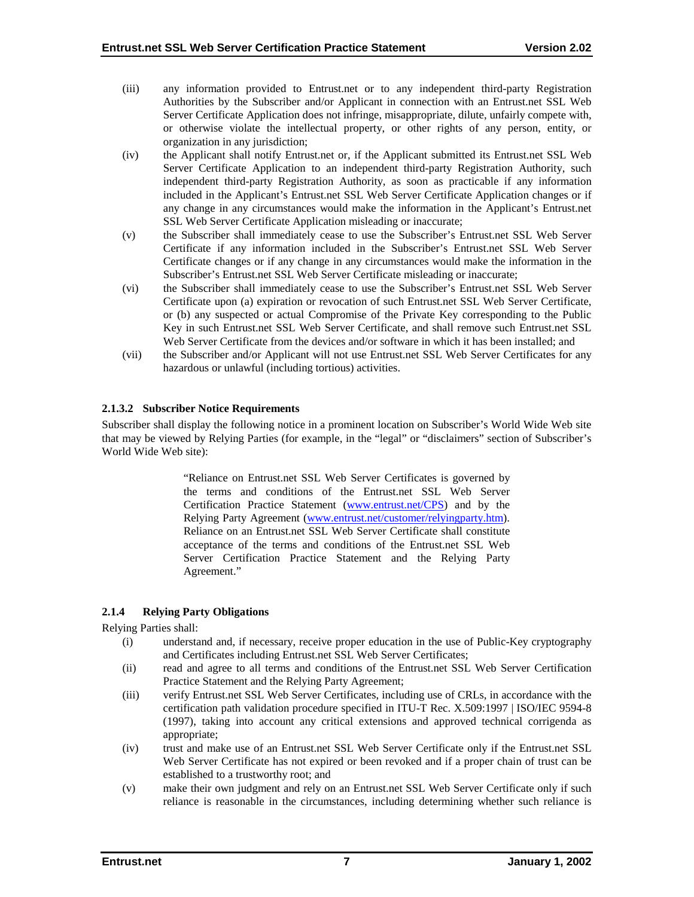- <span id="page-11-0"></span>(iii) any information provided to Entrust.net or to any independent third-party Registration Authorities by the Subscriber and/or Applicant in connection with an Entrust.net SSL Web Server Certificate Application does not infringe, misappropriate, dilute, unfairly compete with, or otherwise violate the intellectual property, or other rights of any person, entity, or organization in any jurisdiction;
- (iv) the Applicant shall notify Entrust.net or, if the Applicant submitted its Entrust.net SSL Web Server Certificate Application to an independent third-party Registration Authority, such independent third-party Registration Authority, as soon as practicable if any information included in the Applicant's Entrust.net SSL Web Server Certificate Application changes or if any change in any circumstances would make the information in the Applicant's Entrust.net SSL Web Server Certificate Application misleading or inaccurate;
- (v) the Subscriber shall immediately cease to use the Subscriber's Entrust.net SSL Web Server Certificate if any information included in the Subscriber's Entrust.net SSL Web Server Certificate changes or if any change in any circumstances would make the information in the Subscriber's Entrust.net SSL Web Server Certificate misleading or inaccurate;
- (vi) the Subscriber shall immediately cease to use the Subscriber's Entrust.net SSL Web Server Certificate upon (a) expiration or revocation of such Entrust.net SSL Web Server Certificate, or (b) any suspected or actual Compromise of the Private Key corresponding to the Public Key in such Entrust.net SSL Web Server Certificate, and shall remove such Entrust.net SSL Web Server Certificate from the devices and/or software in which it has been installed; and
- (vii) the Subscriber and/or Applicant will not use Entrust.net SSL Web Server Certificates for any hazardous or unlawful (including tortious) activities.

# **2.1.3.2 Subscriber Notice Requirements**

Subscriber shall display the following notice in a prominent location on Subscriber's World Wide Web site that may be viewed by Relying Parties (for example, in the "legal" or "disclaimers" section of Subscriber's World Wide Web site):

> "Reliance on Entrust.net SSL Web Server Certificates is governed by the terms and conditions of the Entrust.net SSL Web Server Certification Practice Statement (w[ww.entrust.net/CPS\)](http://www.entrust.net/CPS) and by the Relying Party Agreement (w[ww.entrust.net/customer/relyingparty.htm\).](http://www.entrust.net/?)  Reliance on an Entrust.net SSL Web Server Certificate shall constitute acceptance of the terms and conditions of the Entrust.net SSL Web Server Certification Practice Statement and the Relying Party Agreement."

# **2.1.4 Relying Party Obligations**

Relying Parties shall:

- (i) understand and, if necessary, receive proper education in the use of Public-Key cryptography and Certificates including Entrust.net SSL Web Server Certificates;
- (ii) read and agree to all terms and conditions of the Entrust.net SSL Web Server Certification Practice Statement and the Relying Party Agreement;
- (iii) verify Entrust.net SSL Web Server Certificates, including use of CRLs, in accordance with the certification path validation procedure specified in ITU-T Rec. X.509:1997 | ISO/IEC 9594-8 (1997), taking into account any critical extensions and approved technical corrigenda as appropriate;
- (iv) trust and make use of an Entrust.net SSL Web Server Certificate only if the Entrust.net SSL Web Server Certificate has not expired or been revoked and if a proper chain of trust can be established to a trustworthy root; and
- (v) make their own judgment and rely on an Entrust.net SSL Web Server Certificate only if such reliance is reasonable in the circumstances, including determining whether such reliance is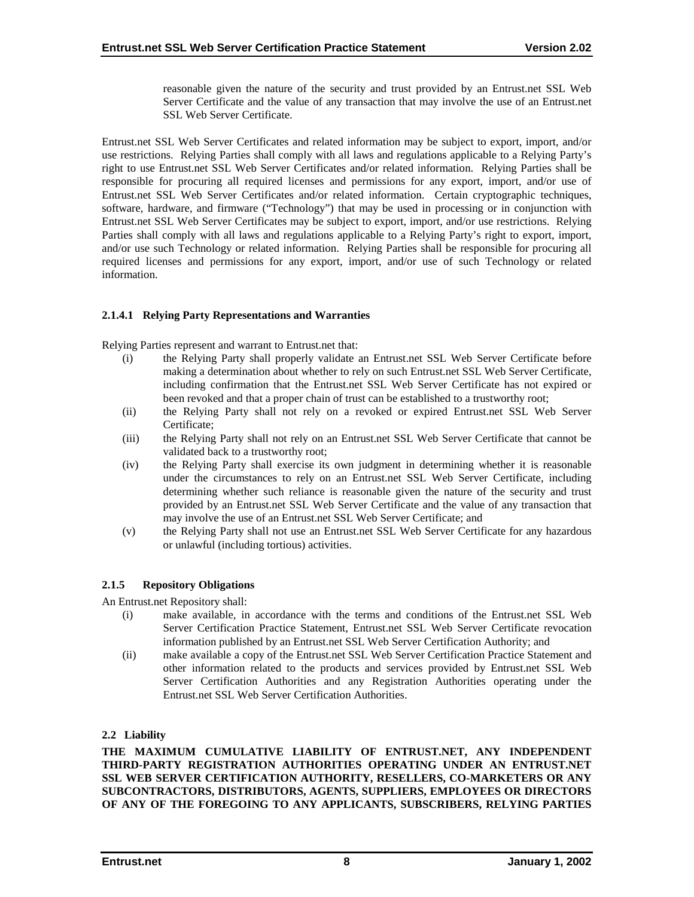reasonable given the nature of the security and trust provided by an Entrust.net SSL Web Server Certificate and the value of any transaction that may involve the use of an Entrust.net SSL Web Server Certificate.

<span id="page-12-0"></span>Entrust.net SSL Web Server Certificates and related information may be subject to export, import, and/or use restrictions. Relying Parties shall comply with all laws and regulations applicable to a Relying Party's right to use Entrust.net SSL Web Server Certificates and/or related information. Relying Parties shall be responsible for procuring all required licenses and permissions for any export, import, and/or use of Entrust.net SSL Web Server Certificates and/or related information. Certain cryptographic techniques, software, hardware, and firmware ("Technology") that may be used in processing or in conjunction with Entrust.net SSL Web Server Certificates may be subject to export, import, and/or use restrictions. Relying Parties shall comply with all laws and regulations applicable to a Relying Party's right to export, import, and/or use such Technology or related information. Relying Parties shall be responsible for procuring all required licenses and permissions for any export, import, and/or use of such Technology or related information.

# **2.1.4.1 Relying Party Representations and Warranties**

Relying Parties represent and warrant to Entrust.net that:

- (i) the Relying Party shall properly validate an Entrust.net SSL Web Server Certificate before making a determination about whether to rely on such Entrust.net SSL Web Server Certificate, including confirmation that the Entrust.net SSL Web Server Certificate has not expired or been revoked and that a proper chain of trust can be established to a trustworthy root;
- (ii) the Relying Party shall not rely on a revoked or expired Entrust.net SSL Web Server Certificate;
- (iii) the Relying Party shall not rely on an Entrust.net SSL Web Server Certificate that cannot be validated back to a trustworthy root;
- (iv) the Relying Party shall exercise its own judgment in determining whether it is reasonable under the circumstances to rely on an Entrust.net SSL Web Server Certificate, including determining whether such reliance is reasonable given the nature of the security and trust provided by an Entrust.net SSL Web Server Certificate and the value of any transaction that may involve the use of an Entrust.net SSL Web Server Certificate; and
- (v) the Relying Party shall not use an Entrust.net SSL Web Server Certificate for any hazardous or unlawful (including tortious) activities.

# **2.1.5 Repository Obligations**

An Entrust.net Repository shall:

- (i) make available, in accordance with the terms and conditions of the Entrust.net SSL Web Server Certification Practice Statement, Entrust.net SSL Web Server Certificate revocation information published by an Entrust.net SSL Web Server Certification Authority; and
- (ii) make available a copy of the Entrust.net SSL Web Server Certification Practice Statement and other information related to the products and services provided by Entrust.net SSL Web Server Certification Authorities and any Registration Authorities operating under the Entrust.net SSL Web Server Certification Authorities.

# **2.2 Liability**

**THE MAXIMUM CUMULATIVE LIABILITY OF ENTRUST.NET, ANY INDEPENDENT THIRD-PARTY REGISTRATION AUTHORITIES OPERATING UNDER AN ENTRUST.NET SSL WEB SERVER CERTIFICATION AUTHORITY, RESELLERS, CO-MARKETERS OR ANY SUBCONTRACTORS, DISTRIBUTORS, AGENTS, SUPPLIERS, EMPLOYEES OR DIRECTORS OF ANY OF THE FOREGOING TO ANY APPLICANTS, SUBSCRIBERS, RELYING PARTIES**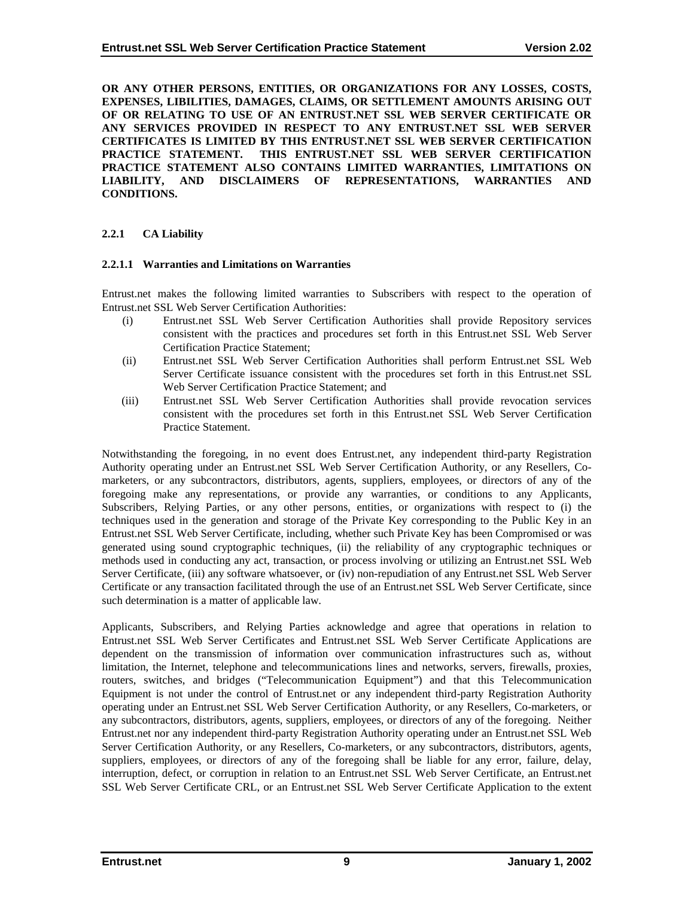<span id="page-13-0"></span>**OR ANY OTHER PERSONS, ENTITIES, OR ORGANIZATIONS FOR ANY LOSSES, COSTS, EXPENSES, LIBILITIES, DAMAGES, CLAIMS, OR SETTLEMENT AMOUNTS ARISING OUT OF OR RELATING TO USE OF AN ENTRUST.NET SSL WEB SERVER CERTIFICATE OR ANY SERVICES PROVIDED IN RESPECT TO ANY ENTRUST.NET SSL WEB SERVER CERTIFICATES IS LIMITED BY THIS ENTRUST.NET SSL WEB SERVER CERTIFICATION PRACTICE STATEMENT. THIS ENTRUST.NET SSL WEB SERVER CERTIFICATION PRACTICE STATEMENT ALSO CONTAINS LIMITED WARRANTIES, LIMITATIONS ON LIABILITY, AND DISCLAIMERS OF REPRESENTATIONS, WARRANTIES AND CONDITIONS.** 

## **2.2.1 CA Liability**

#### **2.2.1.1 Warranties and Limitations on Warranties**

Entrust.net makes the following limited warranties to Subscribers with respect to the operation of Entrust.net SSL Web Server Certification Authorities:

- (i) Entrust.net SSL Web Server Certification Authorities shall provide Repository services consistent with the practices and procedures set forth in this Entrust.net SSL Web Server Certification Practice Statement;
- (ii) Entrust.net SSL Web Server Certification Authorities shall perform Entrust.net SSL Web Server Certificate issuance consistent with the procedures set forth in this Entrust.net SSL Web Server Certification Practice Statement; and
- (iii) Entrust.net SSL Web Server Certification Authorities shall provide revocation services consistent with the procedures set forth in this Entrust.net SSL Web Server Certification Practice Statement.

Notwithstanding the foregoing, in no event does Entrust.net, any independent third-party Registration Authority operating under an Entrust.net SSL Web Server Certification Authority, or any Resellers, Comarketers, or any subcontractors, distributors, agents, suppliers, employees, or directors of any of the foregoing make any representations, or provide any warranties, or conditions to any Applicants, Subscribers, Relying Parties, or any other persons, entities, or organizations with respect to (i) the techniques used in the generation and storage of the Private Key corresponding to the Public Key in an Entrust.net SSL Web Server Certificate, including, whether such Private Key has been Compromised or was generated using sound cryptographic techniques, (ii) the reliability of any cryptographic techniques or methods used in conducting any act, transaction, or process involving or utilizing an Entrust.net SSL Web Server Certificate, (iii) any software whatsoever, or (iv) non-repudiation of any Entrust.net SSL Web Server Certificate or any transaction facilitated through the use of an Entrust.net SSL Web Server Certificate, since such determination is a matter of applicable law.

Applicants, Subscribers, and Relying Parties acknowledge and agree that operations in relation to Entrust.net SSL Web Server Certificates and Entrust.net SSL Web Server Certificate Applications are dependent on the transmission of information over communication infrastructures such as, without limitation, the Internet, telephone and telecommunications lines and networks, servers, firewalls, proxies, routers, switches, and bridges ("Telecommunication Equipment") and that this Telecommunication Equipment is not under the control of Entrust.net or any independent third-party Registration Authority operating under an Entrust.net SSL Web Server Certification Authority, or any Resellers, Co-marketers, or any subcontractors, distributors, agents, suppliers, employees, or directors of any of the foregoing. Neither Entrust.net nor any independent third-party Registration Authority operating under an Entrust.net SSL Web Server Certification Authority, or any Resellers, Co-marketers, or any subcontractors, distributors, agents, suppliers, employees, or directors of any of the foregoing shall be liable for any error, failure, delay, interruption, defect, or corruption in relation to an Entrust.net SSL Web Server Certificate, an Entrust.net SSL Web Server Certificate CRL, or an Entrust.net SSL Web Server Certificate Application to the extent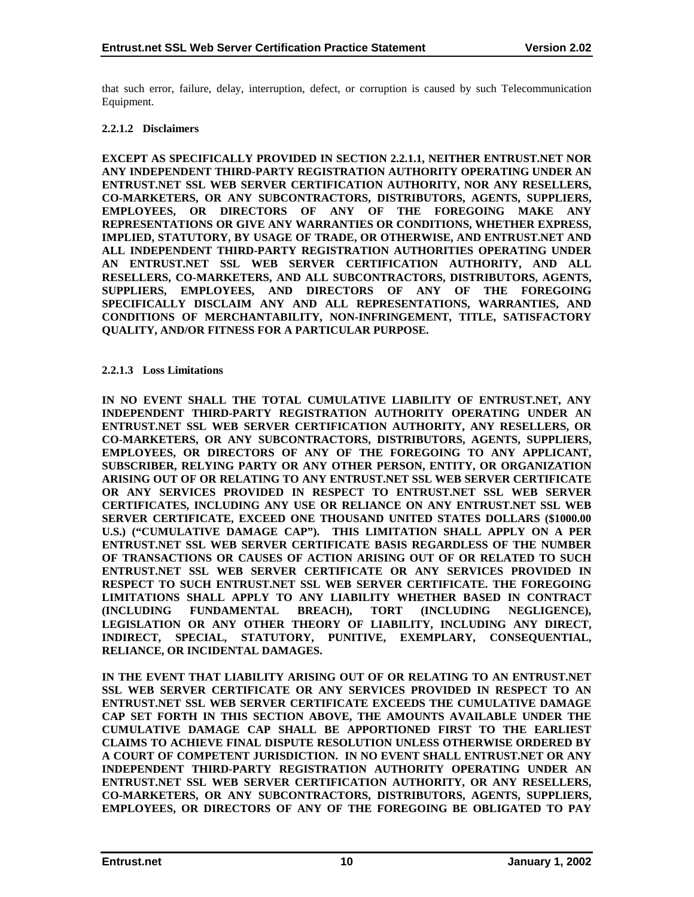<span id="page-14-0"></span>that such error, failure, delay, interruption, defect, or corruption is caused by such Telecommunication Equipment.

#### **2.2.1.2 Disclaimers**

**EXCEPT AS SPECIFICALLY PROVIDED IN SECTION 2.2.1.1, NEITHER ENTRUST.NET NOR ANY INDEPENDENT THIRD-PARTY REGISTRATION AUTHORITY OPERATING UNDER AN ENTRUST.NET SSL WEB SERVER CERTIFICATION AUTHORITY, NOR ANY RESELLERS, CO-MARKETERS, OR ANY SUBCONTRACTORS, DISTRIBUTORS, AGENTS, SUPPLIERS, EMPLOYEES, OR DIRECTORS OF ANY OF THE FOREGOING MAKE ANY REPRESENTATIONS OR GIVE ANY WARRANTIES OR CONDITIONS, WHETHER EXPRESS, IMPLIED, STATUTORY, BY USAGE OF TRADE, OR OTHERWISE, AND ENTRUST.NET AND ALL INDEPENDENT THIRD-PARTY REGISTRATION AUTHORITIES OPERATING UNDER AN ENTRUST.NET SSL WEB SERVER CERTIFICATION AUTHORITY, AND ALL RESELLERS, CO-MARKETERS, AND ALL SUBCONTRACTORS, DISTRIBUTORS, AGENTS, SUPPLIERS, EMPLOYEES, AND DIRECTORS OF ANY OF THE FOREGOING SPECIFICALLY DISCLAIM ANY AND ALL REPRESENTATIONS, WARRANTIES, AND CONDITIONS OF MERCHANTABILITY, NON-INFRINGEMENT, TITLE, SATISFACTORY QUALITY, AND/OR FITNESS FOR A PARTICULAR PURPOSE.** 

#### **2.2.1.3 Loss Limitations**

**IN NO EVENT SHALL THE TOTAL CUMULATIVE LIABILITY OF ENTRUST.NET, ANY INDEPENDENT THIRD-PARTY REGISTRATION AUTHORITY OPERATING UNDER AN ENTRUST.NET SSL WEB SERVER CERTIFICATION AUTHORITY, ANY RESELLERS, OR CO-MARKETERS, OR ANY SUBCONTRACTORS, DISTRIBUTORS, AGENTS, SUPPLIERS, EMPLOYEES, OR DIRECTORS OF ANY OF THE FOREGOING TO ANY APPLICANT, SUBSCRIBER, RELYING PARTY OR ANY OTHER PERSON, ENTITY, OR ORGANIZATION ARISING OUT OF OR RELATING TO ANY ENTRUST.NET SSL WEB SERVER CERTIFICATE OR ANY SERVICES PROVIDED IN RESPECT TO ENTRUST.NET SSL WEB SERVER CERTIFICATES, INCLUDING ANY USE OR RELIANCE ON ANY ENTRUST.NET SSL WEB SERVER CERTIFICATE, EXCEED ONE THOUSAND UNITED STATES DOLLARS (\$1000.00 U.S.) ("CUMULATIVE DAMAGE CAP"). THIS LIMITATION SHALL APPLY ON A PER ENTRUST.NET SSL WEB SERVER CERTIFICATE BASIS REGARDLESS OF THE NUMBER OF TRANSACTIONS OR CAUSES OF ACTION ARISING OUT OF OR RELATED TO SUCH ENTRUST.NET SSL WEB SERVER CERTIFICATE OR ANY SERVICES PROVIDED IN RESPECT TO SUCH ENTRUST.NET SSL WEB SERVER CERTIFICATE. THE FOREGOING LIMITATIONS SHALL APPLY TO ANY LIABILITY WHETHER BASED IN CONTRACT (INCLUDING FUNDAMENTAL BREACH), TORT (INCLUDING NEGLIGENCE), LEGISLATION OR ANY OTHER THEORY OF LIABILITY, INCLUDING ANY DIRECT, INDIRECT, SPECIAL, STATUTORY, PUNITIVE, EXEMPLARY, CONSEQUENTIAL, RELIANCE, OR INCIDENTAL DAMAGES.** 

**IN THE EVENT THAT LIABILITY ARISING OUT OF OR RELATING TO AN ENTRUST.NET SSL WEB SERVER CERTIFICATE OR ANY SERVICES PROVIDED IN RESPECT TO AN ENTRUST.NET SSL WEB SERVER CERTIFICATE EXCEEDS THE CUMULATIVE DAMAGE CAP SET FORTH IN THIS SECTION ABOVE, THE AMOUNTS AVAILABLE UNDER THE CUMULATIVE DAMAGE CAP SHALL BE APPORTIONED FIRST TO THE EARLIEST CLAIMS TO ACHIEVE FINAL DISPUTE RESOLUTION UNLESS OTHERWISE ORDERED BY A COURT OF COMPETENT JURISDICTION. IN NO EVENT SHALL ENTRUST.NET OR ANY INDEPENDENT THIRD-PARTY REGISTRATION AUTHORITY OPERATING UNDER AN ENTRUST.NET SSL WEB SERVER CERTIFICATION AUTHORITY, OR ANY RESELLERS, CO-MARKETERS, OR ANY SUBCONTRACTORS, DISTRIBUTORS, AGENTS, SUPPLIERS, EMPLOYEES, OR DIRECTORS OF ANY OF THE FOREGOING BE OBLIGATED TO PAY**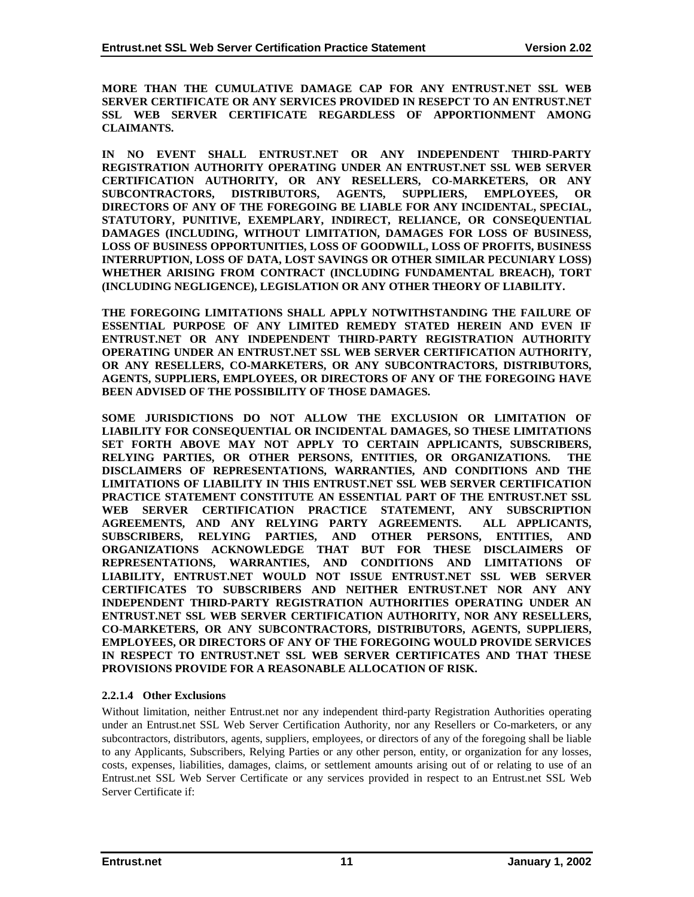<span id="page-15-0"></span>**MORE THAN THE CUMULATIVE DAMAGE CAP FOR ANY ENTRUST.NET SSL WEB SERVER CERTIFICATE OR ANY SERVICES PROVIDED IN RESEPCT TO AN ENTRUST.NET SSL WEB SERVER CERTIFICATE REGARDLESS OF APPORTIONMENT AMONG CLAIMANTS.** 

**IN NO EVENT SHALL ENTRUST.NET OR ANY INDEPENDENT THIRD-PARTY REGISTRATION AUTHORITY OPERATING UNDER AN ENTRUST.NET SSL WEB SERVER CERTIFICATION AUTHORITY, OR ANY RESELLERS, CO-MARKETERS, OR ANY SUBCONTRACTORS, DISTRIBUTORS, AGENTS, SUPPLIERS, EMPLOYEES, OR DIRECTORS OF ANY OF THE FOREGOING BE LIABLE FOR ANY INCIDENTAL, SPECIAL, STATUTORY, PUNITIVE, EXEMPLARY, INDIRECT, RELIANCE, OR CONSEQUENTIAL DAMAGES (INCLUDING, WITHOUT LIMITATION, DAMAGES FOR LOSS OF BUSINESS, LOSS OF BUSINESS OPPORTUNITIES, LOSS OF GOODWILL, LOSS OF PROFITS, BUSINESS INTERRUPTION, LOSS OF DATA, LOST SAVINGS OR OTHER SIMILAR PECUNIARY LOSS) WHETHER ARISING FROM CONTRACT (INCLUDING FUNDAMENTAL BREACH), TORT (INCLUDING NEGLIGENCE), LEGISLATION OR ANY OTHER THEORY OF LIABILITY.** 

**THE FOREGOING LIMITATIONS SHALL APPLY NOTWITHSTANDING THE FAILURE OF ESSENTIAL PURPOSE OF ANY LIMITED REMEDY STATED HEREIN AND EVEN IF ENTRUST.NET OR ANY INDEPENDENT THIRD-PARTY REGISTRATION AUTHORITY OPERATING UNDER AN ENTRUST.NET SSL WEB SERVER CERTIFICATION AUTHORITY, OR ANY RESELLERS, CO-MARKETERS, OR ANY SUBCONTRACTORS, DISTRIBUTORS, AGENTS, SUPPLIERS, EMPLOYEES, OR DIRECTORS OF ANY OF THE FOREGOING HAVE BEEN ADVISED OF THE POSSIBILITY OF THOSE DAMAGES.** 

**SOME JURISDICTIONS DO NOT ALLOW THE EXCLUSION OR LIMITATION OF LIABILITY FOR CONSEQUENTIAL OR INCIDENTAL DAMAGES, SO THESE LIMITATIONS SET FORTH ABOVE MAY NOT APPLY TO CERTAIN APPLICANTS, SUBSCRIBERS, RELYING PARTIES, OR OTHER PERSONS, ENTITIES, OR ORGANIZATIONS. THE DISCLAIMERS OF REPRESENTATIONS, WARRANTIES, AND CONDITIONS AND THE LIMITATIONS OF LIABILITY IN THIS ENTRUST.NET SSL WEB SERVER CERTIFICATION PRACTICE STATEMENT CONSTITUTE AN ESSENTIAL PART OF THE ENTRUST.NET SSL WEB SERVER CERTIFICATION PRACTICE STATEMENT, ANY SUBSCRIPTION AGREEMENTS, AND ANY RELYING PARTY AGREEMENTS. ALL APPLICANTS, SUBSCRIBERS, RELYING PARTIES, AND OTHER PERSONS, ENTITIES, AND ORGANIZATIONS ACKNOWLEDGE THAT BUT FOR THESE DISCLAIMERS OF REPRESENTATIONS, WARRANTIES, AND CONDITIONS AND LIMITATIONS OF LIABILITY, ENTRUST.NET WOULD NOT ISSUE ENTRUST.NET SSL WEB SERVER CERTIFICATES TO SUBSCRIBERS AND NEITHER ENTRUST.NET NOR ANY ANY INDEPENDENT THIRD-PARTY REGISTRATION AUTHORITIES OPERATING UNDER AN ENTRUST.NET SSL WEB SERVER CERTIFICATION AUTHORITY, NOR ANY RESELLERS, CO-MARKETERS, OR ANY SUBCONTRACTORS, DISTRIBUTORS, AGENTS, SUPPLIERS, EMPLOYEES, OR DIRECTORS OF ANY OF THE FOREGOING WOULD PROVIDE SERVICES IN RESPECT TO ENTRUST.NET SSL WEB SERVER CERTIFICATES AND THAT THESE PROVISIONS PROVIDE FOR A REASONABLE ALLOCATION OF RISK.** 

#### **2.2.1.4 Other Exclusions**

Without limitation, neither Entrust.net nor any independent third-party Registration Authorities operating under an Entrust.net SSL Web Server Certification Authority, nor any Resellers or Co-marketers, or any subcontractors, distributors, agents, suppliers, employees, or directors of any of the foregoing shall be liable to any Applicants, Subscribers, Relying Parties or any other person, entity, or organization for any losses, costs, expenses, liabilities, damages, claims, or settlement amounts arising out of or relating to use of an Entrust.net SSL Web Server Certificate or any services provided in respect to an Entrust.net SSL Web Server Certificate if: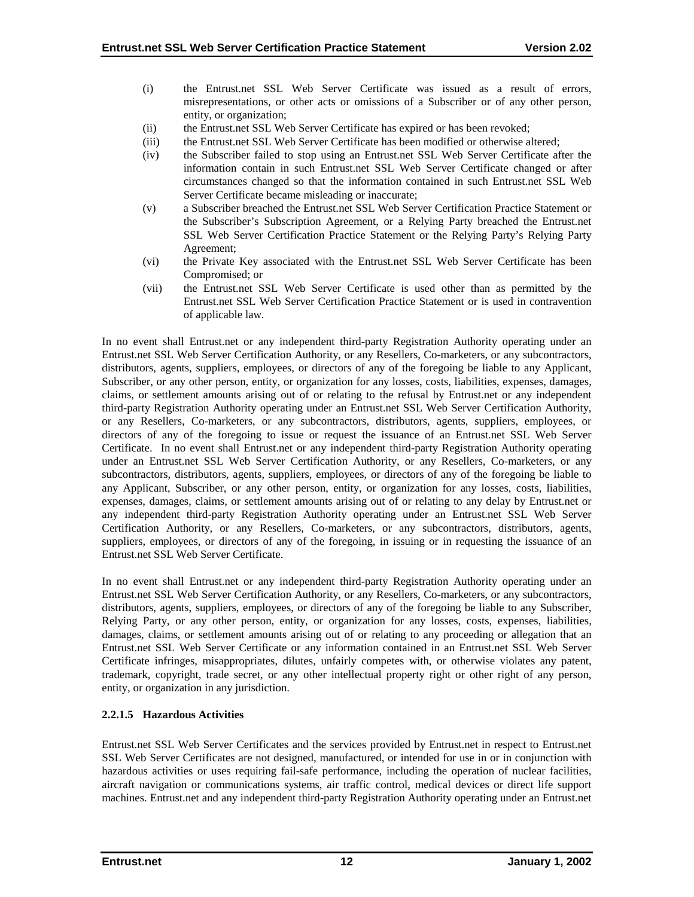- <span id="page-16-0"></span>(i) the Entrust.net SSL Web Server Certificate was issued as a result of errors, misrepresentations, or other acts or omissions of a Subscriber or of any other person, entity, or organization;
- (ii) the Entrust.net SSL Web Server Certificate has expired or has been revoked;
- (iii) the Entrust.net SSL Web Server Certificate has been modified or otherwise altered;
- (iv) the Subscriber failed to stop using an Entrust.net SSL Web Server Certificate after the information contain in such Entrust.net SSL Web Server Certificate changed or after circumstances changed so that the information contained in such Entrust.net SSL Web Server Certificate became misleading or inaccurate;
- (v) a Subscriber breached the Entrust.net SSL Web Server Certification Practice Statement or the Subscriber's Subscription Agreement, or a Relying Party breached the Entrust.net SSL Web Server Certification Practice Statement or the Relying Party's Relying Party Agreement;
- (vi) the Private Key associated with the Entrust.net SSL Web Server Certificate has been Compromised; or
- (vii) the Entrust.net SSL Web Server Certificate is used other than as permitted by the Entrust.net SSL Web Server Certification Practice Statement or is used in contravention of applicable law.

In no event shall Entrust.net or any independent third-party Registration Authority operating under an Entrust.net SSL Web Server Certification Authority, or any Resellers, Co-marketers, or any subcontractors, distributors, agents, suppliers, employees, or directors of any of the foregoing be liable to any Applicant, Subscriber, or any other person, entity, or organization for any losses, costs, liabilities, expenses, damages, claims, or settlement amounts arising out of or relating to the refusal by Entrust.net or any independent third-party Registration Authority operating under an Entrust.net SSL Web Server Certification Authority, or any Resellers, Co-marketers, or any subcontractors, distributors, agents, suppliers, employees, or directors of any of the foregoing to issue or request the issuance of an Entrust.net SSL Web Server Certificate. In no event shall Entrust.net or any independent third-party Registration Authority operating under an Entrust.net SSL Web Server Certification Authority, or any Resellers, Co-marketers, or any subcontractors, distributors, agents, suppliers, employees, or directors of any of the foregoing be liable to any Applicant, Subscriber, or any other person, entity, or organization for any losses, costs, liabilities, expenses, damages, claims, or settlement amounts arising out of or relating to any delay by Entrust.net or any independent third-party Registration Authority operating under an Entrust.net SSL Web Server Certification Authority, or any Resellers, Co-marketers, or any subcontractors, distributors, agents, suppliers, employees, or directors of any of the foregoing, in issuing or in requesting the issuance of an Entrust.net SSL Web Server Certificate.

In no event shall Entrust.net or any independent third-party Registration Authority operating under an Entrust.net SSL Web Server Certification Authority, or any Resellers, Co-marketers, or any subcontractors, distributors, agents, suppliers, employees, or directors of any of the foregoing be liable to any Subscriber, Relying Party, or any other person, entity, or organization for any losses, costs, expenses, liabilities, damages, claims, or settlement amounts arising out of or relating to any proceeding or allegation that an Entrust.net SSL Web Server Certificate or any information contained in an Entrust.net SSL Web Server Certificate infringes, misappropriates, dilutes, unfairly competes with, or otherwise violates any patent, trademark, copyright, trade secret, or any other intellectual property right or other right of any person, entity, or organization in any jurisdiction.

# **2.2.1.5 Hazardous Activities**

Entrust.net SSL Web Server Certificates and the services provided by Entrust.net in respect to Entrust.net SSL Web Server Certificates are not designed, manufactured, or intended for use in or in conjunction with hazardous activities or uses requiring fail-safe performance, including the operation of nuclear facilities, aircraft navigation or communications systems, air traffic control, medical devices or direct life support machines. Entrust.net and any independent third-party Registration Authority operating under an Entrust.net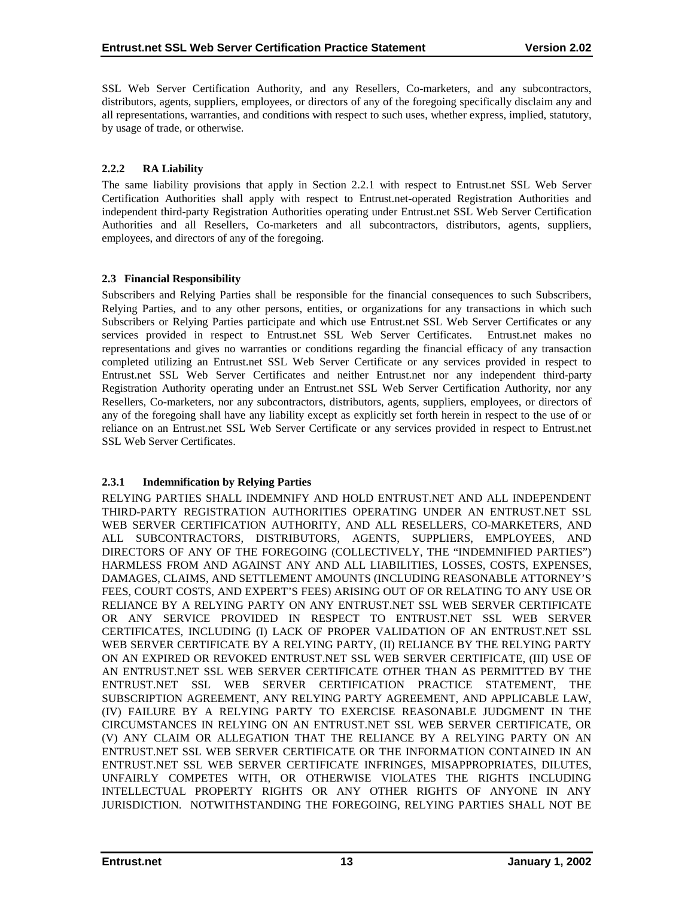<span id="page-17-0"></span>SSL Web Server Certification Authority, and any Resellers, Co-marketers, and any subcontractors, distributors, agents, suppliers, employees, or directors of any of the foregoing specifically disclaim any and all representations, warranties, and conditions with respect to such uses, whether express, implied, statutory, by usage of trade, or otherwise.

# **2.2.2 RA Liability**

The same liability provisions that apply in Section 2.2.1 with respect to Entrust.net SSL Web Server Certification Authorities shall apply with respect to Entrust.net-operated Registration Authorities and independent third-party Registration Authorities operating under Entrust.net SSL Web Server Certification Authorities and all Resellers, Co-marketers and all subcontractors, distributors, agents, suppliers, employees, and directors of any of the foregoing.

# **2.3 Financial Responsibility**

Subscribers and Relying Parties shall be responsible for the financial consequences to such Subscribers, Relying Parties, and to any other persons, entities, or organizations for any transactions in which such Subscribers or Relying Parties participate and which use Entrust.net SSL Web Server Certificates or any services provided in respect to Entrust.net SSL Web Server Certificates. Entrust.net makes no representations and gives no warranties or conditions regarding the financial efficacy of any transaction completed utilizing an Entrust.net SSL Web Server Certificate or any services provided in respect to Entrust.net SSL Web Server Certificates and neither Entrust.net nor any independent third-party Registration Authority operating under an Entrust.net SSL Web Server Certification Authority, nor any Resellers, Co-marketers, nor any subcontractors, distributors, agents, suppliers, employees, or directors of any of the foregoing shall have any liability except as explicitly set forth herein in respect to the use of or reliance on an Entrust.net SSL Web Server Certificate or any services provided in respect to Entrust.net SSL Web Server Certificates.

# **2.3.1 Indemnification by Relying Parties**

RELYING PARTIES SHALL INDEMNIFY AND HOLD ENTRUST.NET AND ALL INDEPENDENT THIRD-PARTY REGISTRATION AUTHORITIES OPERATING UNDER AN ENTRUST.NET SSL WEB SERVER CERTIFICATION AUTHORITY, AND ALL RESELLERS, CO-MARKETERS, AND ALL SUBCONTRACTORS, DISTRIBUTORS, AGENTS, SUPPLIERS, EMPLOYEES, AND DIRECTORS OF ANY OF THE FOREGOING (COLLECTIVELY, THE "INDEMNIFIED PARTIES") HARMLESS FROM AND AGAINST ANY AND ALL LIABILITIES, LOSSES, COSTS, EXPENSES, DAMAGES, CLAIMS, AND SETTLEMENT AMOUNTS (INCLUDING REASONABLE ATTORNEY'S FEES, COURT COSTS, AND EXPERT'S FEES) ARISING OUT OF OR RELATING TO ANY USE OR RELIANCE BY A RELYING PARTY ON ANY ENTRUST.NET SSL WEB SERVER CERTIFICATE OR ANY SERVICE PROVIDED IN RESPECT TO ENTRUST.NET SSL WEB SERVER CERTIFICATES, INCLUDING (I) LACK OF PROPER VALIDATION OF AN ENTRUST.NET SSL WEB SERVER CERTIFICATE BY A RELYING PARTY, (II) RELIANCE BY THE RELYING PARTY ON AN EXPIRED OR REVOKED ENTRUST.NET SSL WEB SERVER CERTIFICATE, (III) USE OF AN ENTRUST.NET SSL WEB SERVER CERTIFICATE OTHER THAN AS PERMITTED BY THE ENTRUST.NET SSL WEB SERVER CERTIFICATION PRACTICE STATEMENT, THE SUBSCRIPTION AGREEMENT, ANY RELYING PARTY AGREEMENT, AND APPLICABLE LAW, (IV) FAILURE BY A RELYING PARTY TO EXERCISE REASONABLE JUDGMENT IN THE CIRCUMSTANCES IN RELYING ON AN ENTRUST.NET SSL WEB SERVER CERTIFICATE, OR (V) ANY CLAIM OR ALLEGATION THAT THE RELIANCE BY A RELYING PARTY ON AN ENTRUST.NET SSL WEB SERVER CERTIFICATE OR THE INFORMATION CONTAINED IN AN ENTRUST.NET SSL WEB SERVER CERTIFICATE INFRINGES, MISAPPROPRIATES, DILUTES, UNFAIRLY COMPETES WITH, OR OTHERWISE VIOLATES THE RIGHTS INCLUDING INTELLECTUAL PROPERTY RIGHTS OR ANY OTHER RIGHTS OF ANYONE IN ANY JURISDICTION. NOTWITHSTANDING THE FOREGOING, RELYING PARTIES SHALL NOT BE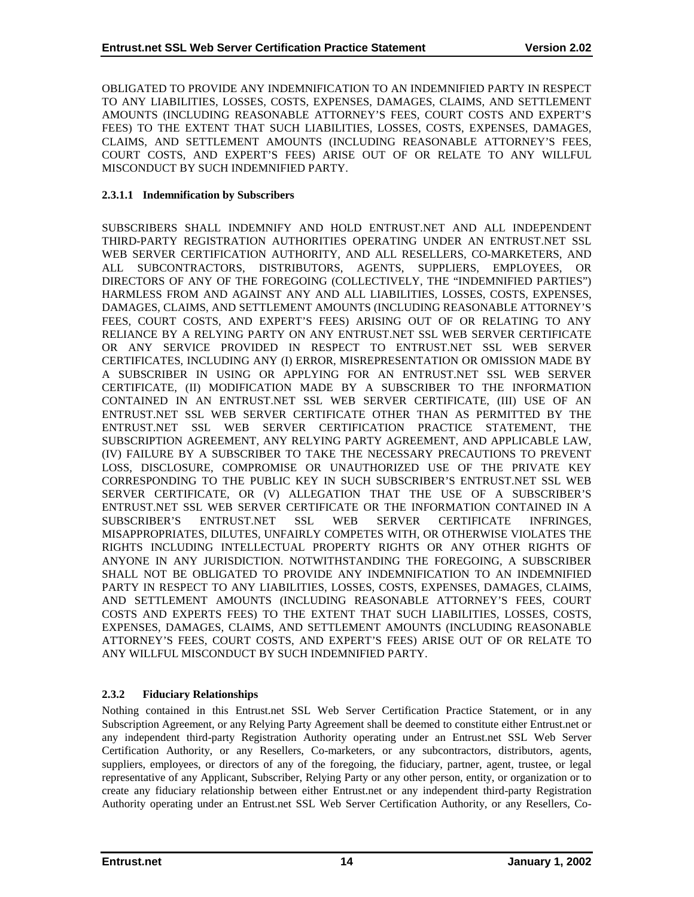<span id="page-18-0"></span>OBLIGATED TO PROVIDE ANY INDEMNIFICATION TO AN INDEMNIFIED PARTY IN RESPECT TO ANY LIABILITIES, LOSSES, COSTS, EXPENSES, DAMAGES, CLAIMS, AND SETTLEMENT AMOUNTS (INCLUDING REASONABLE ATTORNEY'S FEES, COURT COSTS AND EXPERT'S FEES) TO THE EXTENT THAT SUCH LIABILITIES, LOSSES, COSTS, EXPENSES, DAMAGES, CLAIMS, AND SETTLEMENT AMOUNTS (INCLUDING REASONABLE ATTORNEY'S FEES, COURT COSTS, AND EXPERT'S FEES) ARISE OUT OF OR RELATE TO ANY WILLFUL MISCONDUCT BY SUCH INDEMNIFIED PARTY.

#### **2.3.1.1 Indemnification by Subscribers**

SUBSCRIBERS SHALL INDEMNIFY AND HOLD ENTRUST.NET AND ALL INDEPENDENT THIRD-PARTY REGISTRATION AUTHORITIES OPERATING UNDER AN ENTRUST.NET SSL WEB SERVER CERTIFICATION AUTHORITY, AND ALL RESELLERS, CO-MARKETERS, AND ALL SUBCONTRACTORS, DISTRIBUTORS, AGENTS, SUPPLIERS, EMPLOYEES, OR DIRECTORS OF ANY OF THE FOREGOING (COLLECTIVELY, THE "INDEMNIFIED PARTIES") HARMLESS FROM AND AGAINST ANY AND ALL LIABILITIES, LOSSES, COSTS, EXPENSES, DAMAGES, CLAIMS, AND SETTLEMENT AMOUNTS (INCLUDING REASONABLE ATTORNEY'S FEES, COURT COSTS, AND EXPERT'S FEES) ARISING OUT OF OR RELATING TO ANY RELIANCE BY A RELYING PARTY ON ANY ENTRUST.NET SSL WEB SERVER CERTIFICATE OR ANY SERVICE PROVIDED IN RESPECT TO ENTRUST.NET SSL WEB SERVER CERTIFICATES, INCLUDING ANY (I) ERROR, MISREPRESENTATION OR OMISSION MADE BY A SUBSCRIBER IN USING OR APPLYING FOR AN ENTRUST.NET SSL WEB SERVER CERTIFICATE, (II) MODIFICATION MADE BY A SUBSCRIBER TO THE INFORMATION CONTAINED IN AN ENTRUST.NET SSL WEB SERVER CERTIFICATE, (III) USE OF AN ENTRUST.NET SSL WEB SERVER CERTIFICATE OTHER THAN AS PERMITTED BY THE ENTRUST.NET SSL WEB SERVER CERTIFICATION PRACTICE STATEMENT, THE SUBSCRIPTION AGREEMENT, ANY RELYING PARTY AGREEMENT, AND APPLICABLE LAW, (IV) FAILURE BY A SUBSCRIBER TO TAKE THE NECESSARY PRECAUTIONS TO PREVENT LOSS, DISCLOSURE, COMPROMISE OR UNAUTHORIZED USE OF THE PRIVATE KEY CORRESPONDING TO THE PUBLIC KEY IN SUCH SUBSCRIBER'S ENTRUST.NET SSL WEB SERVER CERTIFICATE, OR (V) ALLEGATION THAT THE USE OF A SUBSCRIBER'S ENTRUST.NET SSL WEB SERVER CERTIFICATE OR THE INFORMATION CONTAINED IN A SUBSCRIBER'S ENTRUST.NET SSL WEB SERVER CERTIFICATE INFRINGES, MISAPPROPRIATES, DILUTES, UNFAIRLY COMPETES WITH, OR OTHERWISE VIOLATES THE RIGHTS INCLUDING INTELLECTUAL PROPERTY RIGHTS OR ANY OTHER RIGHTS OF ANYONE IN ANY JURISDICTION. NOTWITHSTANDING THE FOREGOING, A SUBSCRIBER SHALL NOT BE OBLIGATED TO PROVIDE ANY INDEMNIFICATION TO AN INDEMNIFIED PARTY IN RESPECT TO ANY LIABILITIES, LOSSES, COSTS, EXPENSES, DAMAGES, CLAIMS, AND SETTLEMENT AMOUNTS (INCLUDING REASONABLE ATTORNEY'S FEES, COURT COSTS AND EXPERTS FEES) TO THE EXTENT THAT SUCH LIABILITIES, LOSSES, COSTS, EXPENSES, DAMAGES, CLAIMS, AND SETTLEMENT AMOUNTS (INCLUDING REASONABLE ATTORNEY'S FEES, COURT COSTS, AND EXPERT'S FEES) ARISE OUT OF OR RELATE TO ANY WILLFUL MISCONDUCT BY SUCH INDEMNIFIED PARTY.

# **2.3.2 Fiduciary Relationships**

Nothing contained in this Entrust.net SSL Web Server Certification Practice Statement, or in any Subscription Agreement, or any Relying Party Agreement shall be deemed to constitute either Entrust.net or any independent third-party Registration Authority operating under an Entrust.net SSL Web Server Certification Authority, or any Resellers, Co-marketers, or any subcontractors, distributors, agents, suppliers, employees, or directors of any of the foregoing, the fiduciary, partner, agent, trustee, or legal representative of any Applicant, Subscriber, Relying Party or any other person, entity, or organization or to create any fiduciary relationship between either Entrust.net or any independent third-party Registration Authority operating under an Entrust.net SSL Web Server Certification Authority, or any Resellers, Co-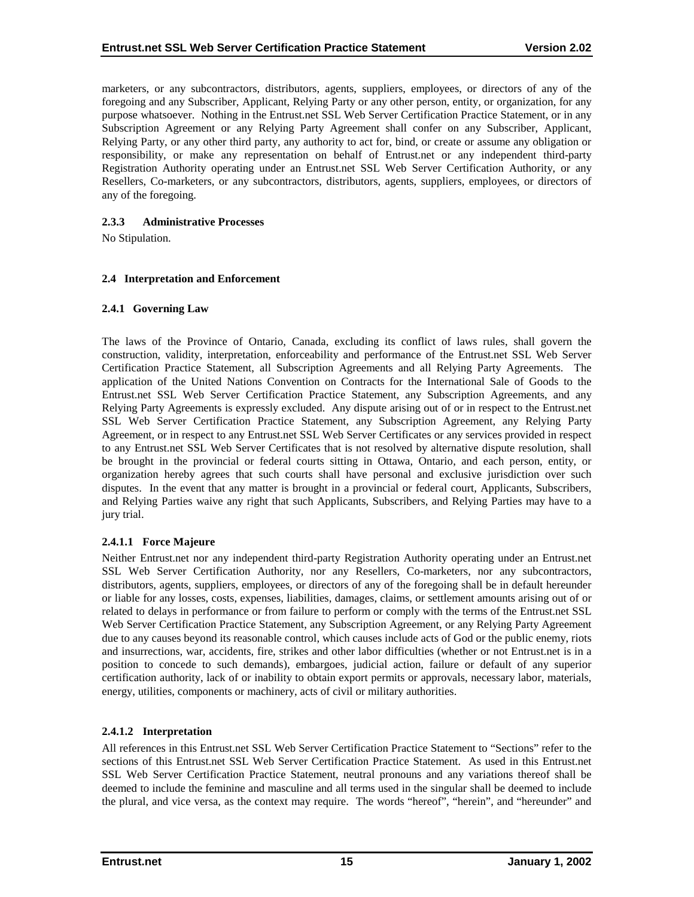<span id="page-19-0"></span>marketers, or any subcontractors, distributors, agents, suppliers, employees, or directors of any of the foregoing and any Subscriber, Applicant, Relying Party or any other person, entity, or organization, for any purpose whatsoever. Nothing in the Entrust.net SSL Web Server Certification Practice Statement, or in any Subscription Agreement or any Relying Party Agreement shall confer on any Subscriber, Applicant, Relying Party, or any other third party, any authority to act for, bind, or create or assume any obligation or responsibility, or make any representation on behalf of Entrust.net or any independent third-party Registration Authority operating under an Entrust.net SSL Web Server Certification Authority, or any Resellers, Co-marketers, or any subcontractors, distributors, agents, suppliers, employees, or directors of any of the foregoing.

# **2.3.3 Administrative Processes**

No Stipulation.

## **2.4 Interpretation and Enforcement**

## **2.4.1 Governing Law**

The laws of the Province of Ontario, Canada, excluding its conflict of laws rules, shall govern the construction, validity, interpretation, enforceability and performance of the Entrust.net SSL Web Server Certification Practice Statement, all Subscription Agreements and all Relying Party Agreements. The application of the United Nations Convention on Contracts for the International Sale of Goods to the Entrust.net SSL Web Server Certification Practice Statement, any Subscription Agreements, and any Relying Party Agreements is expressly excluded. Any dispute arising out of or in respect to the Entrust.net SSL Web Server Certification Practice Statement, any Subscription Agreement, any Relying Party Agreement, or in respect to any Entrust.net SSL Web Server Certificates or any services provided in respect to any Entrust.net SSL Web Server Certificates that is not resolved by alternative dispute resolution, shall be brought in the provincial or federal courts sitting in Ottawa, Ontario, and each person, entity, or organization hereby agrees that such courts shall have personal and exclusive jurisdiction over such disputes. In the event that any matter is brought in a provincial or federal court, Applicants, Subscribers, and Relying Parties waive any right that such Applicants, Subscribers, and Relying Parties may have to a jury trial.

# **2.4.1.1 Force Majeure**

Neither Entrust.net nor any independent third-party Registration Authority operating under an Entrust.net SSL Web Server Certification Authority, nor any Resellers, Co-marketers, nor any subcontractors, distributors, agents, suppliers, employees, or directors of any of the foregoing shall be in default hereunder or liable for any losses, costs, expenses, liabilities, damages, claims, or settlement amounts arising out of or related to delays in performance or from failure to perform or comply with the terms of the Entrust.net SSL Web Server Certification Practice Statement, any Subscription Agreement, or any Relying Party Agreement due to any causes beyond its reasonable control, which causes include acts of God or the public enemy, riots and insurrections, war, accidents, fire, strikes and other labor difficulties (whether or not Entrust.net is in a position to concede to such demands), embargoes, judicial action, failure or default of any superior certification authority, lack of or inability to obtain export permits or approvals, necessary labor, materials, energy, utilities, components or machinery, acts of civil or military authorities.

# **2.4.1.2 Interpretation**

All references in this Entrust.net SSL Web Server Certification Practice Statement to "Sections" refer to the sections of this Entrust.net SSL Web Server Certification Practice Statement. As used in this Entrust.net SSL Web Server Certification Practice Statement, neutral pronouns and any variations thereof shall be deemed to include the feminine and masculine and all terms used in the singular shall be deemed to include the plural, and vice versa, as the context may require. The words "hereof", "herein", and "hereunder" and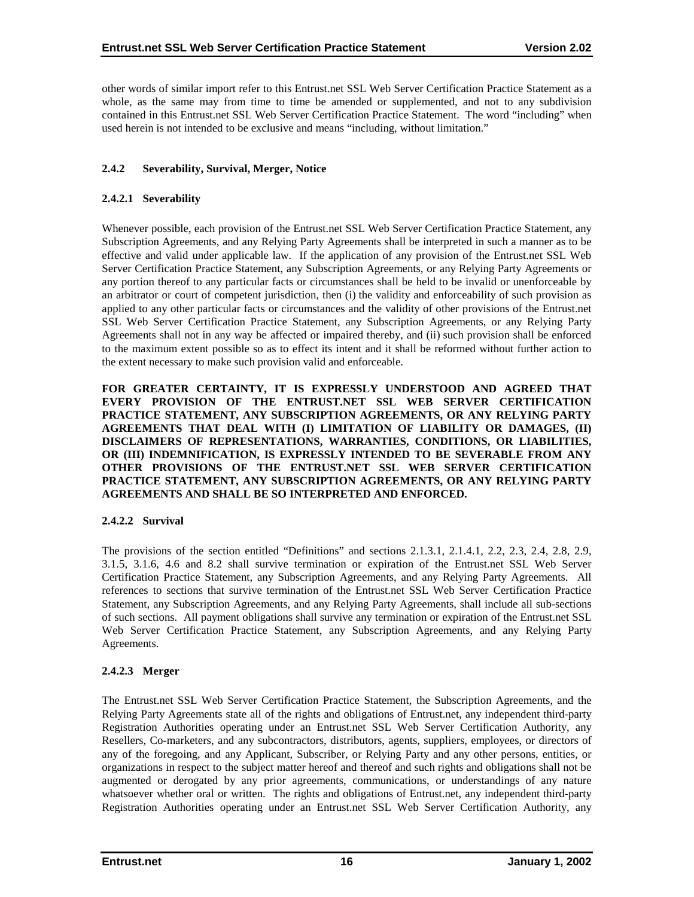<span id="page-20-0"></span>other words of similar import refer to this Entrust.net SSL Web Server Certification Practice Statement as a whole, as the same may from time to time be amended or supplemented, and not to any subdivision contained in this Entrust.net SSL Web Server Certification Practice Statement. The word "including" when used herein is not intended to be exclusive and means "including, without limitation."

# **2.4.2 Severability, Survival, Merger, Notice**

# **2.4.2.1 Severability**

Whenever possible, each provision of the Entrust.net SSL Web Server Certification Practice Statement, any Subscription Agreements, and any Relying Party Agreements shall be interpreted in such a manner as to be effective and valid under applicable law. If the application of any provision of the Entrust.net SSL Web Server Certification Practice Statement, any Subscription Agreements, or any Relying Party Agreements or any portion thereof to any particular facts or circumstances shall be held to be invalid or unenforceable by an arbitrator or court of competent jurisdiction, then (i) the validity and enforceability of such provision as applied to any other particular facts or circumstances and the validity of other provisions of the Entrust.net SSL Web Server Certification Practice Statement, any Subscription Agreements, or any Relying Party Agreements shall not in any way be affected or impaired thereby, and (ii) such provision shall be enforced to the maximum extent possible so as to effect its intent and it shall be reformed without further action to the extent necessary to make such provision valid and enforceable.

**FOR GREATER CERTAINTY, IT IS EXPRESSLY UNDERSTOOD AND AGREED THAT EVERY PROVISION OF THE ENTRUST.NET SSL WEB SERVER CERTIFICATION PRACTICE STATEMENT, ANY SUBSCRIPTION AGREEMENTS, OR ANY RELYING PARTY AGREEMENTS THAT DEAL WITH (I) LIMITATION OF LIABILITY OR DAMAGES, (II) DISCLAIMERS OF REPRESENTATIONS, WARRANTIES, CONDITIONS, OR LIABILITIES, OR (III) INDEMNIFICATION, IS EXPRESSLY INTENDED TO BE SEVERABLE FROM ANY OTHER PROVISIONS OF THE ENTRUST.NET SSL WEB SERVER CERTIFICATION PRACTICE STATEMENT, ANY SUBSCRIPTION AGREEMENTS, OR ANY RELYING PARTY AGREEMENTS AND SHALL BE SO INTERPRETED AND ENFORCED.** 

# **2.4.2.2 Survival**

The provisions of the section entitled "Definitions" and sections 2.1.3.1, 2.1.4.1, 2.2, 2.3, 2.4, 2.8, 2.9, 3.1.5, 3.1.6, 4.6 and 8.2 shall survive termination or expiration of the Entrust.net SSL Web Server Certification Practice Statement, any Subscription Agreements, and any Relying Party Agreements. All references to sections that survive termination of the Entrust.net SSL Web Server Certification Practice Statement, any Subscription Agreements, and any Relying Party Agreements, shall include all sub-sections of such sections. All payment obligations shall survive any termination or expiration of the Entrust.net SSL Web Server Certification Practice Statement, any Subscription Agreements, and any Relying Party Agreements.

# **2.4.2.3 Merger**

The Entrust.net SSL Web Server Certification Practice Statement, the Subscription Agreements, and the Relying Party Agreements state all of the rights and obligations of Entrust.net, any independent third-party Registration Authorities operating under an Entrust.net SSL Web Server Certification Authority, any Resellers, Co-marketers, and any subcontractors, distributors, agents, suppliers, employees, or directors of any of the foregoing, and any Applicant, Subscriber, or Relying Party and any other persons, entities, or organizations in respect to the subject matter hereof and thereof and such rights and obligations shall not be augmented or derogated by any prior agreements, communications, or understandings of any nature whatsoever whether oral or written. The rights and obligations of Entrust.net, any independent third-party Registration Authorities operating under an Entrust.net SSL Web Server Certification Authority, any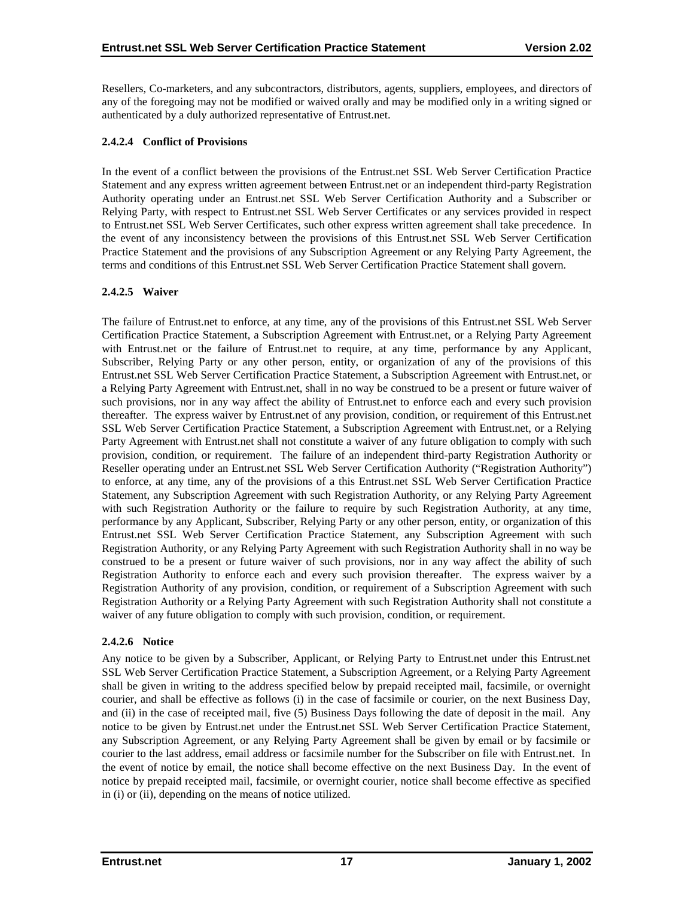Resellers, Co-marketers, and any subcontractors, distributors, agents, suppliers, employees, and directors of any of the foregoing may not be modified or waived orally and may be modified only in a writing signed or authenticated by a duly authorized representative of Entrust.net.

# **2.4.2.4 Conflict of Provisions**

In the event of a conflict between the provisions of the Entrust.net SSL Web Server Certification Practice Statement and any express written agreement between Entrust.net or an independent third-party Registration Authority operating under an Entrust.net SSL Web Server Certification Authority and a Subscriber or Relying Party, with respect to Entrust.net SSL Web Server Certificates or any services provided in respect to Entrust.net SSL Web Server Certificates, such other express written agreement shall take precedence. In the event of any inconsistency between the provisions of this Entrust.net SSL Web Server Certification Practice Statement and the provisions of any Subscription Agreement or any Relying Party Agreement, the terms and conditions of this Entrust.net SSL Web Server Certification Practice Statement shall govern.

# **2.4.2.5 Waiver**

The failure of Entrust.net to enforce, at any time, any of the provisions of this Entrust.net SSL Web Server Certification Practice Statement, a Subscription Agreement with Entrust.net, or a Relying Party Agreement with Entrust.net or the failure of Entrust.net to require, at any time, performance by any Applicant, Subscriber, Relying Party or any other person, entity, or organization of any of the provisions of this Entrust.net SSL Web Server Certification Practice Statement, a Subscription Agreement with Entrust.net, or a Relying Party Agreement with Entrust.net, shall in no way be construed to be a present or future waiver of such provisions, nor in any way affect the ability of Entrust.net to enforce each and every such provision thereafter. The express waiver by Entrust.net of any provision, condition, or requirement of this Entrust.net SSL Web Server Certification Practice Statement, a Subscription Agreement with Entrust.net, or a Relying Party Agreement with Entrust.net shall not constitute a waiver of any future obligation to comply with such provision, condition, or requirement. The failure of an independent third-party Registration Authority or Reseller operating under an Entrust.net SSL Web Server Certification Authority ("Registration Authority") to enforce, at any time, any of the provisions of a this Entrust.net SSL Web Server Certification Practice Statement, any Subscription Agreement with such Registration Authority, or any Relying Party Agreement with such Registration Authority or the failure to require by such Registration Authority, at any time, performance by any Applicant, Subscriber, Relying Party or any other person, entity, or organization of this Entrust.net SSL Web Server Certification Practice Statement, any Subscription Agreement with such Registration Authority, or any Relying Party Agreement with such Registration Authority shall in no way be construed to be a present or future waiver of such provisions, nor in any way affect the ability of such Registration Authority to enforce each and every such provision thereafter. The express waiver by a Registration Authority of any provision, condition, or requirement of a Subscription Agreement with such Registration Authority or a Relying Party Agreement with such Registration Authority shall not constitute a waiver of any future obligation to comply with such provision, condition, or requirement.

# **2.4.2.6 Notice**

Any notice to be given by a Subscriber, Applicant, or Relying Party to Entrust.net under this Entrust.net SSL Web Server Certification Practice Statement, a Subscription Agreement, or a Relying Party Agreement shall be given in writing to the address specified below by prepaid receipted mail, facsimile, or overnight courier, and shall be effective as follows (i) in the case of facsimile or courier, on the next Business Day, and (ii) in the case of receipted mail, five (5) Business Days following the date of deposit in the mail. Any notice to be given by Entrust.net under the Entrust.net SSL Web Server Certification Practice Statement, any Subscription Agreement, or any Relying Party Agreement shall be given by email or by facsimile or courier to the last address, email address or facsimile number for the Subscriber on file with Entrust.net. In the event of notice by email, the notice shall become effective on the next Business Day. In the event of notice by prepaid receipted mail, facsimile, or overnight courier, notice shall become effective as specified in (i) or (ii), depending on the means of notice utilized.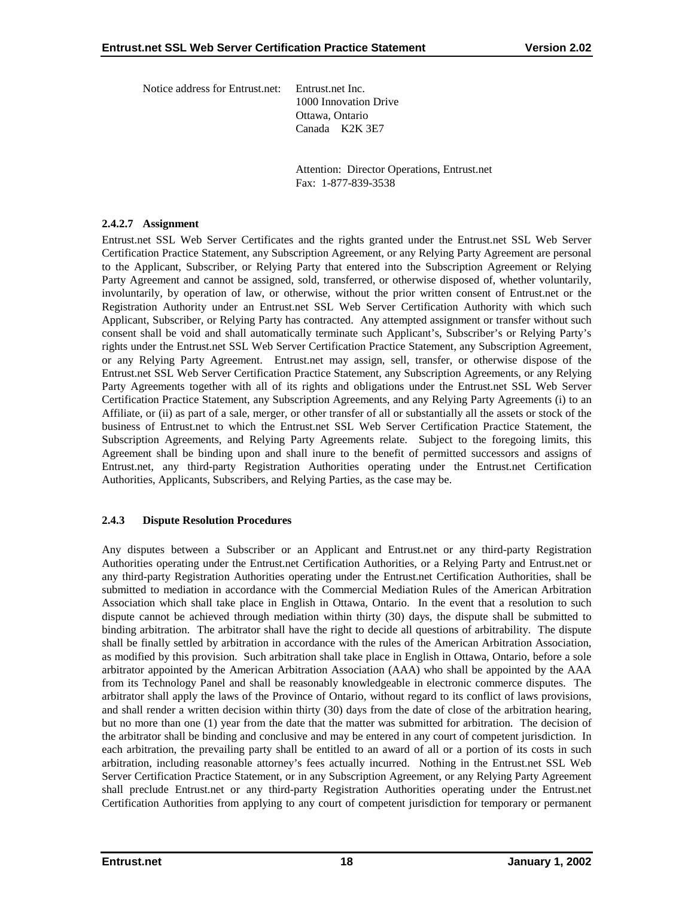<span id="page-22-0"></span>Notice address for Entrust.net: Entrust.net Inc.

1000 Innovation Drive Ottawa, Ontario Canada K2K 3E7

 Attention: Director Operations, Entrust.net Fax: 1-877-839-3538

## **2.4.2.7 Assignment**

Entrust.net SSL Web Server Certificates and the rights granted under the Entrust.net SSL Web Server Certification Practice Statement, any Subscription Agreement, or any Relying Party Agreement are personal to the Applicant, Subscriber, or Relying Party that entered into the Subscription Agreement or Relying Party Agreement and cannot be assigned, sold, transferred, or otherwise disposed of, whether voluntarily, involuntarily, by operation of law, or otherwise, without the prior written consent of Entrust.net or the Registration Authority under an Entrust.net SSL Web Server Certification Authority with which such Applicant, Subscriber, or Relying Party has contracted. Any attempted assignment or transfer without such consent shall be void and shall automatically terminate such Applicant's, Subscriber's or Relying Party's rights under the Entrust.net SSL Web Server Certification Practice Statement, any Subscription Agreement, or any Relying Party Agreement. Entrust.net may assign, sell, transfer, or otherwise dispose of the Entrust.net SSL Web Server Certification Practice Statement, any Subscription Agreements, or any Relying Party Agreements together with all of its rights and obligations under the Entrust.net SSL Web Server Certification Practice Statement, any Subscription Agreements, and any Relying Party Agreements (i) to an Affiliate, or (ii) as part of a sale, merger, or other transfer of all or substantially all the assets or stock of the business of Entrust.net to which the Entrust.net SSL Web Server Certification Practice Statement, the Subscription Agreements, and Relying Party Agreements relate. Subject to the foregoing limits, this Agreement shall be binding upon and shall inure to the benefit of permitted successors and assigns of Entrust.net, any third-party Registration Authorities operating under the Entrust.net Certification Authorities, Applicants, Subscribers, and Relying Parties, as the case may be.

# **2.4.3 Dispute Resolution Procedures**

Any disputes between a Subscriber or an Applicant and Entrust.net or any third-party Registration Authorities operating under the Entrust.net Certification Authorities, or a Relying Party and Entrust.net or any third-party Registration Authorities operating under the Entrust.net Certification Authorities, shall be submitted to mediation in accordance with the Commercial Mediation Rules of the American Arbitration Association which shall take place in English in Ottawa, Ontario. In the event that a resolution to such dispute cannot be achieved through mediation within thirty (30) days, the dispute shall be submitted to binding arbitration. The arbitrator shall have the right to decide all questions of arbitrability. The dispute shall be finally settled by arbitration in accordance with the rules of the American Arbitration Association, as modified by this provision. Such arbitration shall take place in English in Ottawa, Ontario, before a sole arbitrator appointed by the American Arbitration Association (AAA) who shall be appointed by the AAA from its Technology Panel and shall be reasonably knowledgeable in electronic commerce disputes. The arbitrator shall apply the laws of the Province of Ontario, without regard to its conflict of laws provisions, and shall render a written decision within thirty (30) days from the date of close of the arbitration hearing, but no more than one (1) year from the date that the matter was submitted for arbitration. The decision of the arbitrator shall be binding and conclusive and may be entered in any court of competent jurisdiction. In each arbitration, the prevailing party shall be entitled to an award of all or a portion of its costs in such arbitration, including reasonable attorney's fees actually incurred. Nothing in the Entrust.net SSL Web Server Certification Practice Statement, or in any Subscription Agreement, or any Relying Party Agreement shall preclude Entrust.net or any third-party Registration Authorities operating under the Entrust.net Certification Authorities from applying to any court of competent jurisdiction for temporary or permanent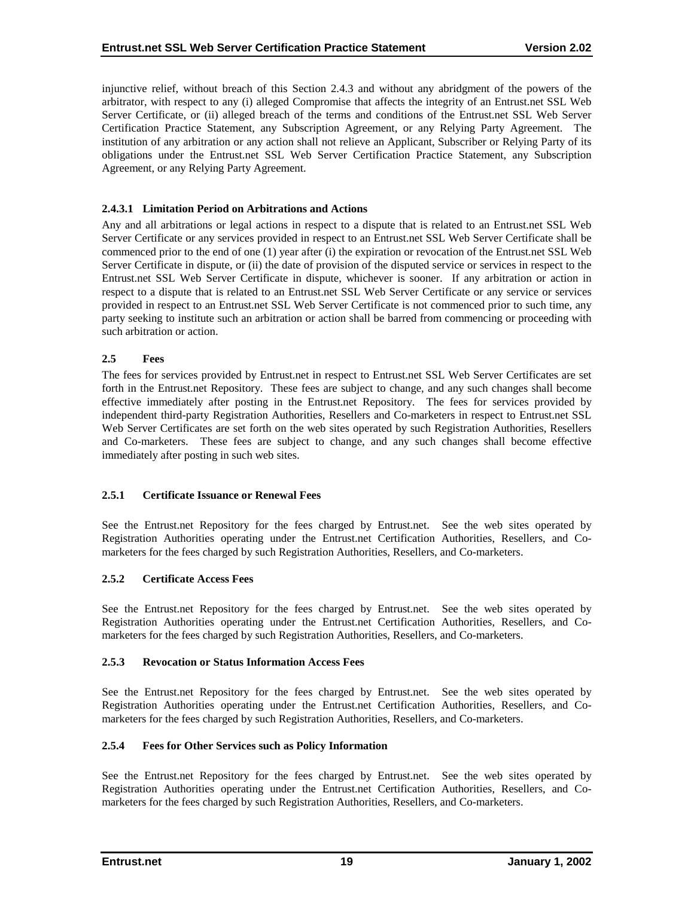<span id="page-23-0"></span>injunctive relief, without breach of this Section 2.4.3 and without any abridgment of the powers of the arbitrator, with respect to any (i) alleged Compromise that affects the integrity of an Entrust.net SSL Web Server Certificate, or (ii) alleged breach of the terms and conditions of the Entrust.net SSL Web Server Certification Practice Statement, any Subscription Agreement, or any Relying Party Agreement. The institution of any arbitration or any action shall not relieve an Applicant, Subscriber or Relying Party of its obligations under the Entrust.net SSL Web Server Certification Practice Statement, any Subscription Agreement, or any Relying Party Agreement.

## **2.4.3.1 Limitation Period on Arbitrations and Actions**

Any and all arbitrations or legal actions in respect to a dispute that is related to an Entrust.net SSL Web Server Certificate or any services provided in respect to an Entrust.net SSL Web Server Certificate shall be commenced prior to the end of one (1) year after (i) the expiration or revocation of the Entrust.net SSL Web Server Certificate in dispute, or (ii) the date of provision of the disputed service or services in respect to the Entrust.net SSL Web Server Certificate in dispute, whichever is sooner. If any arbitration or action in respect to a dispute that is related to an Entrust.net SSL Web Server Certificate or any service or services provided in respect to an Entrust.net SSL Web Server Certificate is not commenced prior to such time, any party seeking to institute such an arbitration or action shall be barred from commencing or proceeding with such arbitration or action.

## **2.5 Fees**

The fees for services provided by Entrust.net in respect to Entrust.net SSL Web Server Certificates are set forth in the Entrust.net Repository. These fees are subject to change, and any such changes shall become effective immediately after posting in the Entrust.net Repository. The fees for services provided by independent third-party Registration Authorities, Resellers and Co-marketers in respect to Entrust.net SSL Web Server Certificates are set forth on the web sites operated by such Registration Authorities, Resellers and Co-marketers. These fees are subject to change, and any such changes shall become effective immediately after posting in such web sites.

#### **2.5.1 Certificate Issuance or Renewal Fees**

See the Entrust.net Repository for the fees charged by Entrust.net. See the web sites operated by Registration Authorities operating under the Entrust.net Certification Authorities, Resellers, and Comarketers for the fees charged by such Registration Authorities, Resellers, and Co-marketers.

#### **2.5.2 Certificate Access Fees**

See the Entrust.net Repository for the fees charged by Entrust.net. See the web sites operated by Registration Authorities operating under the Entrust.net Certification Authorities, Resellers, and Comarketers for the fees charged by such Registration Authorities, Resellers, and Co-marketers.

#### **2.5.3 Revocation or Status Information Access Fees**

See the Entrust.net Repository for the fees charged by Entrust.net. See the web sites operated by Registration Authorities operating under the Entrust.net Certification Authorities, Resellers, and Comarketers for the fees charged by such Registration Authorities, Resellers, and Co-marketers.

#### **2.5.4 Fees for Other Services such as Policy Information**

See the Entrust.net Repository for the fees charged by Entrust.net. See the web sites operated by Registration Authorities operating under the Entrust.net Certification Authorities, Resellers, and Comarketers for the fees charged by such Registration Authorities, Resellers, and Co-marketers.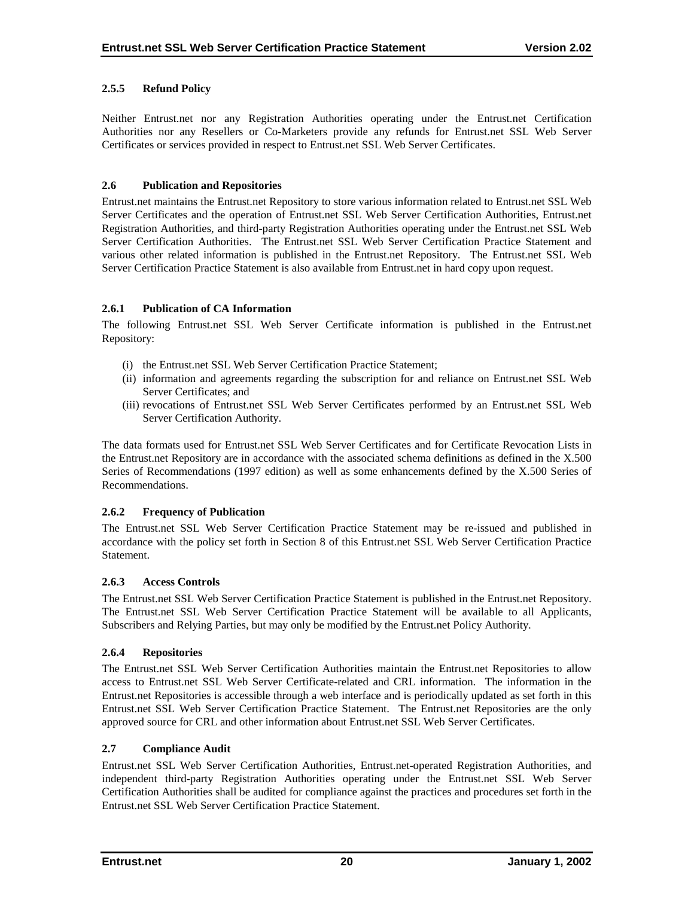# <span id="page-24-0"></span>**2.5.5 Refund Policy**

Neither Entrust.net nor any Registration Authorities operating under the Entrust.net Certification Authorities nor any Resellers or Co-Marketers provide any refunds for Entrust.net SSL Web Server Certificates or services provided in respect to Entrust.net SSL Web Server Certificates.

## **2.6 Publication and Repositories**

Entrust.net maintains the Entrust.net Repository to store various information related to Entrust.net SSL Web Server Certificates and the operation of Entrust.net SSL Web Server Certification Authorities, Entrust.net Registration Authorities, and third-party Registration Authorities operating under the Entrust.net SSL Web Server Certification Authorities. The Entrust.net SSL Web Server Certification Practice Statement and various other related information is published in the Entrust.net Repository. The Entrust.net SSL Web Server Certification Practice Statement is also available from Entrust.net in hard copy upon request.

# **2.6.1 Publication of CA Information**

The following Entrust.net SSL Web Server Certificate information is published in the Entrust.net Repository:

- (i) the Entrust.net SSL Web Server Certification Practice Statement;
- (ii) information and agreements regarding the subscription for and reliance on Entrust.net SSL Web Server Certificates; and
- (iii) revocations of Entrust.net SSL Web Server Certificates performed by an Entrust.net SSL Web Server Certification Authority.

The data formats used for Entrust.net SSL Web Server Certificates and for Certificate Revocation Lists in the Entrust.net Repository are in accordance with the associated schema definitions as defined in the X.500 Series of Recommendations (1997 edition) as well as some enhancements defined by the X.500 Series of Recommendations.

# **2.6.2 Frequency of Publication**

The Entrust.net SSL Web Server Certification Practice Statement may be re-issued and published in accordance with the policy set forth in Section 8 of this Entrust.net SSL Web Server Certification Practice Statement.

# **2.6.3 Access Controls**

The Entrust.net SSL Web Server Certification Practice Statement is published in the Entrust.net Repository. The Entrust.net SSL Web Server Certification Practice Statement will be available to all Applicants, Subscribers and Relying Parties, but may only be modified by the Entrust.net Policy Authority.

# **2.6.4 Repositories**

The Entrust.net SSL Web Server Certification Authorities maintain the Entrust.net Repositories to allow access to Entrust.net SSL Web Server Certificate-related and CRL information. The information in the Entrust.net Repositories is accessible through a web interface and is periodically updated as set forth in this Entrust.net SSL Web Server Certification Practice Statement. The Entrust.net Repositories are the only approved source for CRL and other information about Entrust.net SSL Web Server Certificates.

## **2.7 Compliance Audit**

Entrust.net SSL Web Server Certification Authorities, Entrust.net-operated Registration Authorities, and independent third-party Registration Authorities operating under the Entrust.net SSL Web Server Certification Authorities shall be audited for compliance against the practices and procedures set forth in the Entrust.net SSL Web Server Certification Practice Statement.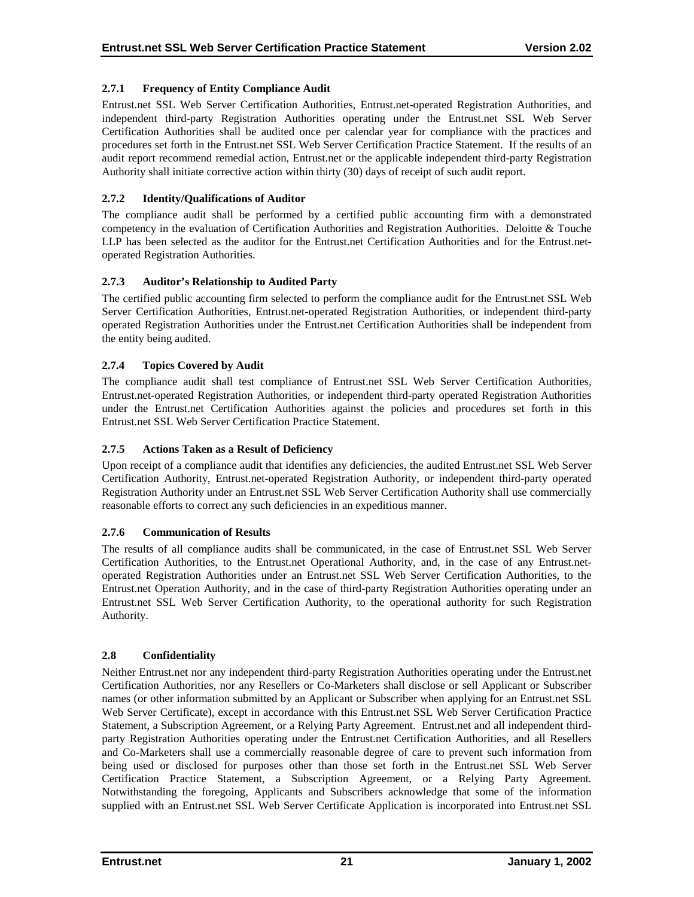# <span id="page-25-0"></span>**2.7.1 Frequency of Entity Compliance Audit**

Entrust.net SSL Web Server Certification Authorities, Entrust.net-operated Registration Authorities, and independent third-party Registration Authorities operating under the Entrust.net SSL Web Server Certification Authorities shall be audited once per calendar year for compliance with the practices and procedures set forth in the Entrust.net SSL Web Server Certification Practice Statement. If the results of an audit report recommend remedial action, Entrust.net or the applicable independent third-party Registration Authority shall initiate corrective action within thirty (30) days of receipt of such audit report.

# **2.7.2 Identity/Qualifications of Auditor**

The compliance audit shall be performed by a certified public accounting firm with a demonstrated competency in the evaluation of Certification Authorities and Registration Authorities. Deloitte & Touche LLP has been selected as the auditor for the Entrust.net Certification Authorities and for the Entrust.netoperated Registration Authorities.

# **2.7.3 Auditor's Relationship to Audited Party**

The certified public accounting firm selected to perform the compliance audit for the Entrust.net SSL Web Server Certification Authorities, Entrust.net-operated Registration Authorities, or independent third-party operated Registration Authorities under the Entrust.net Certification Authorities shall be independent from the entity being audited.

# **2.7.4 Topics Covered by Audit**

The compliance audit shall test compliance of Entrust.net SSL Web Server Certification Authorities, Entrust.net-operated Registration Authorities, or independent third-party operated Registration Authorities under the Entrust.net Certification Authorities against the policies and procedures set forth in this Entrust.net SSL Web Server Certification Practice Statement.

# **2.7.5 Actions Taken as a Result of Deficiency**

Upon receipt of a compliance audit that identifies any deficiencies, the audited Entrust.net SSL Web Server Certification Authority, Entrust.net-operated Registration Authority, or independent third-party operated Registration Authority under an Entrust.net SSL Web Server Certification Authority shall use commercially reasonable efforts to correct any such deficiencies in an expeditious manner.

# **2.7.6 Communication of Results**

The results of all compliance audits shall be communicated, in the case of Entrust.net SSL Web Server Certification Authorities, to the Entrust.net Operational Authority, and, in the case of any Entrust.netoperated Registration Authorities under an Entrust.net SSL Web Server Certification Authorities, to the Entrust.net Operation Authority, and in the case of third-party Registration Authorities operating under an Entrust.net SSL Web Server Certification Authority, to the operational authority for such Registration Authority.

# **2.8 Confidentiality**

Neither Entrust.net nor any independent third-party Registration Authorities operating under the Entrust.net Certification Authorities, nor any Resellers or Co-Marketers shall disclose or sell Applicant or Subscriber names (or other information submitted by an Applicant or Subscriber when applying for an Entrust.net SSL Web Server Certificate), except in accordance with this Entrust.net SSL Web Server Certification Practice Statement, a Subscription Agreement, or a Relying Party Agreement. Entrust.net and all independent thirdparty Registration Authorities operating under the Entrust.net Certification Authorities, and all Resellers and Co-Marketers shall use a commercially reasonable degree of care to prevent such information from being used or disclosed for purposes other than those set forth in the Entrust.net SSL Web Server Certification Practice Statement, a Subscription Agreement, or a Relying Party Agreement. Notwithstanding the foregoing, Applicants and Subscribers acknowledge that some of the information supplied with an Entrust.net SSL Web Server Certificate Application is incorporated into Entrust.net SSL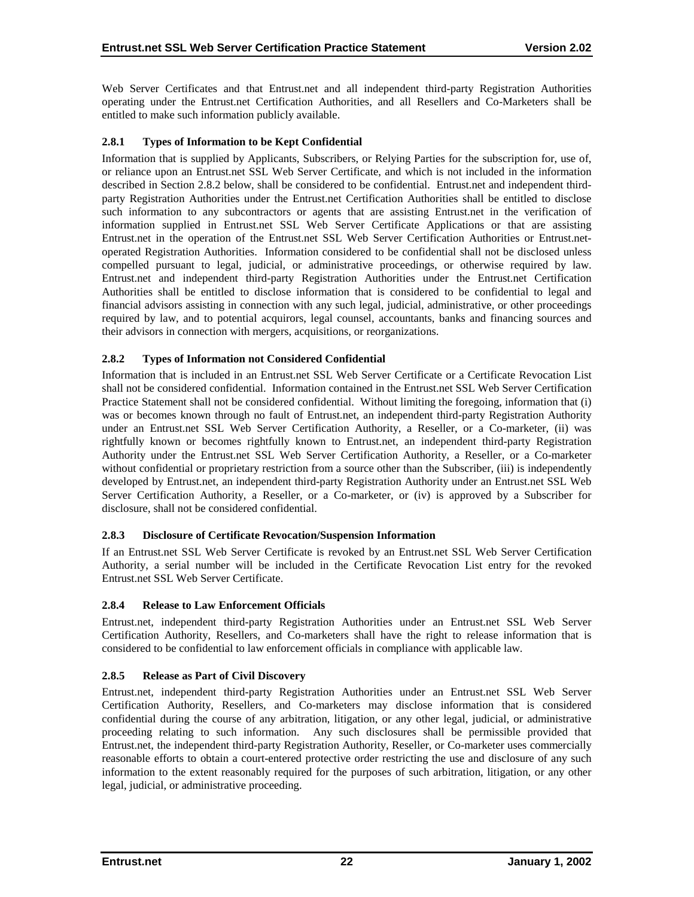<span id="page-26-0"></span>Web Server Certificates and that Entrust.net and all independent third-party Registration Authorities operating under the Entrust.net Certification Authorities, and all Resellers and Co-Marketers shall be entitled to make such information publicly available.

## **2.8.1 Types of Information to be Kept Confidential**

Information that is supplied by Applicants, Subscribers, or Relying Parties for the subscription for, use of, or reliance upon an Entrust.net SSL Web Server Certificate, and which is not included in the information described in Section 2.8.2 below, shall be considered to be confidential. Entrust.net and independent thirdparty Registration Authorities under the Entrust.net Certification Authorities shall be entitled to disclose such information to any subcontractors or agents that are assisting Entrust.net in the verification of information supplied in Entrust.net SSL Web Server Certificate Applications or that are assisting Entrust.net in the operation of the Entrust.net SSL Web Server Certification Authorities or Entrust.netoperated Registration Authorities. Information considered to be confidential shall not be disclosed unless compelled pursuant to legal, judicial, or administrative proceedings, or otherwise required by law. Entrust.net and independent third-party Registration Authorities under the Entrust.net Certification Authorities shall be entitled to disclose information that is considered to be confidential to legal and financial advisors assisting in connection with any such legal, judicial, administrative, or other proceedings required by law, and to potential acquirors, legal counsel, accountants, banks and financing sources and their advisors in connection with mergers, acquisitions, or reorganizations.

## **2.8.2 Types of Information not Considered Confidential**

Information that is included in an Entrust.net SSL Web Server Certificate or a Certificate Revocation List shall not be considered confidential. Information contained in the Entrust.net SSL Web Server Certification Practice Statement shall not be considered confidential. Without limiting the foregoing, information that (i) was or becomes known through no fault of Entrust.net, an independent third-party Registration Authority under an Entrust.net SSL Web Server Certification Authority, a Reseller, or a Co-marketer, (ii) was rightfully known or becomes rightfully known to Entrust.net, an independent third-party Registration Authority under the Entrust.net SSL Web Server Certification Authority, a Reseller, or a Co-marketer without confidential or proprietary restriction from a source other than the Subscriber, (iii) is independently developed by Entrust.net, an independent third-party Registration Authority under an Entrust.net SSL Web Server Certification Authority, a Reseller, or a Co-marketer, or (iv) is approved by a Subscriber for disclosure, shall not be considered confidential.

# **2.8.3 Disclosure of Certificate Revocation/Suspension Information**

If an Entrust.net SSL Web Server Certificate is revoked by an Entrust.net SSL Web Server Certification Authority, a serial number will be included in the Certificate Revocation List entry for the revoked Entrust.net SSL Web Server Certificate.

#### **2.8.4 Release to Law Enforcement Officials**

Entrust.net, independent third-party Registration Authorities under an Entrust.net SSL Web Server Certification Authority, Resellers, and Co-marketers shall have the right to release information that is considered to be confidential to law enforcement officials in compliance with applicable law.

# **2.8.5 Release as Part of Civil Discovery**

Entrust.net, independent third-party Registration Authorities under an Entrust.net SSL Web Server Certification Authority, Resellers, and Co-marketers may disclose information that is considered confidential during the course of any arbitration, litigation, or any other legal, judicial, or administrative proceeding relating to such information. Any such disclosures shall be permissible provided that Entrust.net, the independent third-party Registration Authority, Reseller, or Co-marketer uses commercially reasonable efforts to obtain a court-entered protective order restricting the use and disclosure of any such information to the extent reasonably required for the purposes of such arbitration, litigation, or any other legal, judicial, or administrative proceeding.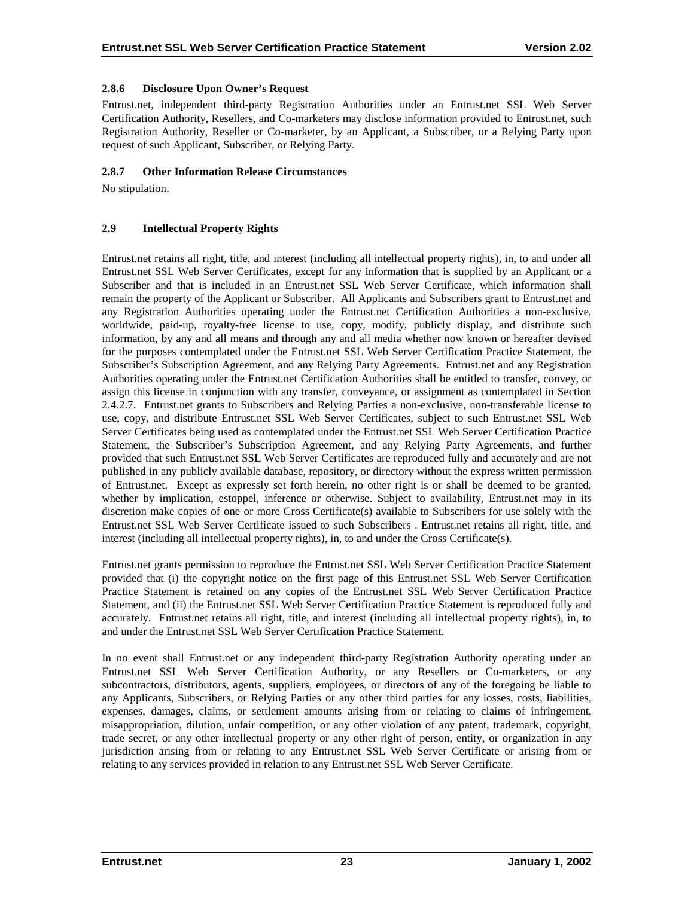## <span id="page-27-0"></span>**2.8.6 Disclosure Upon Owner's Request**

Entrust.net, independent third-party Registration Authorities under an Entrust.net SSL Web Server Certification Authority, Resellers, and Co-marketers may disclose information provided to Entrust.net, such Registration Authority, Reseller or Co-marketer, by an Applicant, a Subscriber, or a Relying Party upon request of such Applicant, Subscriber, or Relying Party.

## **2.8.7 Other Information Release Circumstances**

No stipulation.

## **2.9 Intellectual Property Rights**

Entrust.net retains all right, title, and interest (including all intellectual property rights), in, to and under all Entrust.net SSL Web Server Certificates, except for any information that is supplied by an Applicant or a Subscriber and that is included in an Entrust.net SSL Web Server Certificate, which information shall remain the property of the Applicant or Subscriber. All Applicants and Subscribers grant to Entrust.net and any Registration Authorities operating under the Entrust.net Certification Authorities a non-exclusive, worldwide, paid-up, royalty-free license to use, copy, modify, publicly display, and distribute such information, by any and all means and through any and all media whether now known or hereafter devised for the purposes contemplated under the Entrust.net SSL Web Server Certification Practice Statement, the Subscriber's Subscription Agreement, and any Relying Party Agreements. Entrust.net and any Registration Authorities operating under the Entrust.net Certification Authorities shall be entitled to transfer, convey, or assign this license in conjunction with any transfer, conveyance, or assignment as contemplated in Section 2.4.2.7. Entrust.net grants to Subscribers and Relying Parties a non-exclusive, non-transferable license to use, copy, and distribute Entrust.net SSL Web Server Certificates, subject to such Entrust.net SSL Web Server Certificates being used as contemplated under the Entrust.net SSL Web Server Certification Practice Statement, the Subscriber's Subscription Agreement, and any Relying Party Agreements, and further provided that such Entrust.net SSL Web Server Certificates are reproduced fully and accurately and are not published in any publicly available database, repository, or directory without the express written permission of Entrust.net. Except as expressly set forth herein, no other right is or shall be deemed to be granted, whether by implication, estoppel, inference or otherwise. Subject to availability, Entrust.net may in its discretion make copies of one or more Cross Certificate(s) available to Subscribers for use solely with the Entrust.net SSL Web Server Certificate issued to such Subscribers . Entrust.net retains all right, title, and interest (including all intellectual property rights), in, to and under the Cross Certificate(s).

Entrust.net grants permission to reproduce the Entrust.net SSL Web Server Certification Practice Statement provided that (i) the copyright notice on the first page of this Entrust.net SSL Web Server Certification Practice Statement is retained on any copies of the Entrust.net SSL Web Server Certification Practice Statement, and (ii) the Entrust.net SSL Web Server Certification Practice Statement is reproduced fully and accurately. Entrust.net retains all right, title, and interest (including all intellectual property rights), in, to and under the Entrust.net SSL Web Server Certification Practice Statement.

In no event shall Entrust.net or any independent third-party Registration Authority operating under an Entrust.net SSL Web Server Certification Authority, or any Resellers or Co-marketers, or any subcontractors, distributors, agents, suppliers, employees, or directors of any of the foregoing be liable to any Applicants, Subscribers, or Relying Parties or any other third parties for any losses, costs, liabilities, expenses, damages, claims, or settlement amounts arising from or relating to claims of infringement, misappropriation, dilution, unfair competition, or any other violation of any patent, trademark, copyright, trade secret, or any other intellectual property or any other right of person, entity, or organization in any jurisdiction arising from or relating to any Entrust.net SSL Web Server Certificate or arising from or relating to any services provided in relation to any Entrust.net SSL Web Server Certificate.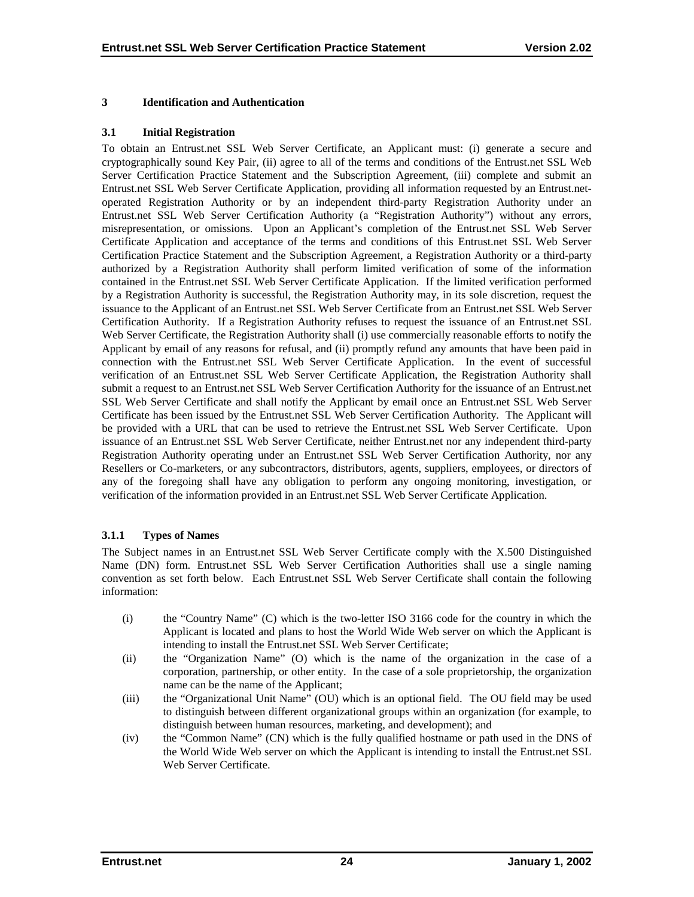#### <span id="page-28-0"></span>**3 Identification and Authentication**

#### **3.1 Initial Registration**

To obtain an Entrust.net SSL Web Server Certificate, an Applicant must: (i) generate a secure and cryptographically sound Key Pair, (ii) agree to all of the terms and conditions of the Entrust.net SSL Web Server Certification Practice Statement and the Subscription Agreement, (iii) complete and submit an Entrust.net SSL Web Server Certificate Application, providing all information requested by an Entrust.netoperated Registration Authority or by an independent third-party Registration Authority under an Entrust.net SSL Web Server Certification Authority (a "Registration Authority") without any errors, misrepresentation, or omissions. Upon an Applicant's completion of the Entrust.net SSL Web Server Certificate Application and acceptance of the terms and conditions of this Entrust.net SSL Web Server Certification Practice Statement and the Subscription Agreement, a Registration Authority or a third-party authorized by a Registration Authority shall perform limited verification of some of the information contained in the Entrust.net SSL Web Server Certificate Application. If the limited verification performed by a Registration Authority is successful, the Registration Authority may, in its sole discretion, request the issuance to the Applicant of an Entrust.net SSL Web Server Certificate from an Entrust.net SSL Web Server Certification Authority. If a Registration Authority refuses to request the issuance of an Entrust.net SSL Web Server Certificate, the Registration Authority shall (i) use commercially reasonable efforts to notify the Applicant by email of any reasons for refusal, and (ii) promptly refund any amounts that have been paid in connection with the Entrust.net SSL Web Server Certificate Application. In the event of successful verification of an Entrust.net SSL Web Server Certificate Application, the Registration Authority shall submit a request to an Entrust.net SSL Web Server Certification Authority for the issuance of an Entrust.net SSL Web Server Certificate and shall notify the Applicant by email once an Entrust.net SSL Web Server Certificate has been issued by the Entrust.net SSL Web Server Certification Authority. The Applicant will be provided with a URL that can be used to retrieve the Entrust.net SSL Web Server Certificate. Upon issuance of an Entrust.net SSL Web Server Certificate, neither Entrust.net nor any independent third-party Registration Authority operating under an Entrust.net SSL Web Server Certification Authority, nor any Resellers or Co-marketers, or any subcontractors, distributors, agents, suppliers, employees, or directors of any of the foregoing shall have any obligation to perform any ongoing monitoring, investigation, or verification of the information provided in an Entrust.net SSL Web Server Certificate Application.

# **3.1.1 Types of Names**

The Subject names in an Entrust.net SSL Web Server Certificate comply with the X.500 Distinguished Name (DN) form. Entrust.net SSL Web Server Certification Authorities shall use a single naming convention as set forth below. Each Entrust.net SSL Web Server Certificate shall contain the following information:

- (i) the "Country Name" (C) which is the two-letter ISO 3166 code for the country in which the Applicant is located and plans to host the World Wide Web server on which the Applicant is intending to install the Entrust.net SSL Web Server Certificate;
- (ii) the "Organization Name" (O) which is the name of the organization in the case of a corporation, partnership, or other entity. In the case of a sole proprietorship, the organization name can be the name of the Applicant;
- (iii) the "Organizational Unit Name" (OU) which is an optional field. The OU field may be used to distinguish between different organizational groups within an organization (for example, to distinguish between human resources, marketing, and development); and
- (iv) the "Common Name" (CN) which is the fully qualified hostname or path used in the DNS of the World Wide Web server on which the Applicant is intending to install the Entrust.net SSL Web Server Certificate.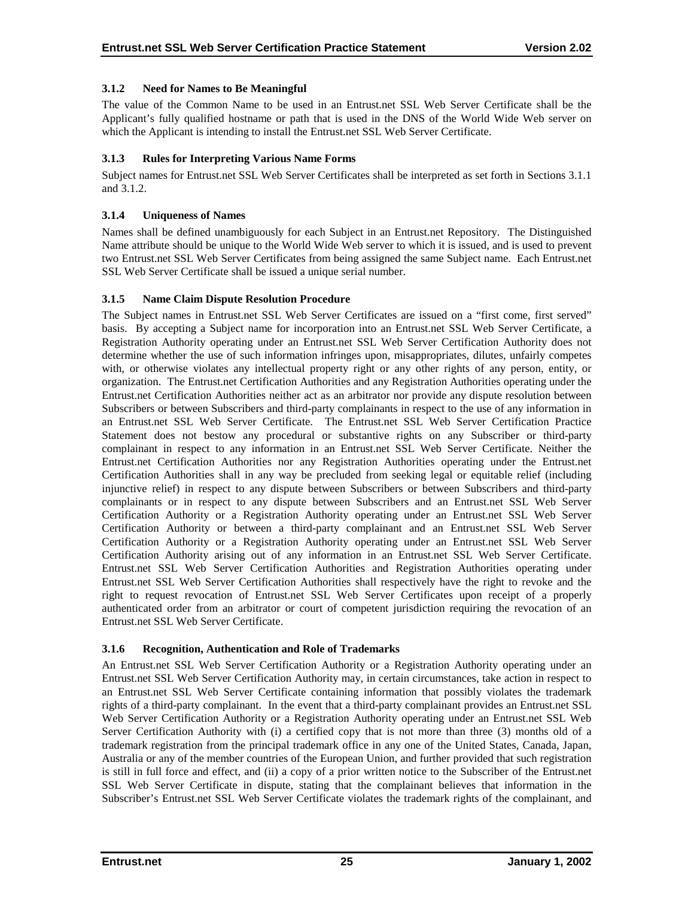# <span id="page-29-0"></span>**3.1.2 Need for Names to Be Meaningful**

The value of the Common Name to be used in an Entrust.net SSL Web Server Certificate shall be the Applicant's fully qualified hostname or path that is used in the DNS of the World Wide Web server on which the Applicant is intending to install the Entrust.net SSL Web Server Certificate.

# **3.1.3 Rules for Interpreting Various Name Forms**

Subject names for Entrust.net SSL Web Server Certificates shall be interpreted as set forth in Sections 3.1.1 and 3.1.2.

# **3.1.4 Uniqueness of Names**

Names shall be defined unambiguously for each Subject in an Entrust.net Repository. The Distinguished Name attribute should be unique to the World Wide Web server to which it is issued, and is used to prevent two Entrust.net SSL Web Server Certificates from being assigned the same Subject name. Each Entrust.net SSL Web Server Certificate shall be issued a unique serial number.

# **3.1.5 Name Claim Dispute Resolution Procedure**

The Subject names in Entrust.net SSL Web Server Certificates are issued on a "first come, first served" basis. By accepting a Subject name for incorporation into an Entrust.net SSL Web Server Certificate, a Registration Authority operating under an Entrust.net SSL Web Server Certification Authority does not determine whether the use of such information infringes upon, misappropriates, dilutes, unfairly competes with, or otherwise violates any intellectual property right or any other rights of any person, entity, or organization. The Entrust.net Certification Authorities and any Registration Authorities operating under the Entrust.net Certification Authorities neither act as an arbitrator nor provide any dispute resolution between Subscribers or between Subscribers and third-party complainants in respect to the use of any information in an Entrust.net SSL Web Server Certificate. The Entrust.net SSL Web Server Certification Practice Statement does not bestow any procedural or substantive rights on any Subscriber or third-party complainant in respect to any information in an Entrust.net SSL Web Server Certificate. Neither the Entrust.net Certification Authorities nor any Registration Authorities operating under the Entrust.net Certification Authorities shall in any way be precluded from seeking legal or equitable relief (including injunctive relief) in respect to any dispute between Subscribers or between Subscribers and third-party complainants or in respect to any dispute between Subscribers and an Entrust.net SSL Web Server Certification Authority or a Registration Authority operating under an Entrust.net SSL Web Server Certification Authority or between a third-party complainant and an Entrust.net SSL Web Server Certification Authority or a Registration Authority operating under an Entrust.net SSL Web Server Certification Authority arising out of any information in an Entrust.net SSL Web Server Certificate. Entrust.net SSL Web Server Certification Authorities and Registration Authorities operating under Entrust.net SSL Web Server Certification Authorities shall respectively have the right to revoke and the right to request revocation of Entrust.net SSL Web Server Certificates upon receipt of a properly authenticated order from an arbitrator or court of competent jurisdiction requiring the revocation of an Entrust.net SSL Web Server Certificate.

# **3.1.6 Recognition, Authentication and Role of Trademarks**

An Entrust.net SSL Web Server Certification Authority or a Registration Authority operating under an Entrust.net SSL Web Server Certification Authority may, in certain circumstances, take action in respect to an Entrust.net SSL Web Server Certificate containing information that possibly violates the trademark rights of a third-party complainant. In the event that a third-party complainant provides an Entrust.net SSL Web Server Certification Authority or a Registration Authority operating under an Entrust.net SSL Web Server Certification Authority with (i) a certified copy that is not more than three (3) months old of a trademark registration from the principal trademark office in any one of the United States, Canada, Japan, Australia or any of the member countries of the European Union, and further provided that such registration is still in full force and effect, and (ii) a copy of a prior written notice to the Subscriber of the Entrust.net SSL Web Server Certificate in dispute, stating that the complainant believes that information in the Subscriber's Entrust.net SSL Web Server Certificate violates the trademark rights of the complainant, and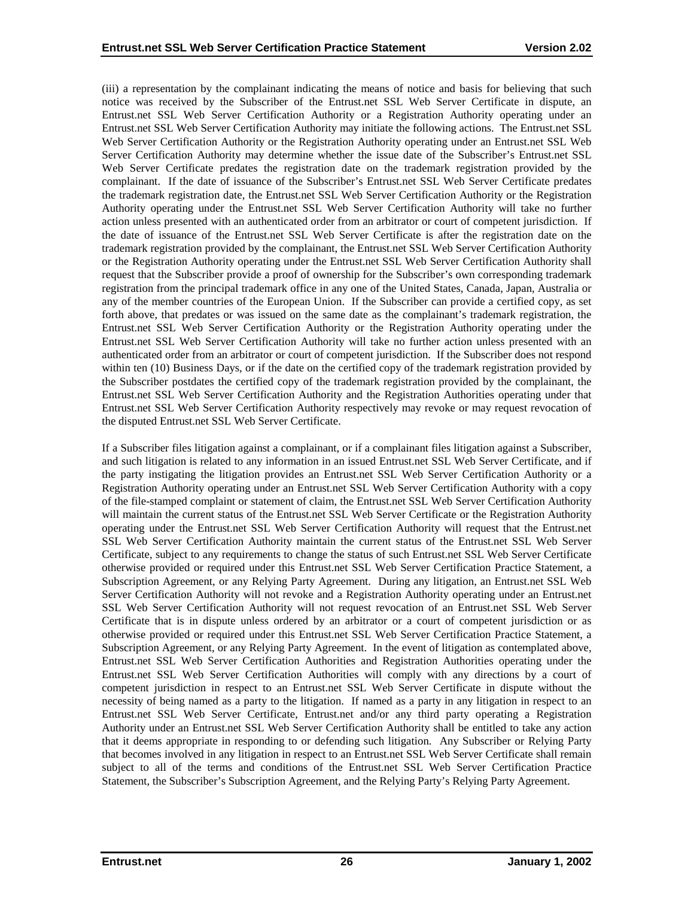(iii) a representation by the complainant indicating the means of notice and basis for believing that such notice was received by the Subscriber of the Entrust.net SSL Web Server Certificate in dispute, an Entrust.net SSL Web Server Certification Authority or a Registration Authority operating under an Entrust.net SSL Web Server Certification Authority may initiate the following actions. The Entrust.net SSL Web Server Certification Authority or the Registration Authority operating under an Entrust.net SSL Web Server Certification Authority may determine whether the issue date of the Subscriber's Entrust.net SSL Web Server Certificate predates the registration date on the trademark registration provided by the complainant. If the date of issuance of the Subscriber's Entrust.net SSL Web Server Certificate predates the trademark registration date, the Entrust.net SSL Web Server Certification Authority or the Registration Authority operating under the Entrust.net SSL Web Server Certification Authority will take no further action unless presented with an authenticated order from an arbitrator or court of competent jurisdiction. If the date of issuance of the Entrust.net SSL Web Server Certificate is after the registration date on the trademark registration provided by the complainant, the Entrust.net SSL Web Server Certification Authority or the Registration Authority operating under the Entrust.net SSL Web Server Certification Authority shall request that the Subscriber provide a proof of ownership for the Subscriber's own corresponding trademark registration from the principal trademark office in any one of the United States, Canada, Japan, Australia or any of the member countries of the European Union. If the Subscriber can provide a certified copy, as set forth above, that predates or was issued on the same date as the complainant's trademark registration, the Entrust.net SSL Web Server Certification Authority or the Registration Authority operating under the Entrust.net SSL Web Server Certification Authority will take no further action unless presented with an authenticated order from an arbitrator or court of competent jurisdiction. If the Subscriber does not respond within ten (10) Business Days, or if the date on the certified copy of the trademark registration provided by the Subscriber postdates the certified copy of the trademark registration provided by the complainant, the Entrust.net SSL Web Server Certification Authority and the Registration Authorities operating under that Entrust.net SSL Web Server Certification Authority respectively may revoke or may request revocation of the disputed Entrust.net SSL Web Server Certificate.

If a Subscriber files litigation against a complainant, or if a complainant files litigation against a Subscriber, and such litigation is related to any information in an issued Entrust.net SSL Web Server Certificate, and if the party instigating the litigation provides an Entrust.net SSL Web Server Certification Authority or a Registration Authority operating under an Entrust.net SSL Web Server Certification Authority with a copy of the file-stamped complaint or statement of claim, the Entrust.net SSL Web Server Certification Authority will maintain the current status of the Entrust.net SSL Web Server Certificate or the Registration Authority operating under the Entrust.net SSL Web Server Certification Authority will request that the Entrust.net SSL Web Server Certification Authority maintain the current status of the Entrust.net SSL Web Server Certificate, subject to any requirements to change the status of such Entrust.net SSL Web Server Certificate otherwise provided or required under this Entrust.net SSL Web Server Certification Practice Statement, a Subscription Agreement, or any Relying Party Agreement. During any litigation, an Entrust.net SSL Web Server Certification Authority will not revoke and a Registration Authority operating under an Entrust.net SSL Web Server Certification Authority will not request revocation of an Entrust.net SSL Web Server Certificate that is in dispute unless ordered by an arbitrator or a court of competent jurisdiction or as otherwise provided or required under this Entrust.net SSL Web Server Certification Practice Statement, a Subscription Agreement, or any Relying Party Agreement. In the event of litigation as contemplated above, Entrust.net SSL Web Server Certification Authorities and Registration Authorities operating under the Entrust.net SSL Web Server Certification Authorities will comply with any directions by a court of competent jurisdiction in respect to an Entrust.net SSL Web Server Certificate in dispute without the necessity of being named as a party to the litigation. If named as a party in any litigation in respect to an Entrust.net SSL Web Server Certificate, Entrust.net and/or any third party operating a Registration Authority under an Entrust.net SSL Web Server Certification Authority shall be entitled to take any action that it deems appropriate in responding to or defending such litigation. Any Subscriber or Relying Party that becomes involved in any litigation in respect to an Entrust.net SSL Web Server Certificate shall remain subject to all of the terms and conditions of the Entrust.net SSL Web Server Certification Practice Statement, the Subscriber's Subscription Agreement, and the Relying Party's Relying Party Agreement.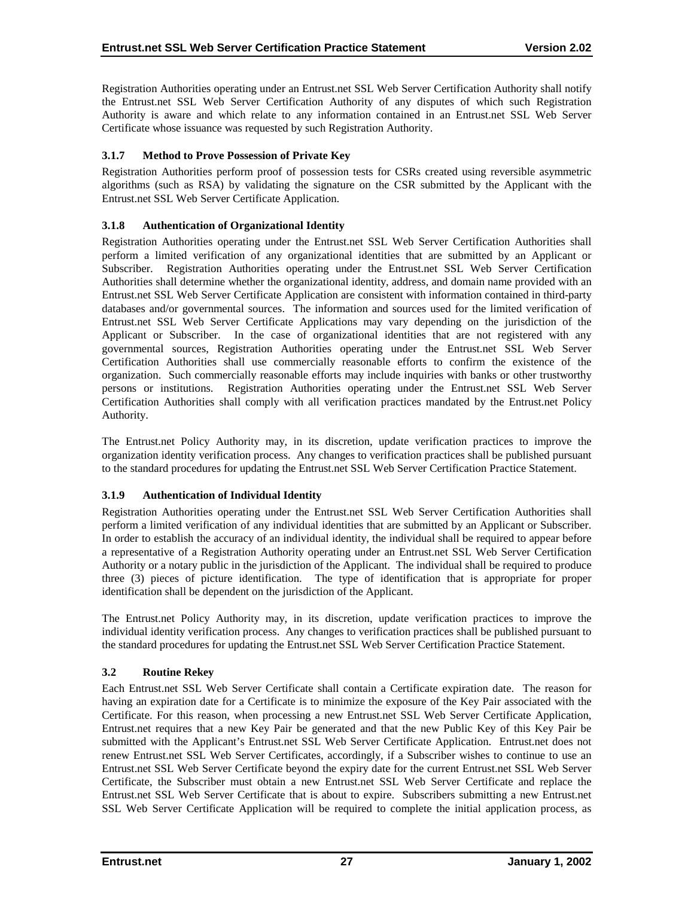<span id="page-31-0"></span>Registration Authorities operating under an Entrust.net SSL Web Server Certification Authority shall notify the Entrust.net SSL Web Server Certification Authority of any disputes of which such Registration Authority is aware and which relate to any information contained in an Entrust.net SSL Web Server Certificate whose issuance was requested by such Registration Authority.

# **3.1.7 Method to Prove Possession of Private Key**

Registration Authorities perform proof of possession tests for CSRs created using reversible asymmetric algorithms (such as RSA) by validating the signature on the CSR submitted by the Applicant with the Entrust.net SSL Web Server Certificate Application.

# **3.1.8 Authentication of Organizational Identity**

Registration Authorities operating under the Entrust.net SSL Web Server Certification Authorities shall perform a limited verification of any organizational identities that are submitted by an Applicant or Subscriber. Registration Authorities operating under the Entrust.net SSL Web Server Certification Authorities shall determine whether the organizational identity, address, and domain name provided with an Entrust.net SSL Web Server Certificate Application are consistent with information contained in third-party databases and/or governmental sources. The information and sources used for the limited verification of Entrust.net SSL Web Server Certificate Applications may vary depending on the jurisdiction of the Applicant or Subscriber. In the case of organizational identities that are not registered with any governmental sources, Registration Authorities operating under the Entrust.net SSL Web Server Certification Authorities shall use commercially reasonable efforts to confirm the existence of the organization. Such commercially reasonable efforts may include inquiries with banks or other trustworthy persons or institutions. Registration Authorities operating under the Entrust.net SSL Web Server Certification Authorities shall comply with all verification practices mandated by the Entrust.net Policy Authority.

The Entrust.net Policy Authority may, in its discretion, update verification practices to improve the organization identity verification process. Any changes to verification practices shall be published pursuant to the standard procedures for updating the Entrust.net SSL Web Server Certification Practice Statement.

# **3.1.9 Authentication of Individual Identity**

Registration Authorities operating under the Entrust.net SSL Web Server Certification Authorities shall perform a limited verification of any individual identities that are submitted by an Applicant or Subscriber. In order to establish the accuracy of an individual identity, the individual shall be required to appear before a representative of a Registration Authority operating under an Entrust.net SSL Web Server Certification Authority or a notary public in the jurisdiction of the Applicant. The individual shall be required to produce three (3) pieces of picture identification. The type of identification that is appropriate for proper identification shall be dependent on the jurisdiction of the Applicant.

The Entrust.net Policy Authority may, in its discretion, update verification practices to improve the individual identity verification process. Any changes to verification practices shall be published pursuant to the standard procedures for updating the Entrust.net SSL Web Server Certification Practice Statement.

# **3.2 Routine Rekey**

Each Entrust.net SSL Web Server Certificate shall contain a Certificate expiration date. The reason for having an expiration date for a Certificate is to minimize the exposure of the Key Pair associated with the Certificate. For this reason, when processing a new Entrust.net SSL Web Server Certificate Application, Entrust.net requires that a new Key Pair be generated and that the new Public Key of this Key Pair be submitted with the Applicant's Entrust.net SSL Web Server Certificate Application. Entrust.net does not renew Entrust.net SSL Web Server Certificates, accordingly, if a Subscriber wishes to continue to use an Entrust.net SSL Web Server Certificate beyond the expiry date for the current Entrust.net SSL Web Server Certificate, the Subscriber must obtain a new Entrust.net SSL Web Server Certificate and replace the Entrust.net SSL Web Server Certificate that is about to expire. Subscribers submitting a new Entrust.net SSL Web Server Certificate Application will be required to complete the initial application process, as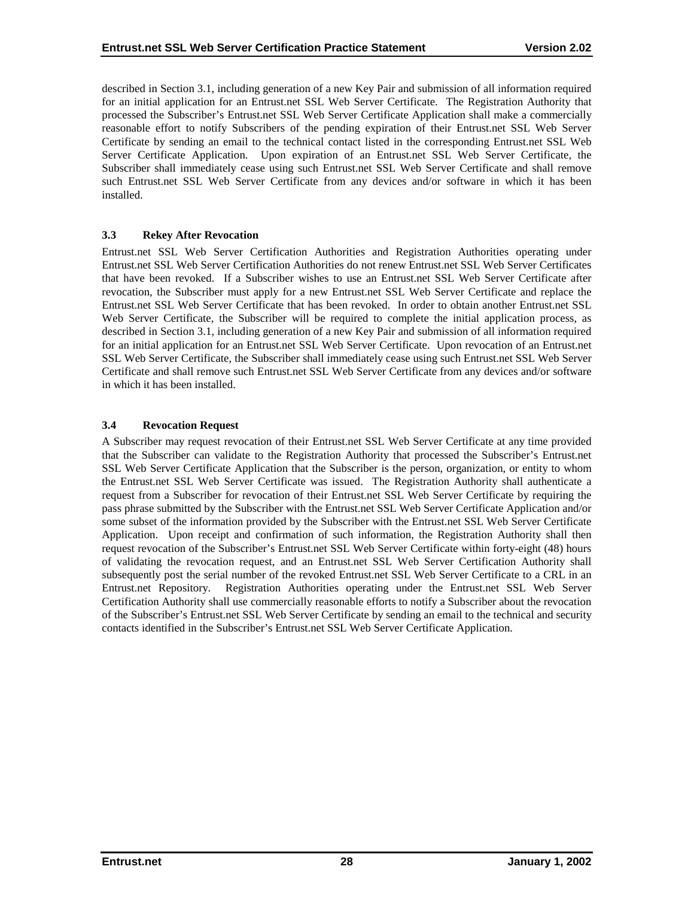<span id="page-32-0"></span>described in Section 3.1, including generation of a new Key Pair and submission of all information required for an initial application for an Entrust.net SSL Web Server Certificate. The Registration Authority that processed the Subscriber's Entrust.net SSL Web Server Certificate Application shall make a commercially reasonable effort to notify Subscribers of the pending expiration of their Entrust.net SSL Web Server Certificate by sending an email to the technical contact listed in the corresponding Entrust.net SSL Web Server Certificate Application. Upon expiration of an Entrust.net SSL Web Server Certificate, the Subscriber shall immediately cease using such Entrust.net SSL Web Server Certificate and shall remove such Entrust.net SSL Web Server Certificate from any devices and/or software in which it has been installed.

# **3.3 Rekey After Revocation**

Entrust.net SSL Web Server Certification Authorities and Registration Authorities operating under Entrust.net SSL Web Server Certification Authorities do not renew Entrust.net SSL Web Server Certificates that have been revoked. If a Subscriber wishes to use an Entrust.net SSL Web Server Certificate after revocation, the Subscriber must apply for a new Entrust.net SSL Web Server Certificate and replace the Entrust.net SSL Web Server Certificate that has been revoked. In order to obtain another Entrust.net SSL Web Server Certificate, the Subscriber will be required to complete the initial application process, as described in Section 3.1, including generation of a new Key Pair and submission of all information required for an initial application for an Entrust.net SSL Web Server Certificate. Upon revocation of an Entrust.net SSL Web Server Certificate, the Subscriber shall immediately cease using such Entrust.net SSL Web Server Certificate and shall remove such Entrust.net SSL Web Server Certificate from any devices and/or software in which it has been installed.

## **3.4 Revocation Request**

A Subscriber may request revocation of their Entrust.net SSL Web Server Certificate at any time provided that the Subscriber can validate to the Registration Authority that processed the Subscriber's Entrust.net SSL Web Server Certificate Application that the Subscriber is the person, organization, or entity to whom the Entrust.net SSL Web Server Certificate was issued. The Registration Authority shall authenticate a request from a Subscriber for revocation of their Entrust.net SSL Web Server Certificate by requiring the pass phrase submitted by the Subscriber with the Entrust.net SSL Web Server Certificate Application and/or some subset of the information provided by the Subscriber with the Entrust.net SSL Web Server Certificate Application. Upon receipt and confirmation of such information, the Registration Authority shall then request revocation of the Subscriber's Entrust.net SSL Web Server Certificate within forty-eight (48) hours of validating the revocation request, and an Entrust.net SSL Web Server Certification Authority shall subsequently post the serial number of the revoked Entrust.net SSL Web Server Certificate to a CRL in an Entrust.net Repository. Registration Authorities operating under the Entrust.net SSL Web Server Certification Authority shall use commercially reasonable efforts to notify a Subscriber about the revocation of the Subscriber's Entrust.net SSL Web Server Certificate by sending an email to the technical and security contacts identified in the Subscriber's Entrust.net SSL Web Server Certificate Application.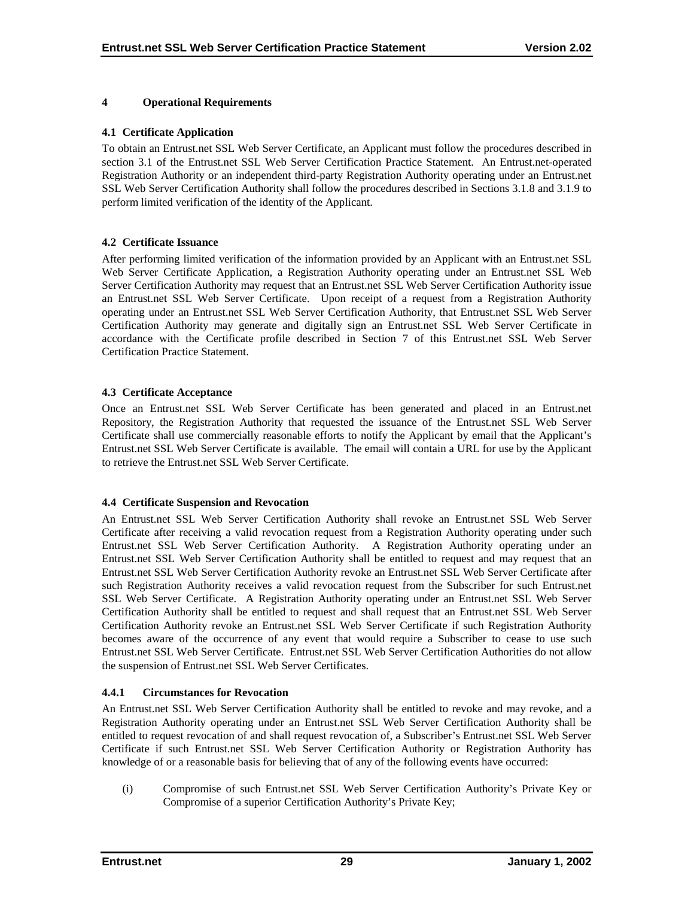### <span id="page-33-0"></span>**4 Operational Requirements**

#### **4.1 Certificate Application**

To obtain an Entrust.net SSL Web Server Certificate, an Applicant must follow the procedures described in section 3.1 of the Entrust.net SSL Web Server Certification Practice Statement. An Entrust.net-operated Registration Authority or an independent third-party Registration Authority operating under an Entrust.net SSL Web Server Certification Authority shall follow the procedures described in Sections 3.1.8 and 3.1.9 to perform limited verification of the identity of the Applicant.

## **4.2 Certificate Issuance**

After performing limited verification of the information provided by an Applicant with an Entrust.net SSL Web Server Certificate Application, a Registration Authority operating under an Entrust.net SSL Web Server Certification Authority may request that an Entrust.net SSL Web Server Certification Authority issue an Entrust.net SSL Web Server Certificate. Upon receipt of a request from a Registration Authority operating under an Entrust.net SSL Web Server Certification Authority, that Entrust.net SSL Web Server Certification Authority may generate and digitally sign an Entrust.net SSL Web Server Certificate in accordance with the Certificate profile described in Section 7 of this Entrust.net SSL Web Server Certification Practice Statement.

## **4.3 Certificate Acceptance**

Once an Entrust.net SSL Web Server Certificate has been generated and placed in an Entrust.net Repository, the Registration Authority that requested the issuance of the Entrust.net SSL Web Server Certificate shall use commercially reasonable efforts to notify the Applicant by email that the Applicant's Entrust.net SSL Web Server Certificate is available. The email will contain a URL for use by the Applicant to retrieve the Entrust.net SSL Web Server Certificate.

# **4.4 Certificate Suspension and Revocation**

An Entrust.net SSL Web Server Certification Authority shall revoke an Entrust.net SSL Web Server Certificate after receiving a valid revocation request from a Registration Authority operating under such Entrust.net SSL Web Server Certification Authority. A Registration Authority operating under an Entrust.net SSL Web Server Certification Authority shall be entitled to request and may request that an Entrust.net SSL Web Server Certification Authority revoke an Entrust.net SSL Web Server Certificate after such Registration Authority receives a valid revocation request from the Subscriber for such Entrust.net SSL Web Server Certificate. A Registration Authority operating under an Entrust.net SSL Web Server Certification Authority shall be entitled to request and shall request that an Entrust.net SSL Web Server Certification Authority revoke an Entrust.net SSL Web Server Certificate if such Registration Authority becomes aware of the occurrence of any event that would require a Subscriber to cease to use such Entrust.net SSL Web Server Certificate. Entrust.net SSL Web Server Certification Authorities do not allow the suspension of Entrust.net SSL Web Server Certificates.

# **4.4.1 Circumstances for Revocation**

An Entrust.net SSL Web Server Certification Authority shall be entitled to revoke and may revoke, and a Registration Authority operating under an Entrust.net SSL Web Server Certification Authority shall be entitled to request revocation of and shall request revocation of, a Subscriber's Entrust.net SSL Web Server Certificate if such Entrust.net SSL Web Server Certification Authority or Registration Authority has knowledge of or a reasonable basis for believing that of any of the following events have occurred:

(i) Compromise of such Entrust.net SSL Web Server Certification Authority's Private Key or Compromise of a superior Certification Authority's Private Key;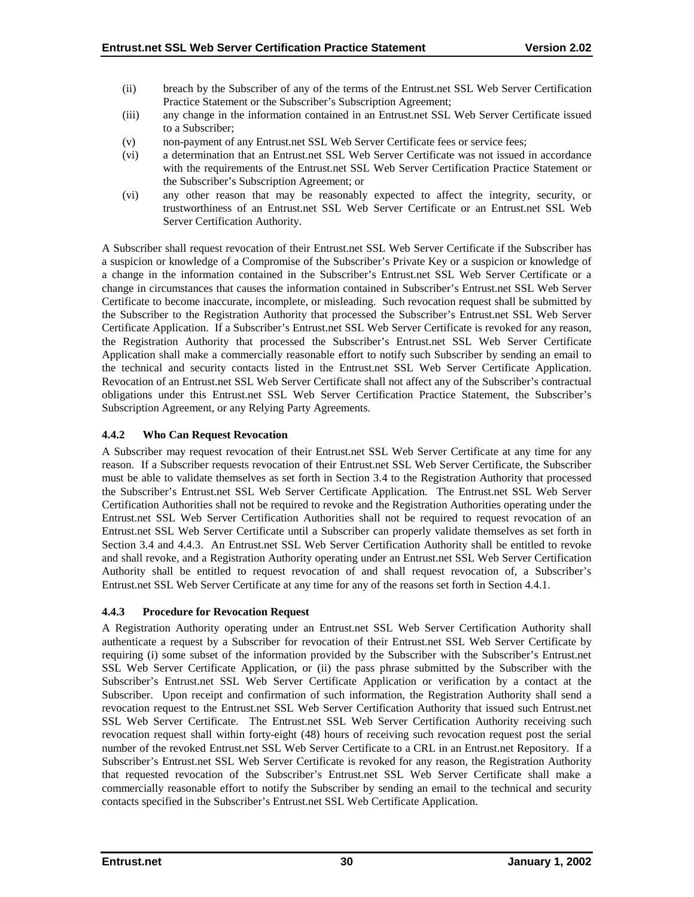- <span id="page-34-0"></span>(ii) breach by the Subscriber of any of the terms of the Entrust.net SSL Web Server Certification Practice Statement or the Subscriber's Subscription Agreement;
- (iii) any change in the information contained in an Entrust.net SSL Web Server Certificate issued to a Subscriber;
- (v) non-payment of any Entrust.net SSL Web Server Certificate fees or service fees;
- (vi) a determination that an Entrust.net SSL Web Server Certificate was not issued in accordance with the requirements of the Entrust.net SSL Web Server Certification Practice Statement or the Subscriber's Subscription Agreement; or
- (vi) any other reason that may be reasonably expected to affect the integrity, security, or trustworthiness of an Entrust.net SSL Web Server Certificate or an Entrust.net SSL Web Server Certification Authority.

A Subscriber shall request revocation of their Entrust.net SSL Web Server Certificate if the Subscriber has a suspicion or knowledge of a Compromise of the Subscriber's Private Key or a suspicion or knowledge of a change in the information contained in the Subscriber's Entrust.net SSL Web Server Certificate or a change in circumstances that causes the information contained in Subscriber's Entrust.net SSL Web Server Certificate to become inaccurate, incomplete, or misleading. Such revocation request shall be submitted by the Subscriber to the Registration Authority that processed the Subscriber's Entrust.net SSL Web Server Certificate Application. If a Subscriber's Entrust.net SSL Web Server Certificate is revoked for any reason, the Registration Authority that processed the Subscriber's Entrust.net SSL Web Server Certificate Application shall make a commercially reasonable effort to notify such Subscriber by sending an email to the technical and security contacts listed in the Entrust.net SSL Web Server Certificate Application. Revocation of an Entrust.net SSL Web Server Certificate shall not affect any of the Subscriber's contractual obligations under this Entrust.net SSL Web Server Certification Practice Statement, the Subscriber's Subscription Agreement, or any Relying Party Agreements.

# **4.4.2 Who Can Request Revocation**

A Subscriber may request revocation of their Entrust.net SSL Web Server Certificate at any time for any reason. If a Subscriber requests revocation of their Entrust.net SSL Web Server Certificate, the Subscriber must be able to validate themselves as set forth in Section 3.4 to the Registration Authority that processed the Subscriber's Entrust.net SSL Web Server Certificate Application. The Entrust.net SSL Web Server Certification Authorities shall not be required to revoke and the Registration Authorities operating under the Entrust.net SSL Web Server Certification Authorities shall not be required to request revocation of an Entrust.net SSL Web Server Certificate until a Subscriber can properly validate themselves as set forth in Section 3.4 and 4.4.3. An Entrust.net SSL Web Server Certification Authority shall be entitled to revoke and shall revoke, and a Registration Authority operating under an Entrust.net SSL Web Server Certification Authority shall be entitled to request revocation of and shall request revocation of, a Subscriber's Entrust.net SSL Web Server Certificate at any time for any of the reasons set forth in Section 4.4.1.

#### **4.4.3 Procedure for Revocation Request**

A Registration Authority operating under an Entrust.net SSL Web Server Certification Authority shall authenticate a request by a Subscriber for revocation of their Entrust.net SSL Web Server Certificate by requiring (i) some subset of the information provided by the Subscriber with the Subscriber's Entrust.net SSL Web Server Certificate Application, or (ii) the pass phrase submitted by the Subscriber with the Subscriber's Entrust.net SSL Web Server Certificate Application or verification by a contact at the Subscriber. Upon receipt and confirmation of such information, the Registration Authority shall send a revocation request to the Entrust.net SSL Web Server Certification Authority that issued such Entrust.net SSL Web Server Certificate. The Entrust.net SSL Web Server Certification Authority receiving such revocation request shall within forty-eight (48) hours of receiving such revocation request post the serial number of the revoked Entrust.net SSL Web Server Certificate to a CRL in an Entrust.net Repository. If a Subscriber's Entrust.net SSL Web Server Certificate is revoked for any reason, the Registration Authority that requested revocation of the Subscriber's Entrust.net SSL Web Server Certificate shall make a commercially reasonable effort to notify the Subscriber by sending an email to the technical and security contacts specified in the Subscriber's Entrust.net SSL Web Certificate Application.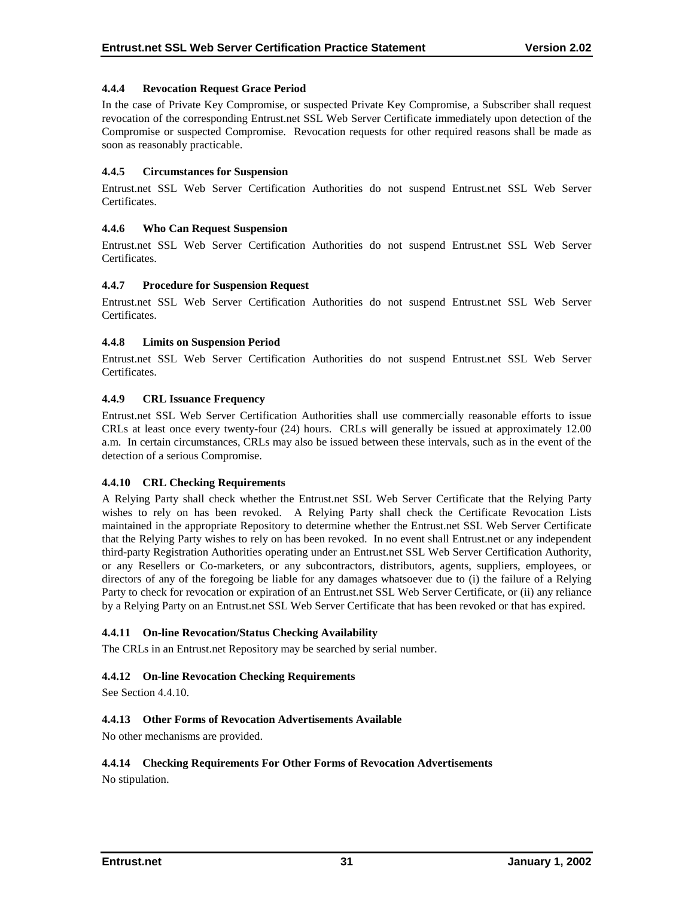## <span id="page-35-0"></span>**4.4.4 Revocation Request Grace Period**

In the case of Private Key Compromise, or suspected Private Key Compromise, a Subscriber shall request revocation of the corresponding Entrust.net SSL Web Server Certificate immediately upon detection of the Compromise or suspected Compromise. Revocation requests for other required reasons shall be made as soon as reasonably practicable.

#### **4.4.5 Circumstances for Suspension**

Entrust.net SSL Web Server Certification Authorities do not suspend Entrust.net SSL Web Server Certificates.

## **4.4.6 Who Can Request Suspension**

Entrust.net SSL Web Server Certification Authorities do not suspend Entrust.net SSL Web Server Certificates.

## **4.4.7 Procedure for Suspension Request**

Entrust.net SSL Web Server Certification Authorities do not suspend Entrust.net SSL Web Server Certificates.

## **4.4.8 Limits on Suspension Period**

Entrust.net SSL Web Server Certification Authorities do not suspend Entrust.net SSL Web Server Certificates.

## **4.4.9 CRL Issuance Frequency**

Entrust.net SSL Web Server Certification Authorities shall use commercially reasonable efforts to issue CRLs at least once every twenty-four (24) hours. CRLs will generally be issued at approximately 12.00 a.m. In certain circumstances, CRLs may also be issued between these intervals, such as in the event of the detection of a serious Compromise.

#### **4.4.10 CRL Checking Requirements**

A Relying Party shall check whether the Entrust.net SSL Web Server Certificate that the Relying Party wishes to rely on has been revoked. A Relying Party shall check the Certificate Revocation Lists maintained in the appropriate Repository to determine whether the Entrust.net SSL Web Server Certificate that the Relying Party wishes to rely on has been revoked. In no event shall Entrust.net or any independent third-party Registration Authorities operating under an Entrust.net SSL Web Server Certification Authority, or any Resellers or Co-marketers, or any subcontractors, distributors, agents, suppliers, employees, or directors of any of the foregoing be liable for any damages whatsoever due to (i) the failure of a Relying Party to check for revocation or expiration of an Entrust.net SSL Web Server Certificate, or (ii) any reliance by a Relying Party on an Entrust.net SSL Web Server Certificate that has been revoked or that has expired.

#### **4.4.11 On-line Revocation/Status Checking Availability**

The CRLs in an Entrust.net Repository may be searched by serial number.

#### **4.4.12 On-line Revocation Checking Requirements**

See Section 4.4.10.

#### **4.4.13 Other Forms of Revocation Advertisements Available**

No other mechanisms are provided.

# **4.4.14 Checking Requirements For Other Forms of Revocation Advertisements**

No stipulation.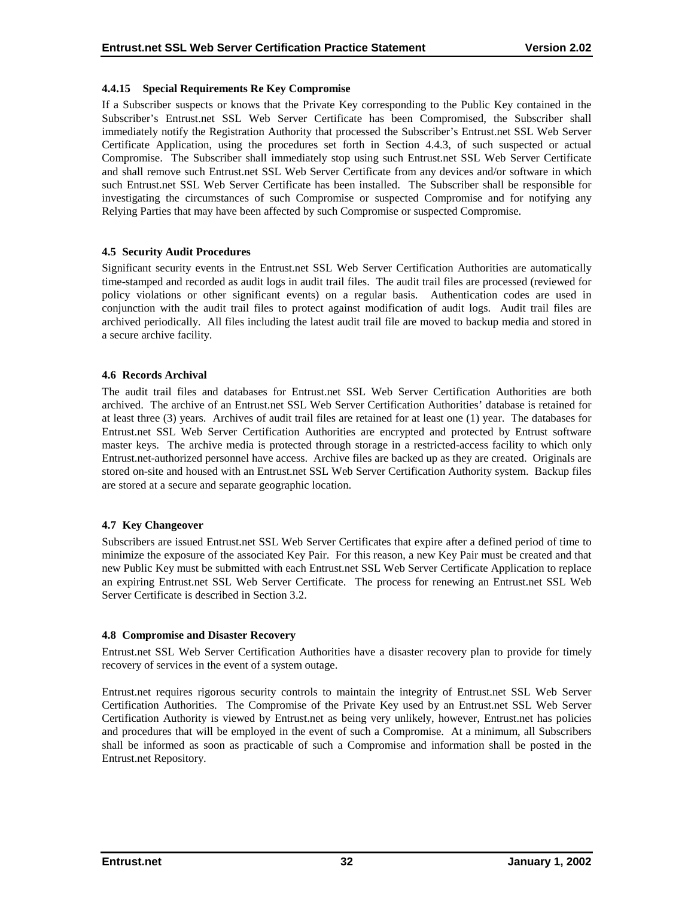#### <span id="page-36-0"></span>**4.4.15 Special Requirements Re Key Compromise**

If a Subscriber suspects or knows that the Private Key corresponding to the Public Key contained in the Subscriber's Entrust.net SSL Web Server Certificate has been Compromised, the Subscriber shall immediately notify the Registration Authority that processed the Subscriber's Entrust.net SSL Web Server Certificate Application, using the procedures set forth in Section 4.4.3, of such suspected or actual Compromise. The Subscriber shall immediately stop using such Entrust.net SSL Web Server Certificate and shall remove such Entrust.net SSL Web Server Certificate from any devices and/or software in which such Entrust.net SSL Web Server Certificate has been installed. The Subscriber shall be responsible for investigating the circumstances of such Compromise or suspected Compromise and for notifying any Relying Parties that may have been affected by such Compromise or suspected Compromise.

## **4.5 Security Audit Procedures**

Significant security events in the Entrust.net SSL Web Server Certification Authorities are automatically time-stamped and recorded as audit logs in audit trail files. The audit trail files are processed (reviewed for policy violations or other significant events) on a regular basis. Authentication codes are used in conjunction with the audit trail files to protect against modification of audit logs. Audit trail files are archived periodically. All files including the latest audit trail file are moved to backup media and stored in a secure archive facility.

#### **4.6 Records Archival**

The audit trail files and databases for Entrust.net SSL Web Server Certification Authorities are both archived. The archive of an Entrust.net SSL Web Server Certification Authorities' database is retained for at least three (3) years. Archives of audit trail files are retained for at least one (1) year. The databases for Entrust.net SSL Web Server Certification Authorities are encrypted and protected by Entrust software master keys. The archive media is protected through storage in a restricted-access facility to which only Entrust.net-authorized personnel have access. Archive files are backed up as they are created. Originals are stored on-site and housed with an Entrust.net SSL Web Server Certification Authority system. Backup files are stored at a secure and separate geographic location.

#### **4.7 Key Changeover**

Subscribers are issued Entrust.net SSL Web Server Certificates that expire after a defined period of time to minimize the exposure of the associated Key Pair. For this reason, a new Key Pair must be created and that new Public Key must be submitted with each Entrust.net SSL Web Server Certificate Application to replace an expiring Entrust.net SSL Web Server Certificate. The process for renewing an Entrust.net SSL Web Server Certificate is described in Section 3.2.

#### **4.8 Compromise and Disaster Recovery**

Entrust.net SSL Web Server Certification Authorities have a disaster recovery plan to provide for timely recovery of services in the event of a system outage.

Entrust.net requires rigorous security controls to maintain the integrity of Entrust.net SSL Web Server Certification Authorities. The Compromise of the Private Key used by an Entrust.net SSL Web Server Certification Authority is viewed by Entrust.net as being very unlikely, however, Entrust.net has policies and procedures that will be employed in the event of such a Compromise. At a minimum, all Subscribers shall be informed as soon as practicable of such a Compromise and information shall be posted in the Entrust.net Repository.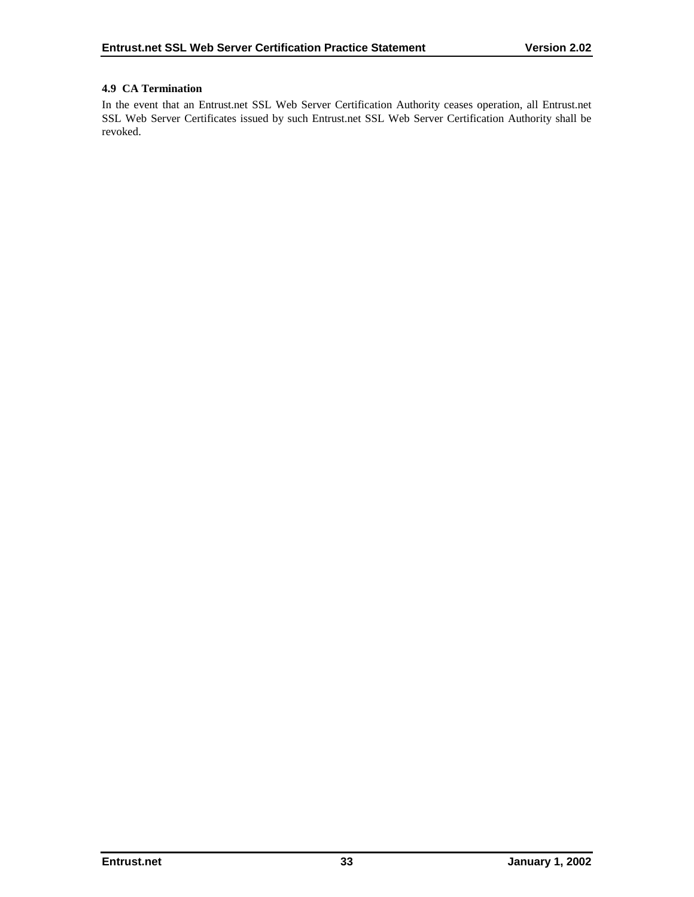# <span id="page-37-0"></span>**4.9 CA Termination**

In the event that an Entrust.net SSL Web Server Certification Authority ceases operation, all Entrust.net SSL Web Server Certificates issued by such Entrust.net SSL Web Server Certification Authority shall be revoked.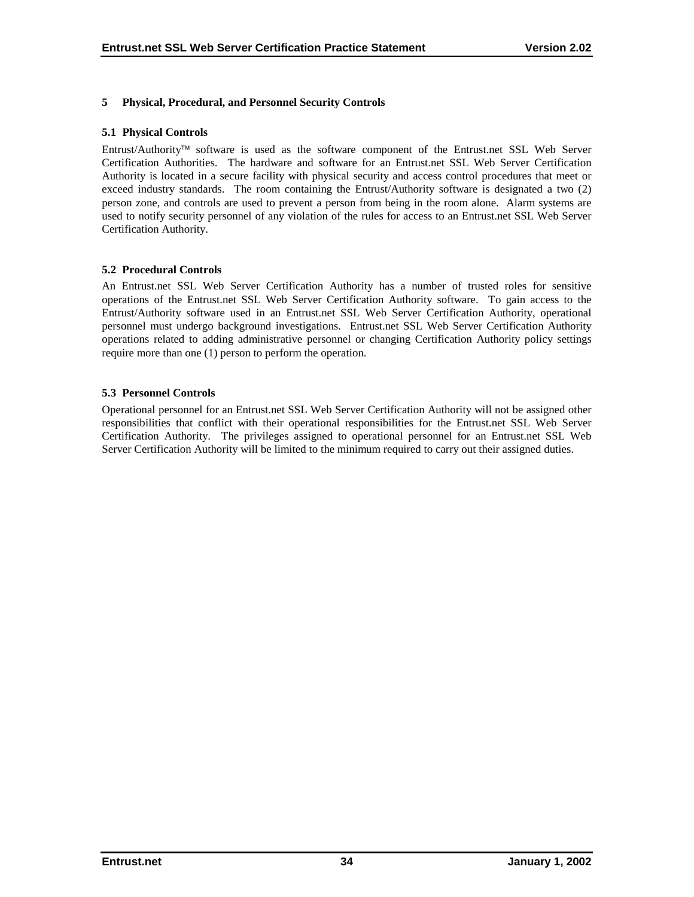### <span id="page-38-0"></span>**5 Physical, Procedural, and Personnel Security Controls**

#### **5.1 Physical Controls**

Entrust/Authority<sup>™</sup> software is used as the software component of the Entrust.net SSL Web Server Certification Authorities. The hardware and software for an Entrust.net SSL Web Server Certification Authority is located in a secure facility with physical security and access control procedures that meet or exceed industry standards. The room containing the Entrust/Authority software is designated a two (2) person zone, and controls are used to prevent a person from being in the room alone. Alarm systems are used to notify security personnel of any violation of the rules for access to an Entrust.net SSL Web Server Certification Authority.

#### **5.2 Procedural Controls**

An Entrust.net SSL Web Server Certification Authority has a number of trusted roles for sensitive operations of the Entrust.net SSL Web Server Certification Authority software. To gain access to the Entrust/Authority software used in an Entrust.net SSL Web Server Certification Authority, operational personnel must undergo background investigations. Entrust.net SSL Web Server Certification Authority operations related to adding administrative personnel or changing Certification Authority policy settings require more than one (1) person to perform the operation.

#### **5.3 Personnel Controls**

Operational personnel for an Entrust.net SSL Web Server Certification Authority will not be assigned other responsibilities that conflict with their operational responsibilities for the Entrust.net SSL Web Server Certification Authority. The privileges assigned to operational personnel for an Entrust.net SSL Web Server Certification Authority will be limited to the minimum required to carry out their assigned duties.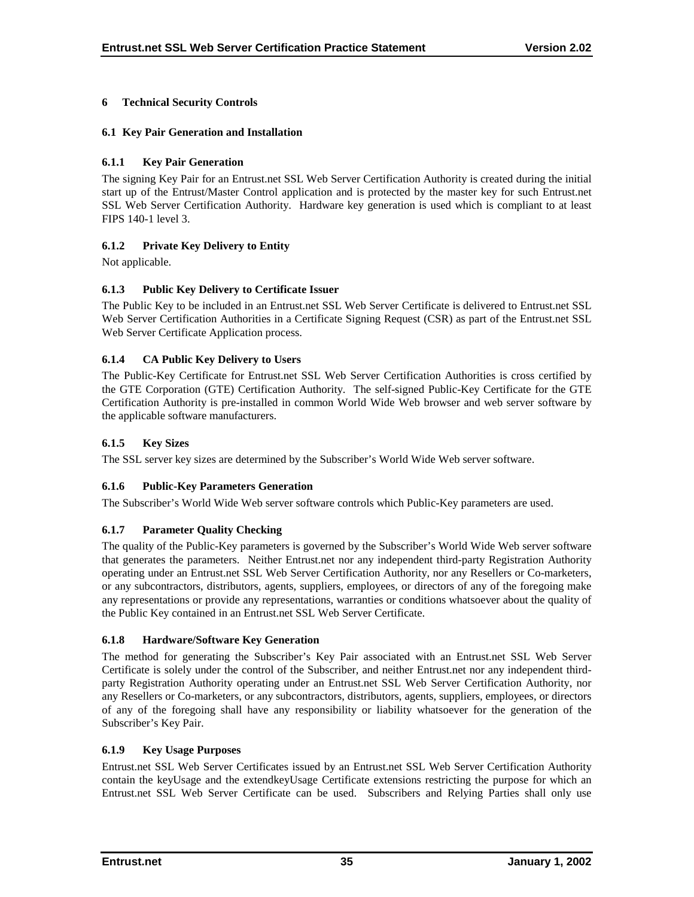# <span id="page-39-0"></span>**6 Technical Security Controls**

# **6.1 Key Pair Generation and Installation**

# **6.1.1 Key Pair Generation**

The signing Key Pair for an Entrust.net SSL Web Server Certification Authority is created during the initial start up of the Entrust/Master Control application and is protected by the master key for such Entrust.net SSL Web Server Certification Authority. Hardware key generation is used which is compliant to at least FIPS 140-1 level 3.

# **6.1.2 Private Key Delivery to Entity**

Not applicable.

# **6.1.3 Public Key Delivery to Certificate Issuer**

The Public Key to be included in an Entrust.net SSL Web Server Certificate is delivered to Entrust.net SSL Web Server Certification Authorities in a Certificate Signing Request (CSR) as part of the Entrust.net SSL Web Server Certificate Application process.

## **6.1.4 CA Public Key Delivery to Users**

The Public-Key Certificate for Entrust.net SSL Web Server Certification Authorities is cross certified by the GTE Corporation (GTE) Certification Authority. The self-signed Public-Key Certificate for the GTE Certification Authority is pre-installed in common World Wide Web browser and web server software by the applicable software manufacturers.

## **6.1.5 Key Sizes**

The SSL server key sizes are determined by the Subscriber's World Wide Web server software.

# **6.1.6 Public-Key Parameters Generation**

The Subscriber's World Wide Web server software controls which Public-Key parameters are used.

# **6.1.7 Parameter Quality Checking**

The quality of the Public-Key parameters is governed by the Subscriber's World Wide Web server software that generates the parameters. Neither Entrust.net nor any independent third-party Registration Authority operating under an Entrust.net SSL Web Server Certification Authority, nor any Resellers or Co-marketers, or any subcontractors, distributors, agents, suppliers, employees, or directors of any of the foregoing make any representations or provide any representations, warranties or conditions whatsoever about the quality of the Public Key contained in an Entrust.net SSL Web Server Certificate.

#### **6.1.8 Hardware/Software Key Generation**

The method for generating the Subscriber's Key Pair associated with an Entrust.net SSL Web Server Certificate is solely under the control of the Subscriber, and neither Entrust.net nor any independent thirdparty Registration Authority operating under an Entrust.net SSL Web Server Certification Authority, nor any Resellers or Co-marketers, or any subcontractors, distributors, agents, suppliers, employees, or directors of any of the foregoing shall have any responsibility or liability whatsoever for the generation of the Subscriber's Key Pair.

#### **6.1.9 Key Usage Purposes**

Entrust.net SSL Web Server Certificates issued by an Entrust.net SSL Web Server Certification Authority contain the keyUsage and the extendkeyUsage Certificate extensions restricting the purpose for which an Entrust.net SSL Web Server Certificate can be used. Subscribers and Relying Parties shall only use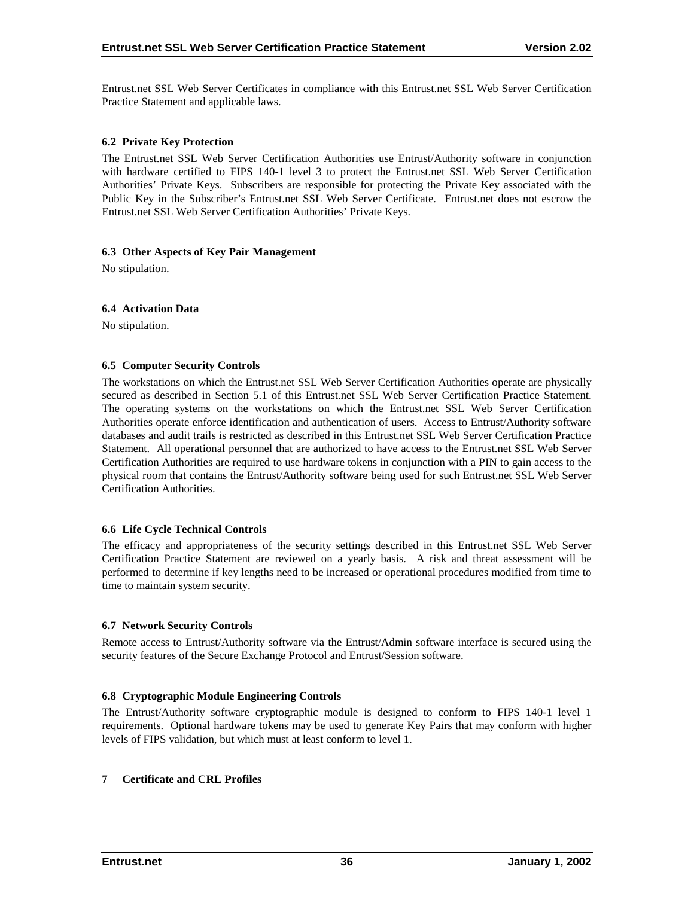<span id="page-40-0"></span>Entrust.net SSL Web Server Certificates in compliance with this Entrust.net SSL Web Server Certification Practice Statement and applicable laws.

#### **6.2 Private Key Protection**

The Entrust.net SSL Web Server Certification Authorities use Entrust/Authority software in conjunction with hardware certified to FIPS 140-1 level 3 to protect the Entrust.net SSL Web Server Certification Authorities' Private Keys. Subscribers are responsible for protecting the Private Key associated with the Public Key in the Subscriber's Entrust.net SSL Web Server Certificate. Entrust.net does not escrow the Entrust.net SSL Web Server Certification Authorities' Private Keys.

#### **6.3 Other Aspects of Key Pair Management**

No stipulation.

#### **6.4 Activation Data**

No stipulation.

#### **6.5 Computer Security Controls**

The workstations on which the Entrust.net SSL Web Server Certification Authorities operate are physically secured as described in Section 5.1 of this Entrust.net SSL Web Server Certification Practice Statement. The operating systems on the workstations on which the Entrust.net SSL Web Server Certification Authorities operate enforce identification and authentication of users. Access to Entrust/Authority software databases and audit trails is restricted as described in this Entrust.net SSL Web Server Certification Practice Statement. All operational personnel that are authorized to have access to the Entrust.net SSL Web Server Certification Authorities are required to use hardware tokens in conjunction with a PIN to gain access to the physical room that contains the Entrust/Authority software being used for such Entrust.net SSL Web Server Certification Authorities.

#### **6.6 Life Cycle Technical Controls**

The efficacy and appropriateness of the security settings described in this Entrust.net SSL Web Server Certification Practice Statement are reviewed on a yearly basis. A risk and threat assessment will be performed to determine if key lengths need to be increased or operational procedures modified from time to time to maintain system security.

#### **6.7 Network Security Controls**

Remote access to Entrust/Authority software via the Entrust/Admin software interface is secured using the security features of the Secure Exchange Protocol and Entrust/Session software.

#### **6.8 Cryptographic Module Engineering Controls**

The Entrust/Authority software cryptographic module is designed to conform to FIPS 140-1 level 1 requirements. Optional hardware tokens may be used to generate Key Pairs that may conform with higher levels of FIPS validation, but which must at least conform to level 1.

#### **7 Certificate and CRL Profiles**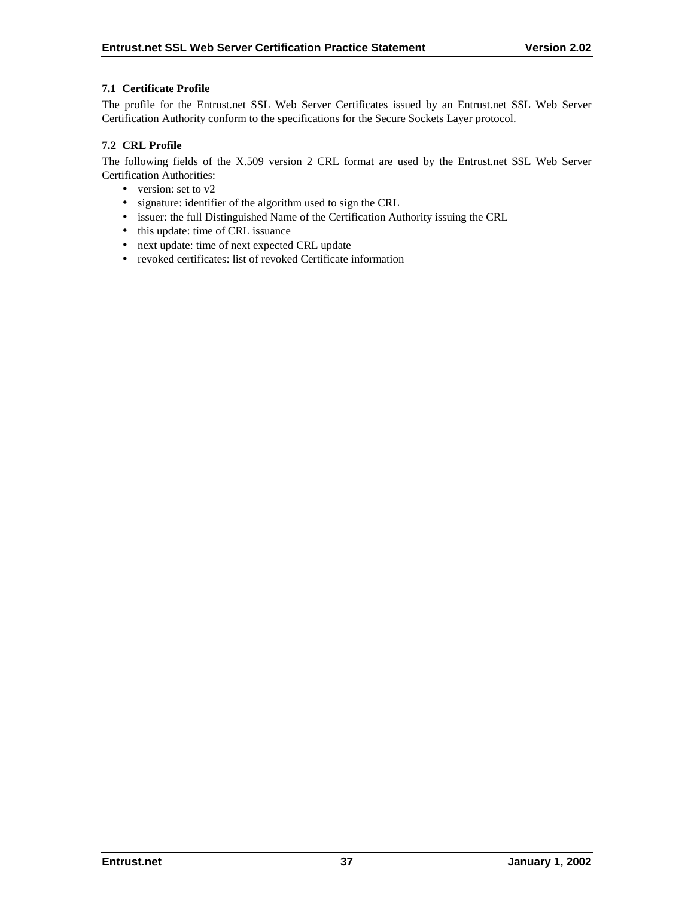## <span id="page-41-0"></span>**7.1 Certificate Profile**

The profile for the Entrust.net SSL Web Server Certificates issued by an Entrust.net SSL Web Server Certification Authority conform to the specifications for the Secure Sockets Layer protocol.

# **7.2 CRL Profile**

The following fields of the X.509 version 2 CRL format are used by the Entrust.net SSL Web Server Certification Authorities:

- version: set to v2
- signature: identifier of the algorithm used to sign the CRL
- issuer: the full Distinguished Name of the Certification Authority issuing the CRL
- this update: time of CRL issuance
- next update: time of next expected CRL update
- revoked certificates: list of revoked Certificate information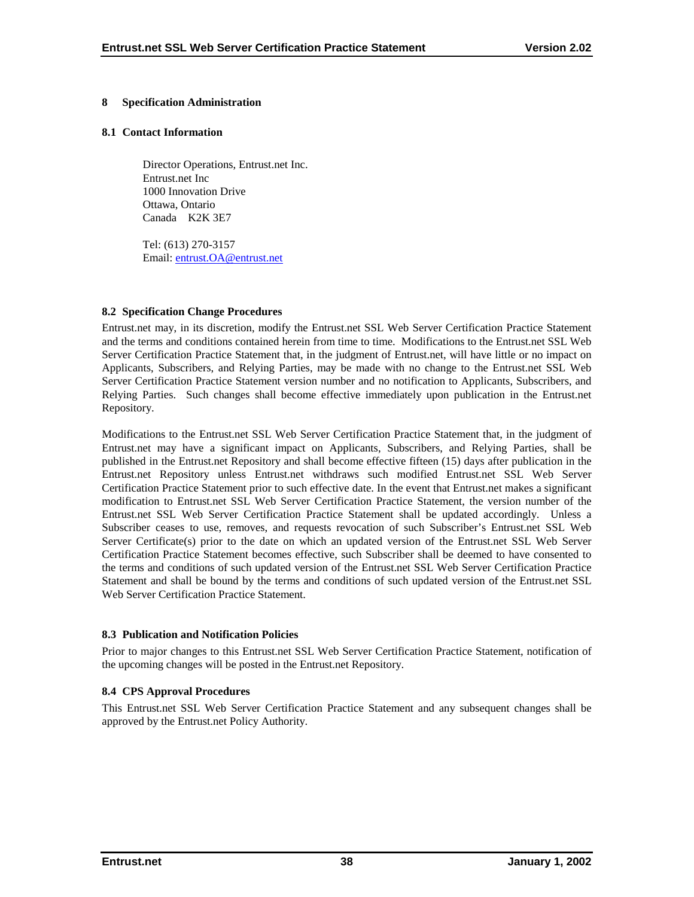#### <span id="page-42-0"></span>**8 Specification Administration**

#### **8.1 Contact Information**

Director Operations, Entrust.net Inc. Entrust.net Inc 1000 Innovation Drive Ottawa, Ontario Canada K2K 3E7

Tel: (613) 270-3157 Email: en[trust.OA@entrust.net](mailto:???@entrust.net)

#### **8.2 Specification Change Procedures**

Entrust.net may, in its discretion, modify the Entrust.net SSL Web Server Certification Practice Statement and the terms and conditions contained herein from time to time. Modifications to the Entrust.net SSL Web Server Certification Practice Statement that, in the judgment of Entrust.net, will have little or no impact on Applicants, Subscribers, and Relying Parties, may be made with no change to the Entrust.net SSL Web Server Certification Practice Statement version number and no notification to Applicants, Subscribers, and Relying Parties. Such changes shall become effective immediately upon publication in the Entrust.net Repository.

Modifications to the Entrust.net SSL Web Server Certification Practice Statement that, in the judgment of Entrust.net may have a significant impact on Applicants, Subscribers, and Relying Parties, shall be published in the Entrust.net Repository and shall become effective fifteen (15) days after publication in the Entrust.net Repository unless Entrust.net withdraws such modified Entrust.net SSL Web Server Certification Practice Statement prior to such effective date. In the event that Entrust.net makes a significant modification to Entrust.net SSL Web Server Certification Practice Statement, the version number of the Entrust.net SSL Web Server Certification Practice Statement shall be updated accordingly. Unless a Subscriber ceases to use, removes, and requests revocation of such Subscriber's Entrust.net SSL Web Server Certificate(s) prior to the date on which an updated version of the Entrust.net SSL Web Server Certification Practice Statement becomes effective, such Subscriber shall be deemed to have consented to the terms and conditions of such updated version of the Entrust.net SSL Web Server Certification Practice Statement and shall be bound by the terms and conditions of such updated version of the Entrust.net SSL Web Server Certification Practice Statement.

#### **8.3 Publication and Notification Policies**

Prior to major changes to this Entrust.net SSL Web Server Certification Practice Statement, notification of the upcoming changes will be posted in the Entrust.net Repository.

#### **8.4 CPS Approval Procedures**

This Entrust.net SSL Web Server Certification Practice Statement and any subsequent changes shall be approved by the Entrust.net Policy Authority.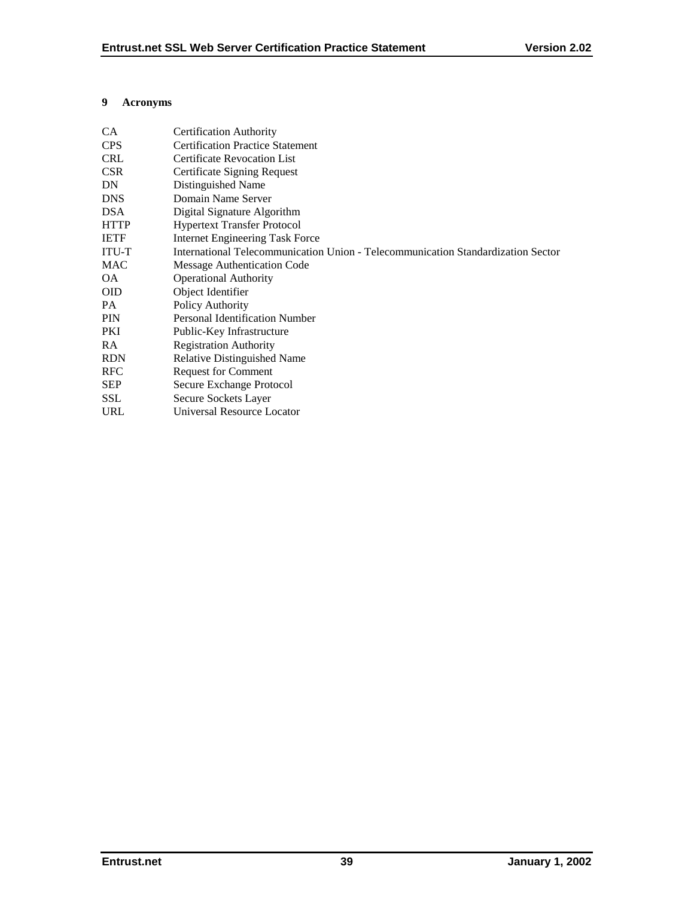## <span id="page-43-0"></span>**9 Acronyms**

| CA          | <b>Certification Authority</b>                                                   |
|-------------|----------------------------------------------------------------------------------|
| <b>CPS</b>  | <b>Certification Practice Statement</b>                                          |
| <b>CRL</b>  | <b>Certificate Revocation List</b>                                               |
| <b>CSR</b>  | Certificate Signing Request                                                      |
| DN          | Distinguished Name                                                               |
| <b>DNS</b>  | Domain Name Server                                                               |
| <b>DSA</b>  | Digital Signature Algorithm                                                      |
| <b>HTTP</b> | <b>Hypertext Transfer Protocol</b>                                               |
| <b>IETF</b> | <b>Internet Engineering Task Force</b>                                           |
| ITU-T       | International Telecommunication Union - Telecommunication Standardization Sector |
| MAC         | Message Authentication Code                                                      |
| OA.         | <b>Operational Authority</b>                                                     |
| <b>OID</b>  | Object Identifier                                                                |
| PA.         | Policy Authority                                                                 |
| <b>PIN</b>  | <b>Personal Identification Number</b>                                            |
| PKI         | Public-Key Infrastructure                                                        |
| <b>RA</b>   | <b>Registration Authority</b>                                                    |
| <b>RDN</b>  | <b>Relative Distinguished Name</b>                                               |
| <b>RFC</b>  | <b>Request for Comment</b>                                                       |
| <b>SEP</b>  | Secure Exchange Protocol                                                         |
| SSL         | Secure Sockets Layer                                                             |
| <b>URL</b>  | <b>Universal Resource Locator</b>                                                |
|             |                                                                                  |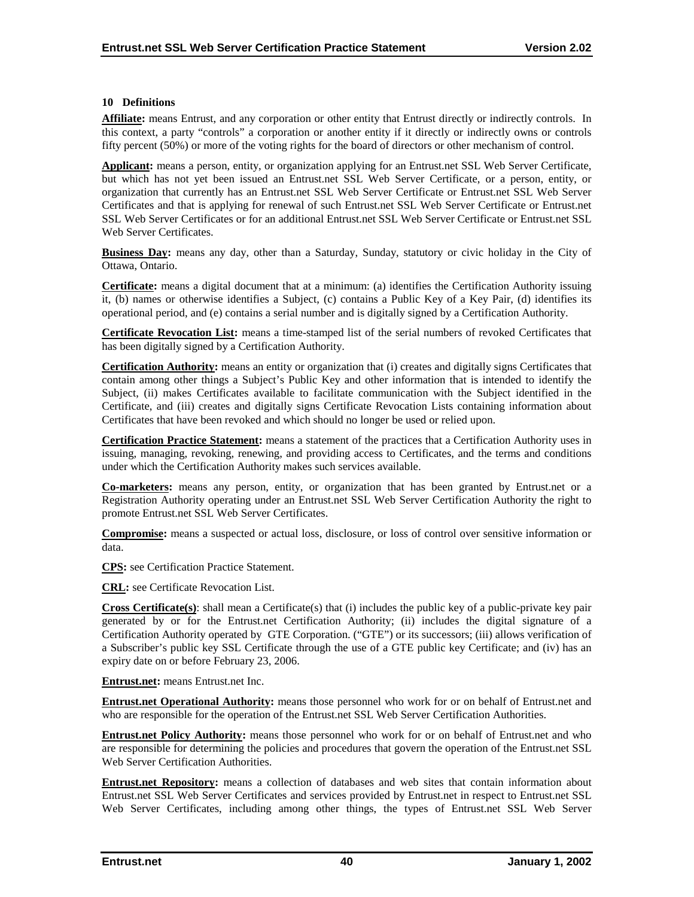#### <span id="page-44-0"></span>**10 Definitions**

**Affiliate:** means Entrust, and any corporation or other entity that Entrust directly or indirectly controls. In this context, a party "controls" a corporation or another entity if it directly or indirectly owns or controls fifty percent (50%) or more of the voting rights for the board of directors or other mechanism of control.

**Applicant:** means a person, entity, or organization applying for an Entrust.net SSL Web Server Certificate, but which has not yet been issued an Entrust.net SSL Web Server Certificate, or a person, entity, or organization that currently has an Entrust.net SSL Web Server Certificate or Entrust.net SSL Web Server Certificates and that is applying for renewal of such Entrust.net SSL Web Server Certificate or Entrust.net SSL Web Server Certificates or for an additional Entrust.net SSL Web Server Certificate or Entrust.net SSL Web Server Certificates.

**Business Day:** means any day, other than a Saturday, Sunday, statutory or civic holiday in the City of Ottawa, Ontario.

**Certificate:** means a digital document that at a minimum: (a) identifies the Certification Authority issuing it, (b) names or otherwise identifies a Subject, (c) contains a Public Key of a Key Pair, (d) identifies its operational period, and (e) contains a serial number and is digitally signed by a Certification Authority.

**Certificate Revocation List:** means a time-stamped list of the serial numbers of revoked Certificates that has been digitally signed by a Certification Authority.

**Certification Authority:** means an entity or organization that (i) creates and digitally signs Certificates that contain among other things a Subject's Public Key and other information that is intended to identify the Subject, (ii) makes Certificates available to facilitate communication with the Subject identified in the Certificate, and (iii) creates and digitally signs Certificate Revocation Lists containing information about Certificates that have been revoked and which should no longer be used or relied upon.

**Certification Practice Statement:** means a statement of the practices that a Certification Authority uses in issuing, managing, revoking, renewing, and providing access to Certificates, and the terms and conditions under which the Certification Authority makes such services available.

**Co-marketers:** means any person, entity, or organization that has been granted by Entrust.net or a Registration Authority operating under an Entrust.net SSL Web Server Certification Authority the right to promote Entrust.net SSL Web Server Certificates.

**Compromise:** means a suspected or actual loss, disclosure, or loss of control over sensitive information or data.

**CPS:** see Certification Practice Statement.

**CRL:** see Certificate Revocation List.

**Cross Certificate(s)**: shall mean a Certificate(s) that (i) includes the public key of a public-private key pair generated by or for the Entrust.net Certification Authority; (ii) includes the digital signature of a Certification Authority operated by GTE Corporation. ("GTE") or its successors; (iii) allows verification of a Subscriber's public key SSL Certificate through the use of a GTE public key Certificate; and (iv) has an expiry date on or before February 23, 2006.

**Entrust.net:** means Entrust.net Inc.

**Entrust.net Operational Authority:** means those personnel who work for or on behalf of Entrust.net and who are responsible for the operation of the Entrust.net SSL Web Server Certification Authorities.

**Entrust.net Policy Authority:** means those personnel who work for or on behalf of Entrust.net and who are responsible for determining the policies and procedures that govern the operation of the Entrust.net SSL Web Server Certification Authorities.

**Entrust.net Repository:** means a collection of databases and web sites that contain information about Entrust.net SSL Web Server Certificates and services provided by Entrust.net in respect to Entrust.net SSL Web Server Certificates, including among other things, the types of Entrust.net SSL Web Server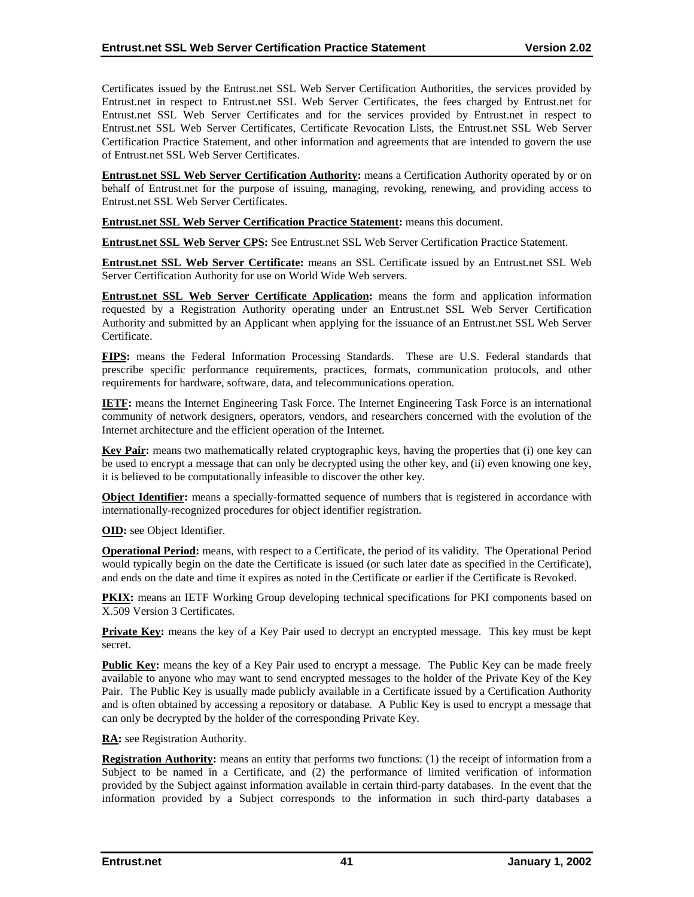Certificates issued by the Entrust.net SSL Web Server Certification Authorities, the services provided by Entrust.net in respect to Entrust.net SSL Web Server Certificates, the fees charged by Entrust.net for Entrust.net SSL Web Server Certificates and for the services provided by Entrust.net in respect to Entrust.net SSL Web Server Certificates, Certificate Revocation Lists, the Entrust.net SSL Web Server Certification Practice Statement, and other information and agreements that are intended to govern the use of Entrust.net SSL Web Server Certificates.

**Entrust.net SSL Web Server Certification Authority:** means a Certification Authority operated by or on behalf of Entrust.net for the purpose of issuing, managing, revoking, renewing, and providing access to Entrust.net SSL Web Server Certificates.

**Entrust.net SSL Web Server Certification Practice Statement:** means this document.

**Entrust.net SSL Web Server CPS:** See Entrust.net SSL Web Server Certification Practice Statement.

**Entrust.net SSL Web Server Certificate:** means an SSL Certificate issued by an Entrust.net SSL Web Server Certification Authority for use on World Wide Web servers.

**Entrust.net SSL Web Server Certificate Application:** means the form and application information requested by a Registration Authority operating under an Entrust.net SSL Web Server Certification Authority and submitted by an Applicant when applying for the issuance of an Entrust.net SSL Web Server Certificate.

**FIPS:** means the Federal Information Processing Standards. These are U.S. Federal standards that prescribe specific performance requirements, practices, formats, communication protocols, and other requirements for hardware, software, data, and telecommunications operation.

**IETF:** means the Internet Engineering Task Force. The Internet Engineering Task Force is an international community of network designers, operators, vendors, and researchers concerned with the evolution of the Internet architecture and the efficient operation of the Internet.

**Key Pair:** means two mathematically related cryptographic keys, having the properties that (i) one key can be used to encrypt a message that can only be decrypted using the other key, and (ii) even knowing one key, it is believed to be computationally infeasible to discover the other key.

**Object Identifier:** means a specially-formatted sequence of numbers that is registered in accordance with internationally-recognized procedures for object identifier registration.

**OID:** see Object Identifier.

**Operational Period:** means, with respect to a Certificate, the period of its validity. The Operational Period would typically begin on the date the Certificate is issued (or such later date as specified in the Certificate), and ends on the date and time it expires as noted in the Certificate or earlier if the Certificate is Revoked.

**PKIX:** means an IETF Working Group developing technical specifications for PKI components based on X.509 Version 3 Certificates.

**Private Key:** means the key of a Key Pair used to decrypt an encrypted message. This key must be kept secret.

**Public Key:** means the key of a Key Pair used to encrypt a message. The Public Key can be made freely available to anyone who may want to send encrypted messages to the holder of the Private Key of the Key Pair. The Public Key is usually made publicly available in a Certificate issued by a Certification Authority and is often obtained by accessing a repository or database. A Public Key is used to encrypt a message that can only be decrypted by the holder of the corresponding Private Key.

**RA:** see Registration Authority.

**Registration Authority:** means an entity that performs two functions: (1) the receipt of information from a Subject to be named in a Certificate, and (2) the performance of limited verification of information provided by the Subject against information available in certain third-party databases. In the event that the information provided by a Subject corresponds to the information in such third-party databases a